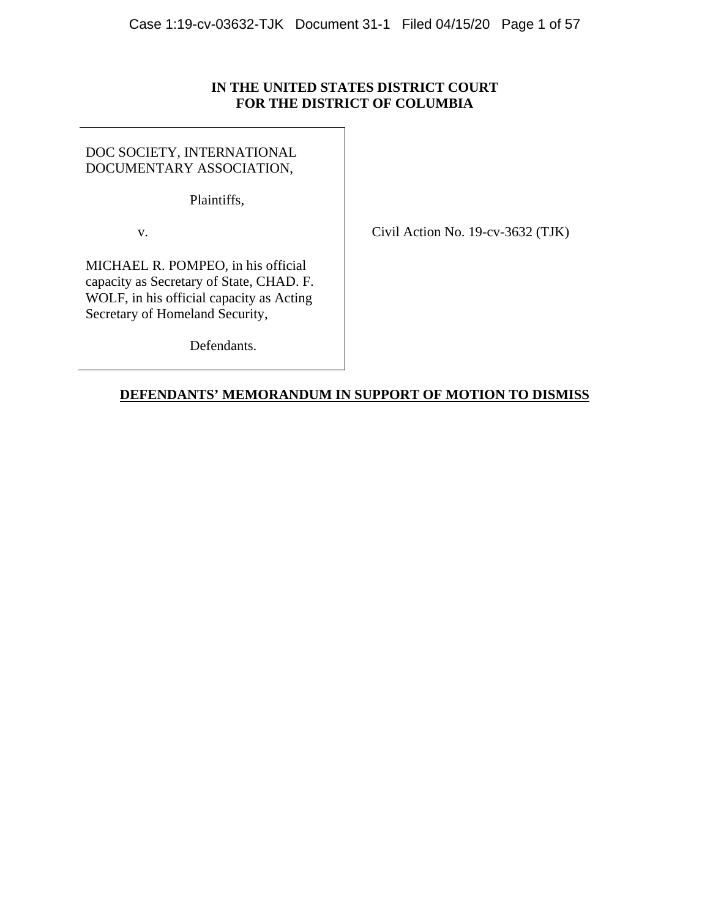# **IN THE UNITED STATES DISTRICT COURT FOR THE DISTRICT OF COLUMBIA**

DOC SOCIETY, INTERNATIONAL DOCUMENTARY ASSOCIATION,

Plaintiffs,

v. Civil Action No. 19-cv-3632 (TJK)

MICHAEL R. POMPEO, in his official capacity as Secretary of State, CHAD. F. WOLF, in his official capacity as Acting Secretary of Homeland Security,

Defendants.

# **DEFENDANTS' MEMORANDUM IN SUPPORT OF MOTION TO DISMISS**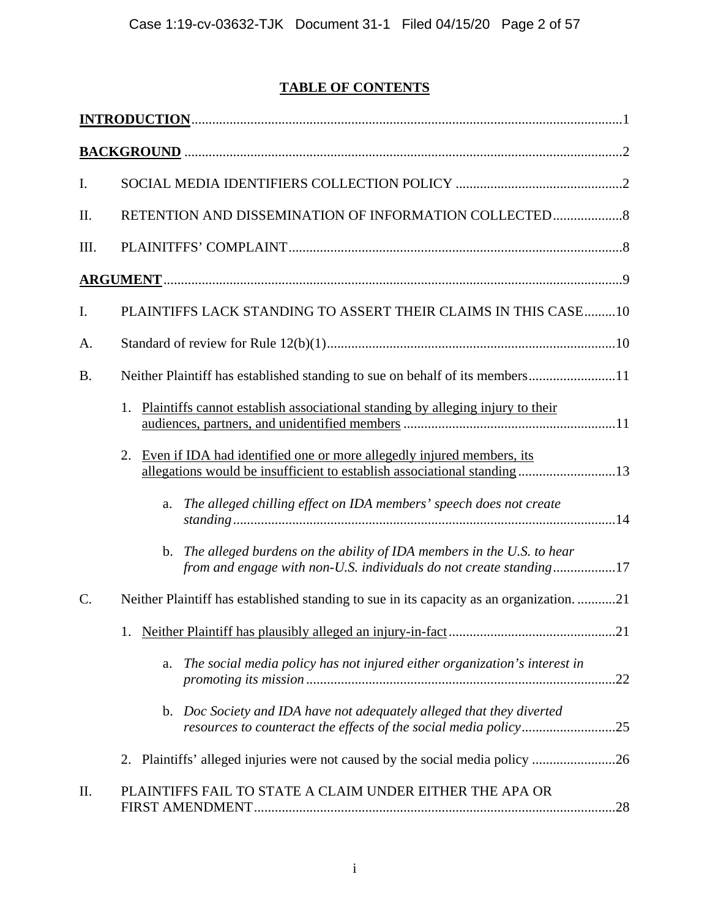# **TABLE OF CONTENTS**

| I.        |                                                                                                                                                        |
|-----------|--------------------------------------------------------------------------------------------------------------------------------------------------------|
| Π.        | RETENTION AND DISSEMINATION OF INFORMATION COLLECTED                                                                                                   |
| Ш.        |                                                                                                                                                        |
|           |                                                                                                                                                        |
| I.        | PLAINTIFFS LACK STANDING TO ASSERT THEIR CLAIMS IN THIS CASE10                                                                                         |
| A.        |                                                                                                                                                        |
| <b>B.</b> | Neither Plaintiff has established standing to sue on behalf of its members11                                                                           |
|           | Plaintiffs cannot establish associational standing by alleging injury to their<br>1.                                                                   |
|           | Even if IDA had identified one or more allegedly injured members, its<br>2.<br>allegations would be insufficient to establish associational standing13 |
|           | The alleged chilling effect on IDA members' speech does not create<br>a.                                                                               |
|           | The alleged burdens on the ability of IDA members in the U.S. to hear<br>b.<br>from and engage with non-U.S. individuals do not create standing17      |
| C.        | Neither Plaintiff has established standing to sue in its capacity as an organization21                                                                 |
|           | .21                                                                                                                                                    |
|           | The social media policy has not injured either organization's interest in<br>a.                                                                        |
|           | b. Doc Society and IDA have not adequately alleged that they diverted                                                                                  |
|           | 2. Plaintiffs' alleged injuries were not caused by the social media policy 26                                                                          |
| II.       | PLAINTIFFS FAIL TO STATE A CLAIM UNDER EITHER THE APA OR                                                                                               |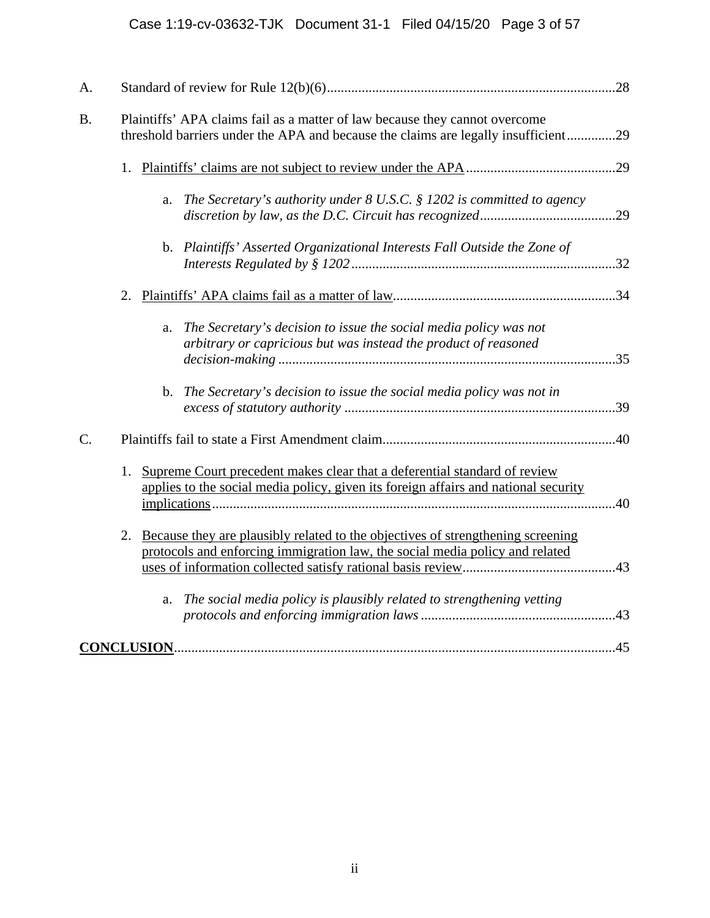| A.              |                                                                                                                                                                        |     |
|-----------------|------------------------------------------------------------------------------------------------------------------------------------------------------------------------|-----|
| <b>B.</b>       | Plaintiffs' APA claims fail as a matter of law because they cannot overcome<br>threshold barriers under the APA and because the claims are legally insufficient29      |     |
|                 | 1.                                                                                                                                                                     |     |
|                 | The Secretary's authority under $8$ U.S.C. $\S$ 1202 is committed to agency<br>a.                                                                                      | .29 |
|                 | b. Plaintiffs' Asserted Organizational Interests Fall Outside the Zone of                                                                                              |     |
|                 | 2.                                                                                                                                                                     |     |
|                 | The Secretary's decision to issue the social media policy was not<br>a.<br>arbitrary or capricious but was instead the product of reasoned                             |     |
|                 | b. The Secretary's decision to issue the social media policy was not in                                                                                                |     |
| $\mathcal{C}$ . |                                                                                                                                                                        |     |
|                 | Supreme Court precedent makes clear that a deferential standard of review<br>1.<br>applies to the social media policy, given its foreign affairs and national security | .40 |
|                 | Because they are plausibly related to the objectives of strengthening screening<br>2.<br>protocols and enforcing immigration law, the social media policy and related  |     |
|                 | The social media policy is plausibly related to strengthening vetting<br>a.                                                                                            |     |
|                 |                                                                                                                                                                        |     |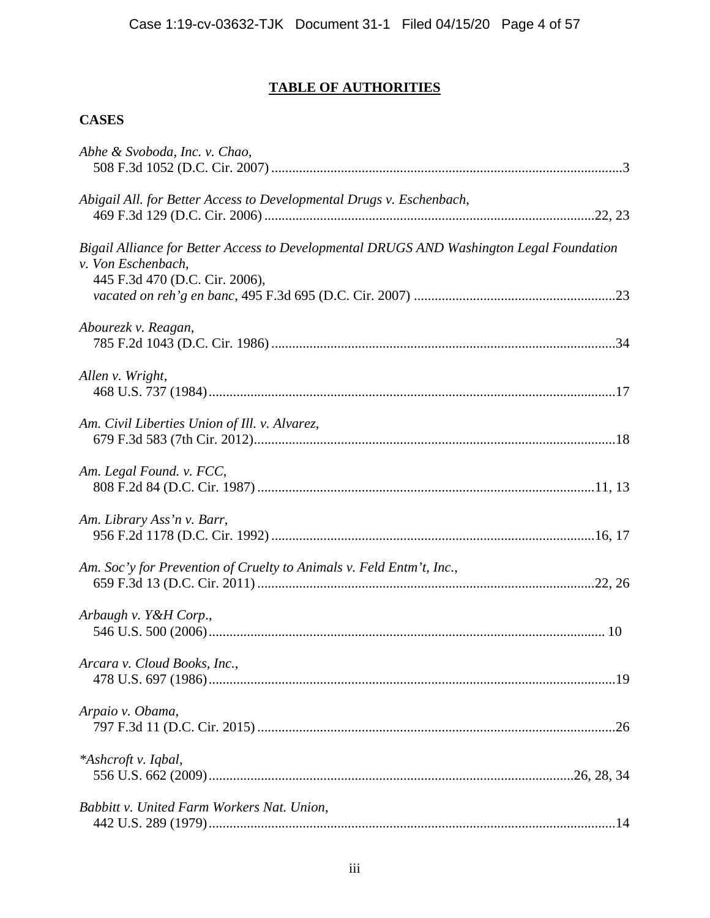# **TABLE OF AUTHORITIES**

# **CASES**

| Abhe & Svoboda, Inc. v. Chao,                                                                                                                    |  |
|--------------------------------------------------------------------------------------------------------------------------------------------------|--|
| Abigail All. for Better Access to Developmental Drugs v. Eschenbach,                                                                             |  |
| Bigail Alliance for Better Access to Developmental DRUGS AND Washington Legal Foundation<br>v. Von Eschenbach,<br>445 F.3d 470 (D.C. Cir. 2006), |  |
| Abourezk v. Reagan,                                                                                                                              |  |
| Allen v. Wright,                                                                                                                                 |  |
| Am. Civil Liberties Union of Ill. v. Alvarez,                                                                                                    |  |
| Am. Legal Found. v. FCC,                                                                                                                         |  |
| Am. Library Ass'n v. Barr,                                                                                                                       |  |
| Am. Soc'y for Prevention of Cruelty to Animals v. Feld Entm't, Inc.,                                                                             |  |
| Arbaugh v. Y&H Corp.,                                                                                                                            |  |
| Arcara v. Cloud Books, Inc.,                                                                                                                     |  |
| Arpaio v. Obama,                                                                                                                                 |  |
| *Ashcroft v. Iqbal,                                                                                                                              |  |
| Babbitt v. United Farm Workers Nat. Union,                                                                                                       |  |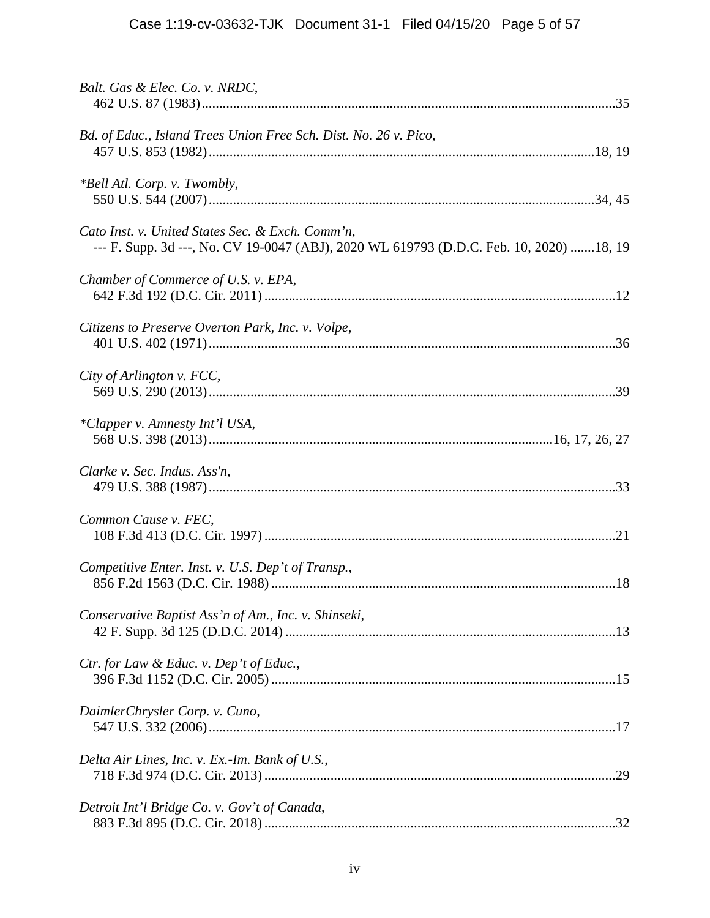| Balt. Gas & Elec. Co. v. NRDC,                                                                                                              |
|---------------------------------------------------------------------------------------------------------------------------------------------|
| Bd. of Educ., Island Trees Union Free Sch. Dist. No. 26 v. Pico,                                                                            |
| <i>*Bell Atl. Corp. v. Twombly,</i>                                                                                                         |
| Cato Inst. v. United States Sec. & Exch. Comm'n,<br>--- F. Supp. 3d ---, No. CV 19-0047 (ABJ), 2020 WL 619793 (D.D.C. Feb. 10, 2020) 18, 19 |
| Chamber of Commerce of U.S. v. EPA,                                                                                                         |
| Citizens to Preserve Overton Park, Inc. v. Volpe,                                                                                           |
| City of Arlington v. FCC,                                                                                                                   |
| *Clapper v. Amnesty Int'l USA,                                                                                                              |
| Clarke v. Sec. Indus. Ass'n,                                                                                                                |
| Common Cause v. FEC,                                                                                                                        |
| Competitive Enter. Inst. v. U.S. Dep't of Transp.,                                                                                          |
| Conservative Baptist Ass'n of Am., Inc. v. Shinseki,                                                                                        |
| Ctr. for Law & Educ. v. Dep't of Educ.,                                                                                                     |
| DaimlerChrysler Corp. v. Cuno,                                                                                                              |
| Delta Air Lines, Inc. v. Ex.-Im. Bank of U.S.,                                                                                              |
| Detroit Int'l Bridge Co. v. Gov't of Canada,                                                                                                |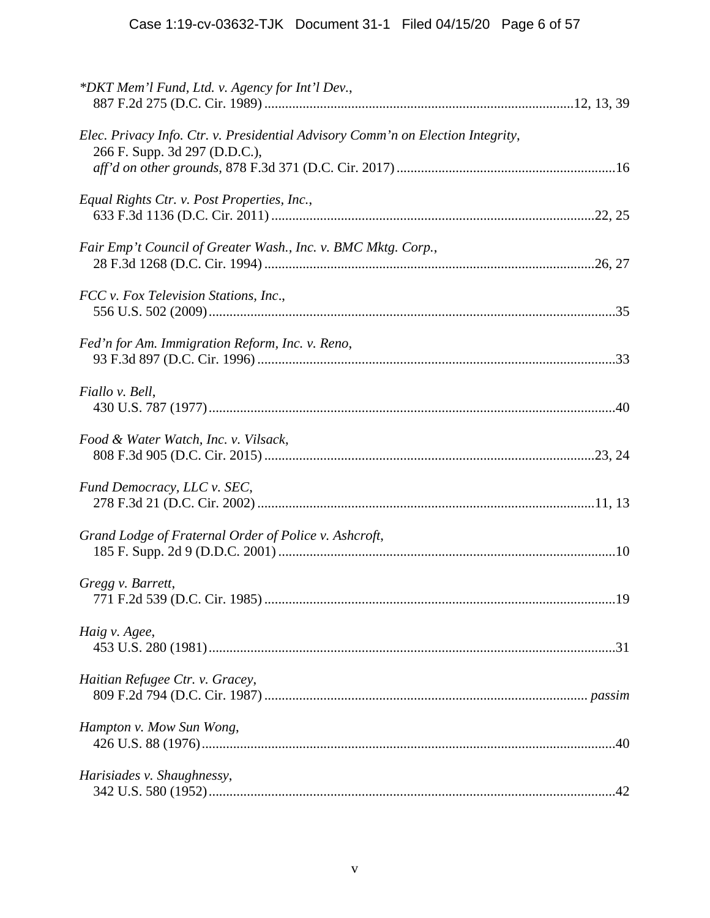| *DKT Mem'l Fund, Ltd. v. Agency for Int'l Dev.,                                                                  |    |
|------------------------------------------------------------------------------------------------------------------|----|
| Elec. Privacy Info. Ctr. v. Presidential Advisory Comm'n on Election Integrity,<br>266 F. Supp. 3d 297 (D.D.C.), |    |
| Equal Rights Ctr. v. Post Properties, Inc.,                                                                      |    |
| Fair Emp't Council of Greater Wash., Inc. v. BMC Mktg. Corp.,                                                    |    |
| FCC v. Fox Television Stations, Inc.,                                                                            |    |
| Fed'n for Am. Immigration Reform, Inc. v. Reno,                                                                  |    |
| Fiallo v. Bell,                                                                                                  |    |
| Food & Water Watch, Inc. v. Vilsack,                                                                             |    |
| Fund Democracy, LLC v. SEC,                                                                                      |    |
| Grand Lodge of Fraternal Order of Police v. Ashcroft,                                                            |    |
| Gregg v. Barrett,<br>771 F.2d 539 (D.C. Cir. 1985)                                                               | 19 |
| Haig v. Agee,                                                                                                    |    |
| Haitian Refugee Ctr. v. Gracey,                                                                                  |    |
| Hampton v. Mow Sun Wong,                                                                                         |    |
| Harisiades v. Shaughnessy,                                                                                       |    |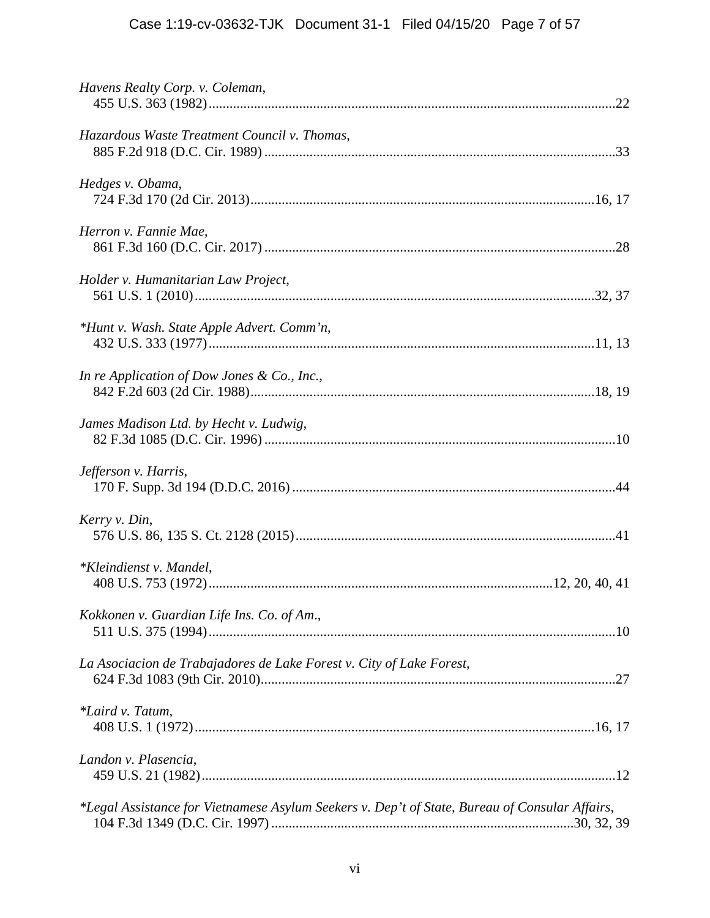| Havens Realty Corp. v. Coleman,                                                                |
|------------------------------------------------------------------------------------------------|
| Hazardous Waste Treatment Council v. Thomas,                                                   |
| Hedges v. Obama,                                                                               |
| Herron v. Fannie Mae,                                                                          |
| Holder v. Humanitarian Law Project,                                                            |
| *Hunt v. Wash. State Apple Advert. Comm'n,                                                     |
| In re Application of Dow Jones & Co., Inc.,                                                    |
| James Madison Ltd. by Hecht v. Ludwig,                                                         |
| Jefferson v. Harris,                                                                           |
| Kerry v. Din,                                                                                  |
| *Kleindienst v. Mandel,                                                                        |
| Kokkonen v. Guardian Life Ins. Co. of Am.,                                                     |
| La Asociacion de Trabajadores de Lake Forest v. City of Lake Forest,                           |
| *Laird v. Tatum,                                                                               |
| Landon v. Plasencia,                                                                           |
| *Legal Assistance for Vietnamese Asylum Seekers v. Dep't of State, Bureau of Consular Affairs, |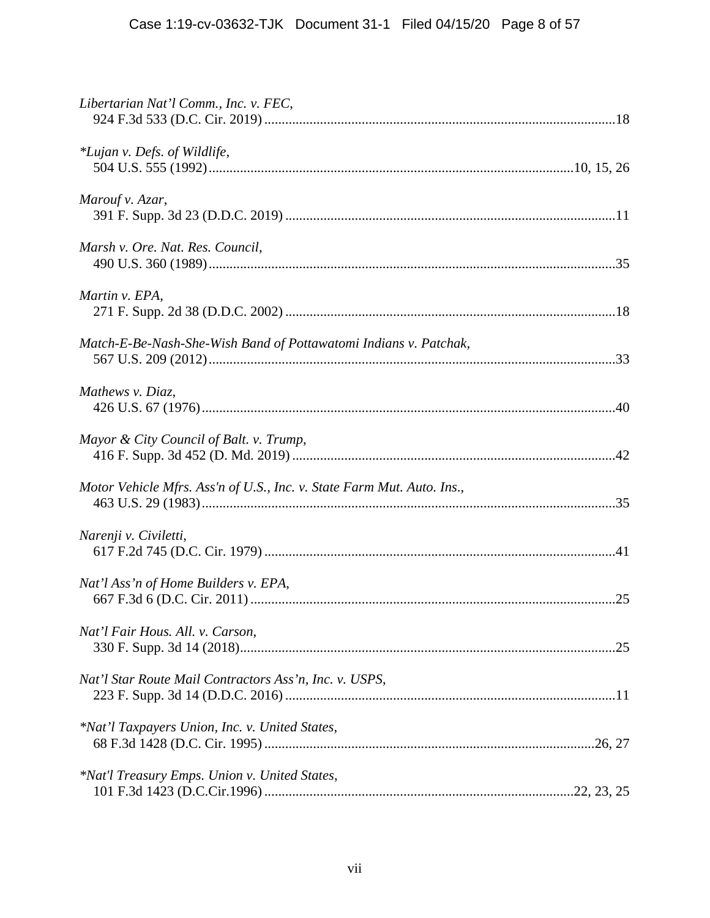| Libertarian Nat'l Comm., Inc. v. FEC,                                  |
|------------------------------------------------------------------------|
| *Lujan v. Defs. of Wildlife,                                           |
| Marouf v. Azar,                                                        |
| Marsh v. Ore. Nat. Res. Council,                                       |
| Martin v. EPA,                                                         |
| Match-E-Be-Nash-She-Wish Band of Pottawatomi Indians v. Patchak,       |
| Mathews v. Diaz,                                                       |
| Mayor & City Council of Balt. v. Trump,                                |
| Motor Vehicle Mfrs. Ass'n of U.S., Inc. v. State Farm Mut. Auto. Ins., |
| Narenji v. Civiletti,                                                  |
| Nat'l Ass'n of Home Builders v. EPA,                                   |
| Nat'l Fair Hous. All. v. Carson,                                       |
| Nat'l Star Route Mail Contractors Ass'n, Inc. v. USPS,                 |
| *Nat'l Taxpayers Union, Inc. v. United States,                         |
| *Nat'l Treasury Emps. Union v. United States,                          |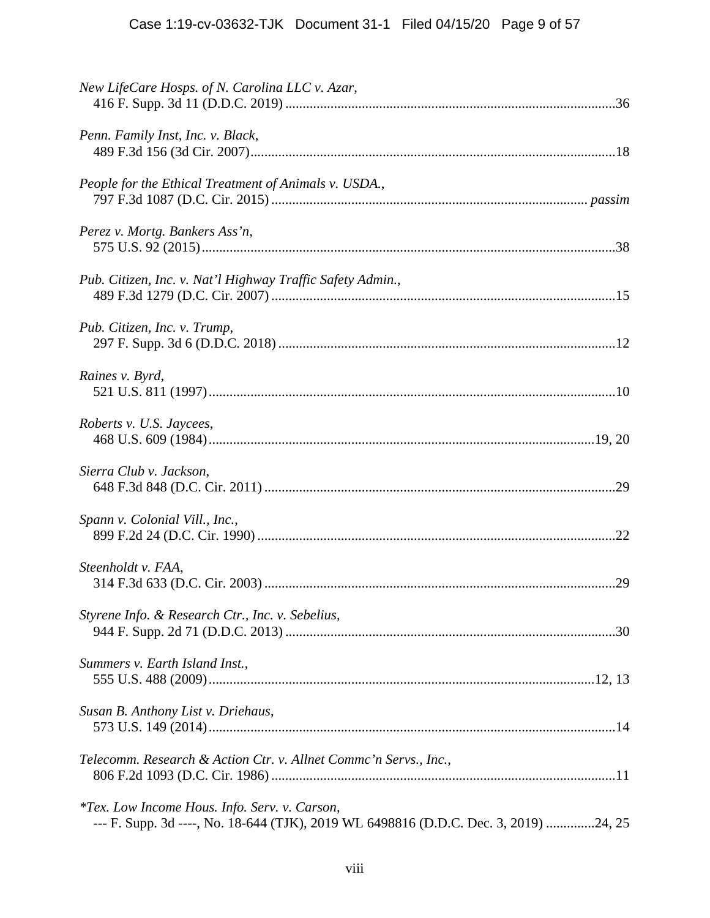| New LifeCare Hosps. of N. Carolina LLC v. Azar,                                                                                              |
|----------------------------------------------------------------------------------------------------------------------------------------------|
| Penn. Family Inst, Inc. v. Black,                                                                                                            |
| People for the Ethical Treatment of Animals v. USDA.,                                                                                        |
| Perez v. Mortg. Bankers Ass'n,                                                                                                               |
| Pub. Citizen, Inc. v. Nat'l Highway Traffic Safety Admin.,                                                                                   |
| Pub. Citizen, Inc. v. Trump,                                                                                                                 |
| Raines v. Byrd,                                                                                                                              |
| Roberts v. U.S. Jaycees,                                                                                                                     |
| Sierra Club v. Jackson,                                                                                                                      |
| Spann v. Colonial Vill., Inc.,                                                                                                               |
| Steenholdt v. FAA,                                                                                                                           |
| Styrene Info. & Research Ctr., Inc. v. Sebelius,                                                                                             |
| Summers v. Earth Island Inst.,                                                                                                               |
| Susan B. Anthony List v. Driehaus,                                                                                                           |
| Telecomm. Research & Action Ctr. v. Allnet Commc'n Servs., Inc.,                                                                             |
| <i>*Tex. Low Income Hous. Info. Serv. v. Carson,</i><br>--- F. Supp. 3d ----, No. 18-644 (TJK), 2019 WL 6498816 (D.D.C. Dec. 3, 2019) 24, 25 |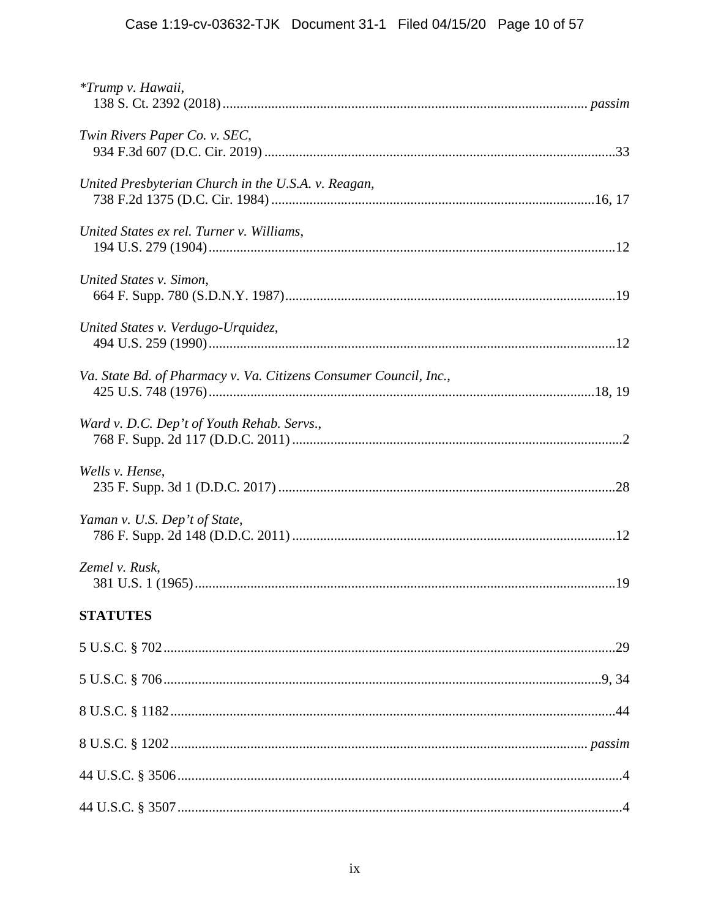| *Trump v. Hawaii,                                                 |
|-------------------------------------------------------------------|
| Twin Rivers Paper Co. v. SEC,                                     |
| United Presbyterian Church in the U.S.A. v. Reagan,               |
| United States ex rel. Turner v. Williams,                         |
| United States v. Simon,                                           |
| United States v. Verdugo-Urquidez,                                |
| Va. State Bd. of Pharmacy v. Va. Citizens Consumer Council, Inc., |
| Ward v. D.C. Dep't of Youth Rehab. Servs.,                        |
| Wells v. Hense,                                                   |
| Yaman v. U.S. Dep't of State,                                     |
| Zemel v. Rusk,                                                    |
| <b>STATUTES</b>                                                   |
|                                                                   |
|                                                                   |
|                                                                   |
|                                                                   |
|                                                                   |
|                                                                   |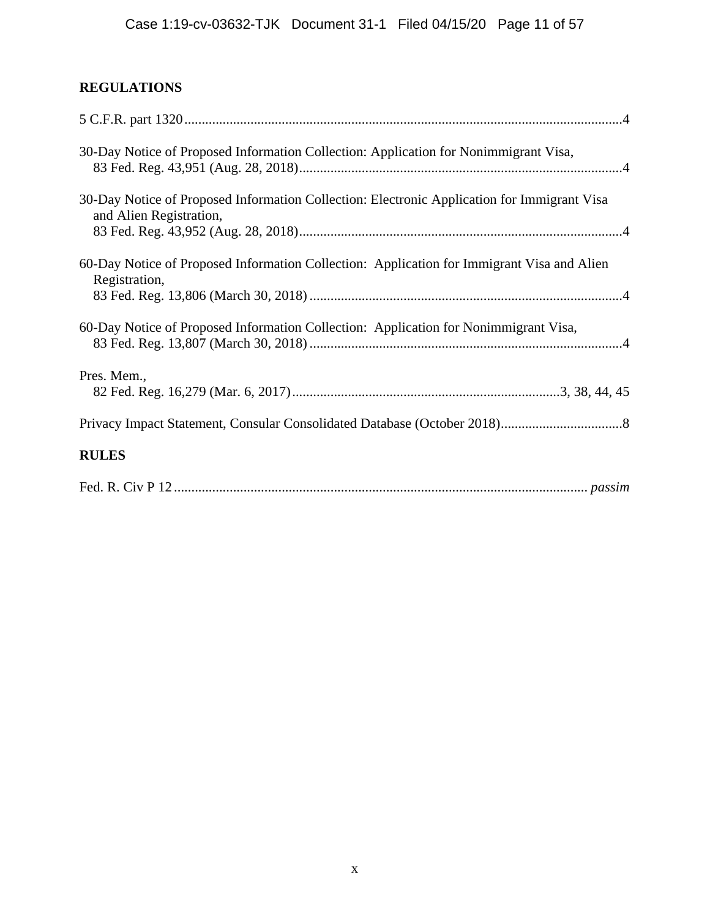# **REGULATIONS**

| 30-Day Notice of Proposed Information Collection: Application for Nonimmigrant Visa,                                   |
|------------------------------------------------------------------------------------------------------------------------|
| 30-Day Notice of Proposed Information Collection: Electronic Application for Immigrant Visa<br>and Alien Registration, |
| 60-Day Notice of Proposed Information Collection: Application for Immigrant Visa and Alien<br>Registration,            |
| 60-Day Notice of Proposed Information Collection: Application for Nonimmigrant Visa,                                   |
| Pres. Mem.,                                                                                                            |
|                                                                                                                        |
| <b>RULES</b>                                                                                                           |
|                                                                                                                        |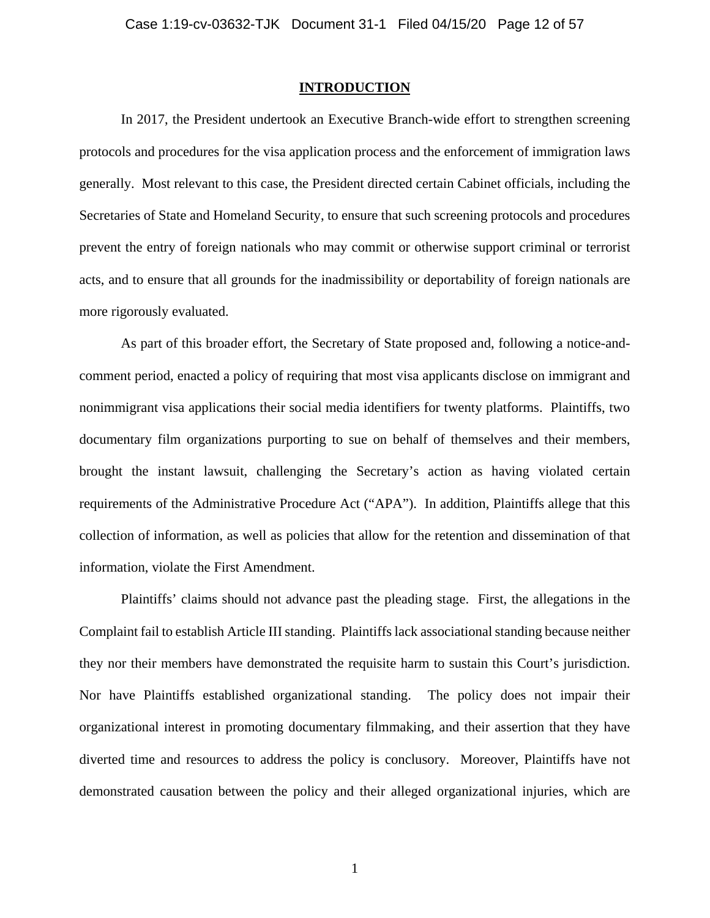### **INTRODUCTION**

 In 2017, the President undertook an Executive Branch-wide effort to strengthen screening protocols and procedures for the visa application process and the enforcement of immigration laws generally. Most relevant to this case, the President directed certain Cabinet officials, including the Secretaries of State and Homeland Security, to ensure that such screening protocols and procedures prevent the entry of foreign nationals who may commit or otherwise support criminal or terrorist acts, and to ensure that all grounds for the inadmissibility or deportability of foreign nationals are more rigorously evaluated.

 As part of this broader effort, the Secretary of State proposed and, following a notice-andcomment period, enacted a policy of requiring that most visa applicants disclose on immigrant and nonimmigrant visa applications their social media identifiers for twenty platforms. Plaintiffs, two documentary film organizations purporting to sue on behalf of themselves and their members, brought the instant lawsuit, challenging the Secretary's action as having violated certain requirements of the Administrative Procedure Act ("APA"). In addition, Plaintiffs allege that this collection of information, as well as policies that allow for the retention and dissemination of that information, violate the First Amendment.

 Plaintiffs' claims should not advance past the pleading stage. First, the allegations in the Complaint fail to establish Article III standing. Plaintiffs lack associational standing because neither they nor their members have demonstrated the requisite harm to sustain this Court's jurisdiction. Nor have Plaintiffs established organizational standing. The policy does not impair their organizational interest in promoting documentary filmmaking, and their assertion that they have diverted time and resources to address the policy is conclusory. Moreover, Plaintiffs have not demonstrated causation between the policy and their alleged organizational injuries, which are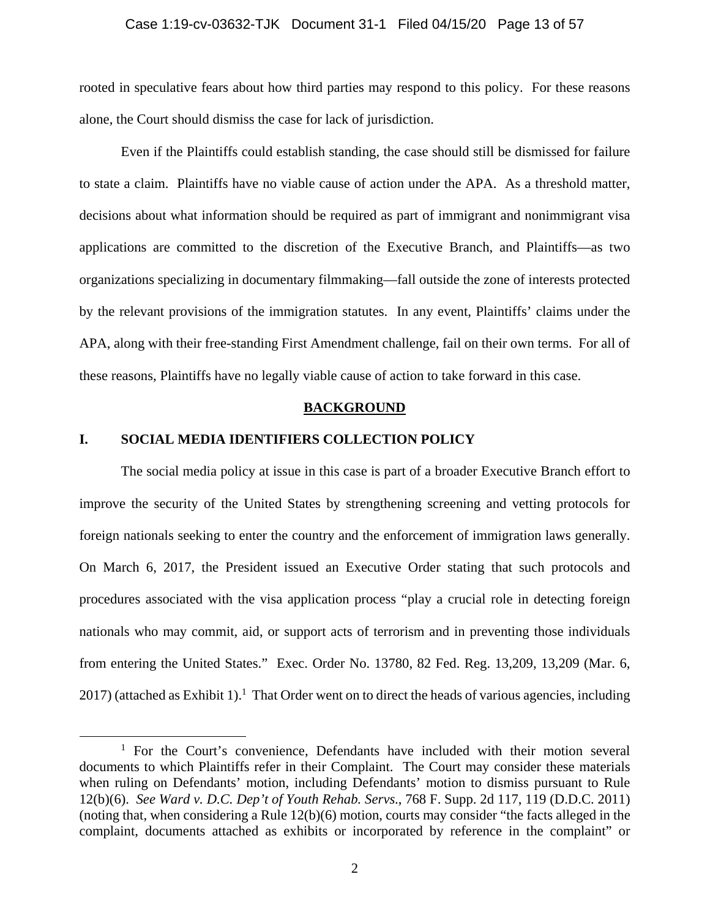#### Case 1:19-cv-03632-TJK Document 31-1 Filed 04/15/20 Page 13 of 57

rooted in speculative fears about how third parties may respond to this policy. For these reasons alone, the Court should dismiss the case for lack of jurisdiction.

 Even if the Plaintiffs could establish standing, the case should still be dismissed for failure to state a claim. Plaintiffs have no viable cause of action under the APA. As a threshold matter, decisions about what information should be required as part of immigrant and nonimmigrant visa applications are committed to the discretion of the Executive Branch, and Plaintiffs—as two organizations specializing in documentary filmmaking—fall outside the zone of interests protected by the relevant provisions of the immigration statutes. In any event, Plaintiffs' claims under the APA, along with their free-standing First Amendment challenge, fail on their own terms. For all of these reasons, Plaintiffs have no legally viable cause of action to take forward in this case.

## **BACKGROUND**

# **I. SOCIAL MEDIA IDENTIFIERS COLLECTION POLICY**

 The social media policy at issue in this case is part of a broader Executive Branch effort to improve the security of the United States by strengthening screening and vetting protocols for foreign nationals seeking to enter the country and the enforcement of immigration laws generally. On March 6, 2017, the President issued an Executive Order stating that such protocols and procedures associated with the visa application process "play a crucial role in detecting foreign nationals who may commit, aid, or support acts of terrorism and in preventing those individuals from entering the United States." Exec. Order No. 13780, 82 Fed. Reg. 13,209, 13,209 (Mar. 6,  $2017$ ) (attached as Exhibit 1).<sup>1</sup> That Order went on to direct the heads of various agencies, including

 $\overline{\phantom{a}1}$ <sup>1</sup> For the Court's convenience, Defendants have included with their motion several documents to which Plaintiffs refer in their Complaint. The Court may consider these materials when ruling on Defendants' motion, including Defendants' motion to dismiss pursuant to Rule 12(b)(6). *See Ward v. D.C. Dep't of Youth Rehab. Servs*., 768 F. Supp. 2d 117, 119 (D.D.C. 2011) (noting that, when considering a Rule 12(b)(6) motion, courts may consider "the facts alleged in the complaint, documents attached as exhibits or incorporated by reference in the complaint" or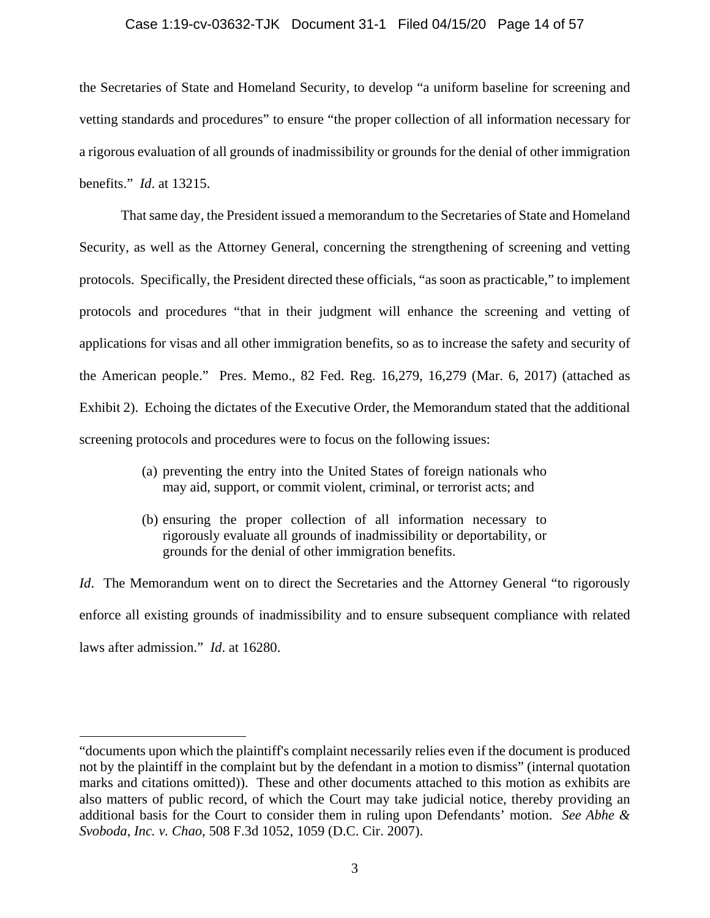#### Case 1:19-cv-03632-TJK Document 31-1 Filed 04/15/20 Page 14 of 57

the Secretaries of State and Homeland Security, to develop "a uniform baseline for screening and vetting standards and procedures" to ensure "the proper collection of all information necessary for a rigorous evaluation of all grounds of inadmissibility or grounds for the denial of other immigration benefits." *Id*. at 13215.

 That same day, the President issued a memorandum to the Secretaries of State and Homeland Security, as well as the Attorney General, concerning the strengthening of screening and vetting protocols. Specifically, the President directed these officials, "as soon as practicable," to implement protocols and procedures "that in their judgment will enhance the screening and vetting of applications for visas and all other immigration benefits, so as to increase the safety and security of the American people." Pres. Memo., 82 Fed. Reg. 16,279, 16,279 (Mar. 6, 2017) (attached as Exhibit 2). Echoing the dictates of the Executive Order, the Memorandum stated that the additional screening protocols and procedures were to focus on the following issues:

- (a) preventing the entry into the United States of foreign nationals who may aid, support, or commit violent, criminal, or terrorist acts; and
- (b) ensuring the proper collection of all information necessary to rigorously evaluate all grounds of inadmissibility or deportability, or grounds for the denial of other immigration benefits.

*Id.* The Memorandum went on to direct the Secretaries and the Attorney General "to rigorously enforce all existing grounds of inadmissibility and to ensure subsequent compliance with related laws after admission." *Id*. at 16280.

 $\overline{a}$ 

<sup>&</sup>quot;documents upon which the plaintiff's complaint necessarily relies even if the document is produced not by the plaintiff in the complaint but by the defendant in a motion to dismiss" (internal quotation marks and citations omitted)). These and other documents attached to this motion as exhibits are also matters of public record, of which the Court may take judicial notice, thereby providing an additional basis for the Court to consider them in ruling upon Defendants' motion. *See Abhe & Svoboda, Inc. v. Chao*, 508 F.3d 1052, 1059 (D.C. Cir. 2007).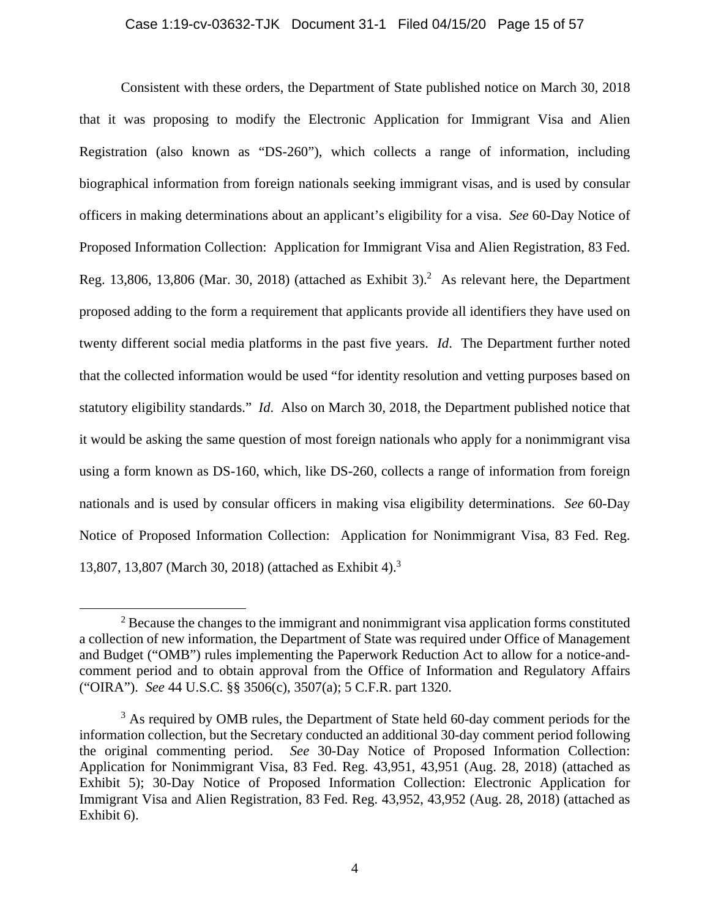Consistent with these orders, the Department of State published notice on March 30, 2018 that it was proposing to modify the Electronic Application for Immigrant Visa and Alien Registration (also known as "DS-260"), which collects a range of information, including biographical information from foreign nationals seeking immigrant visas, and is used by consular officers in making determinations about an applicant's eligibility for a visa. *See* 60-Day Notice of Proposed Information Collection: Application for Immigrant Visa and Alien Registration, 83 Fed. Reg. 13,806, 13,806 (Mar. 30, 2018) (attached as Exhibit 3).<sup>2</sup> As relevant here, the Department proposed adding to the form a requirement that applicants provide all identifiers they have used on twenty different social media platforms in the past five years. *Id*. The Department further noted that the collected information would be used "for identity resolution and vetting purposes based on statutory eligibility standards." *Id*. Also on March 30, 2018, the Department published notice that it would be asking the same question of most foreign nationals who apply for a nonimmigrant visa using a form known as DS-160, which, like DS-260, collects a range of information from foreign nationals and is used by consular officers in making visa eligibility determinations. *See* 60-Day Notice of Proposed Information Collection: Application for Nonimmigrant Visa, 83 Fed. Reg. 13,807, 13,807 (March 30, 2018) (attached as Exhibit 4).3

 $\frac{1}{2}$  $<sup>2</sup>$  Because the changes to the immigrant and nonimmigrant visa application forms constituted</sup> a collection of new information, the Department of State was required under Office of Management and Budget ("OMB") rules implementing the Paperwork Reduction Act to allow for a notice-andcomment period and to obtain approval from the Office of Information and Regulatory Affairs ("OIRA"). *See* 44 U.S.C. §§ 3506(c), 3507(a); 5 C.F.R. part 1320.

<sup>&</sup>lt;sup>3</sup> As required by OMB rules, the Department of State held 60-day comment periods for the information collection, but the Secretary conducted an additional 30-day comment period following the original commenting period. *See* 30-Day Notice of Proposed Information Collection: Application for Nonimmigrant Visa, 83 Fed. Reg. 43,951, 43,951 (Aug. 28, 2018) (attached as Exhibit 5); 30-Day Notice of Proposed Information Collection: Electronic Application for Immigrant Visa and Alien Registration, 83 Fed. Reg. 43,952, 43,952 (Aug. 28, 2018) (attached as Exhibit 6).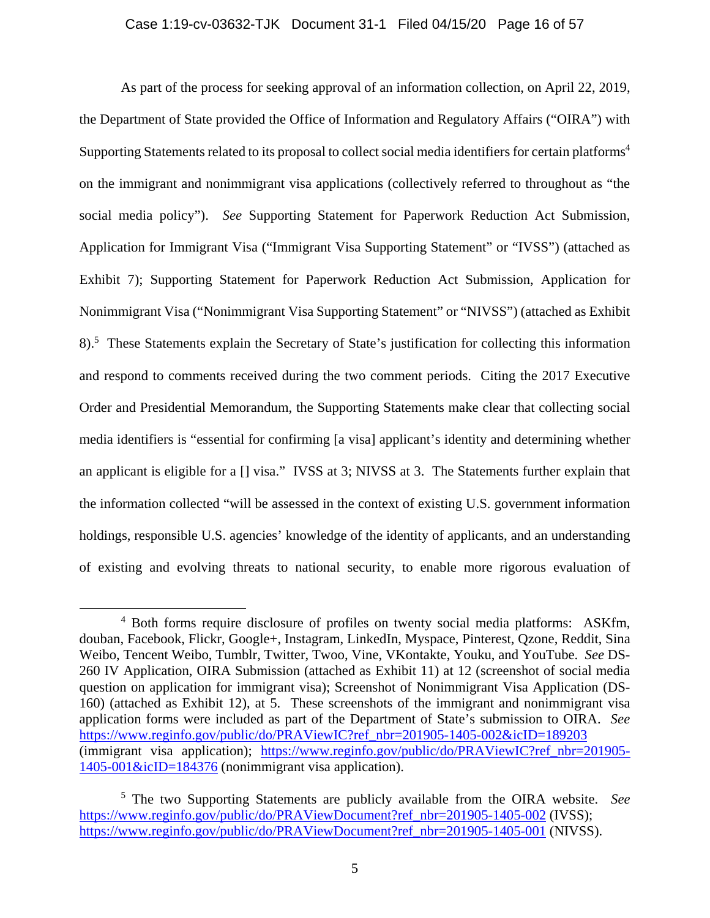As part of the process for seeking approval of an information collection, on April 22, 2019, the Department of State provided the Office of Information and Regulatory Affairs ("OIRA") with Supporting Statements related to its proposal to collect social media identifiers for certain platforms4 on the immigrant and nonimmigrant visa applications (collectively referred to throughout as "the social media policy"). *See* Supporting Statement for Paperwork Reduction Act Submission, Application for Immigrant Visa ("Immigrant Visa Supporting Statement" or "IVSS") (attached as Exhibit 7); Supporting Statement for Paperwork Reduction Act Submission, Application for Nonimmigrant Visa ("Nonimmigrant Visa Supporting Statement" or "NIVSS") (attached as Exhibit 8).<sup>5</sup> These Statements explain the Secretary of State's justification for collecting this information and respond to comments received during the two comment periods. Citing the 2017 Executive Order and Presidential Memorandum, the Supporting Statements make clear that collecting social media identifiers is "essential for confirming [a visa] applicant's identity and determining whether an applicant is eligible for a [] visa." IVSS at 3; NIVSS at 3. The Statements further explain that the information collected "will be assessed in the context of existing U.S. government information holdings, responsible U.S. agencies' knowledge of the identity of applicants, and an understanding of existing and evolving threats to national security, to enable more rigorous evaluation of

 $\overline{4}$ <sup>4</sup> Both forms require disclosure of profiles on twenty social media platforms: ASKfm, douban, Facebook, Flickr, Google+, Instagram, LinkedIn, Myspace, Pinterest, Qzone, Reddit, Sina Weibo, Tencent Weibo, Tumblr, Twitter, Twoo, Vine, VKontakte, Youku, and YouTube. *See* DS-260 IV Application, OIRA Submission (attached as Exhibit 11) at 12 (screenshot of social media question on application for immigrant visa); Screenshot of Nonimmigrant Visa Application (DS-160) (attached as Exhibit 12), at 5. These screenshots of the immigrant and nonimmigrant visa application forms were included as part of the Department of State's submission to OIRA. *See* https://www.reginfo.gov/public/do/PRAViewIC?ref\_nbr=201905-1405-002&icID=189203 (immigrant visa application); https://www.reginfo.gov/public/do/PRAViewIC?ref\_nbr=201905- 1405-001&icID=184376 (nonimmigrant visa application).

<sup>5</sup> The two Supporting Statements are publicly available from the OIRA website. *See* https://www.reginfo.gov/public/do/PRAViewDocument?ref\_nbr=201905-1405-002 (IVSS); https://www.reginfo.gov/public/do/PRAViewDocument?ref\_nbr=201905-1405-001 (NIVSS).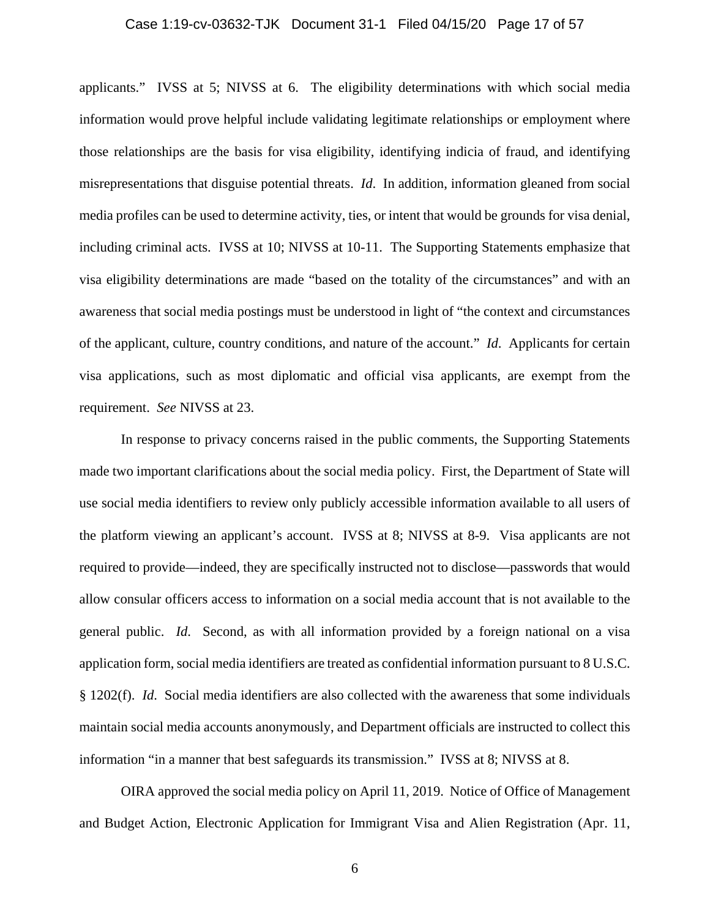#### Case 1:19-cv-03632-TJK Document 31-1 Filed 04/15/20 Page 17 of 57

applicants." IVSS at 5; NIVSS at 6. The eligibility determinations with which social media information would prove helpful include validating legitimate relationships or employment where those relationships are the basis for visa eligibility, identifying indicia of fraud, and identifying misrepresentations that disguise potential threats. *Id*. In addition, information gleaned from social media profiles can be used to determine activity, ties, or intent that would be grounds for visa denial, including criminal acts. IVSS at 10; NIVSS at 10-11. The Supporting Statements emphasize that visa eligibility determinations are made "based on the totality of the circumstances" and with an awareness that social media postings must be understood in light of "the context and circumstances of the applicant, culture, country conditions, and nature of the account." *Id*. Applicants for certain visa applications, such as most diplomatic and official visa applicants, are exempt from the requirement. *See* NIVSS at 23.

 In response to privacy concerns raised in the public comments, the Supporting Statements made two important clarifications about the social media policy. First, the Department of State will use social media identifiers to review only publicly accessible information available to all users of the platform viewing an applicant's account. IVSS at 8; NIVSS at 8-9. Visa applicants are not required to provide—indeed, they are specifically instructed not to disclose—passwords that would allow consular officers access to information on a social media account that is not available to the general public. *Id*. Second, as with all information provided by a foreign national on a visa application form, social media identifiers are treated as confidential information pursuant to 8 U.S.C. § 1202(f). *Id*. Social media identifiers are also collected with the awareness that some individuals maintain social media accounts anonymously, and Department officials are instructed to collect this information "in a manner that best safeguards its transmission." IVSS at 8; NIVSS at 8.

 OIRA approved the social media policy on April 11, 2019. Notice of Office of Management and Budget Action, Electronic Application for Immigrant Visa and Alien Registration (Apr. 11,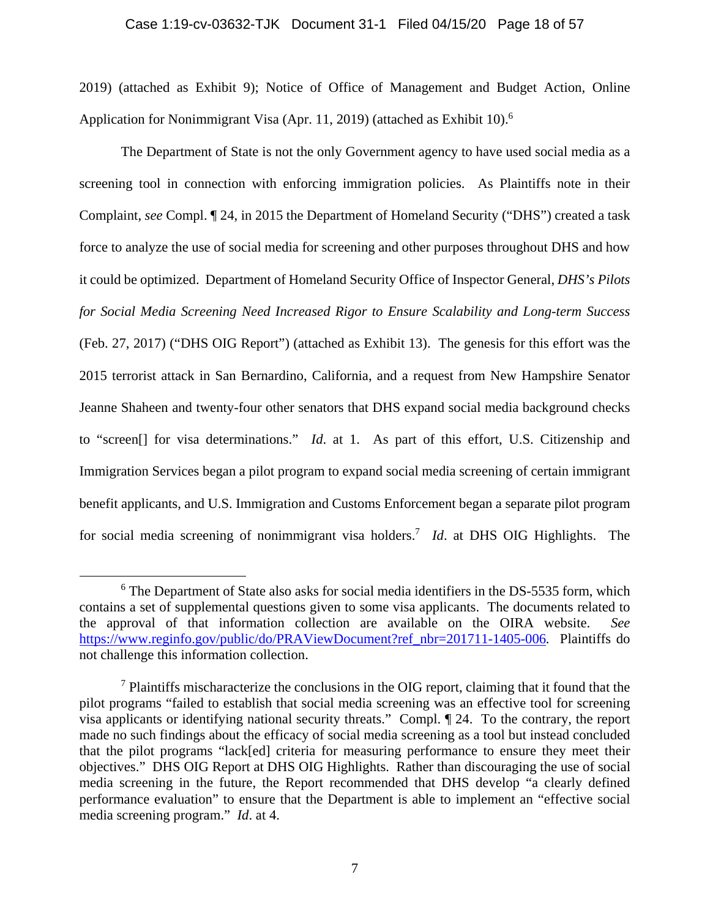#### Case 1:19-cv-03632-TJK Document 31-1 Filed 04/15/20 Page 18 of 57

2019) (attached as Exhibit 9); Notice of Office of Management and Budget Action, Online Application for Nonimmigrant Visa (Apr. 11, 2019) (attached as Exhibit 10).<sup>6</sup>

 The Department of State is not the only Government agency to have used social media as a screening tool in connection with enforcing immigration policies. As Plaintiffs note in their Complaint, *see* Compl. ¶ 24, in 2015 the Department of Homeland Security ("DHS") created a task force to analyze the use of social media for screening and other purposes throughout DHS and how it could be optimized. Department of Homeland Security Office of Inspector General, *DHS's Pilots for Social Media Screening Need Increased Rigor to Ensure Scalability and Long-term Success* (Feb. 27, 2017) ("DHS OIG Report") (attached as Exhibit 13). The genesis for this effort was the 2015 terrorist attack in San Bernardino, California, and a request from New Hampshire Senator Jeanne Shaheen and twenty-four other senators that DHS expand social media background checks to "screen[] for visa determinations." *Id*. at 1. As part of this effort, U.S. Citizenship and Immigration Services began a pilot program to expand social media screening of certain immigrant benefit applicants, and U.S. Immigration and Customs Enforcement began a separate pilot program for social media screening of nonimmigrant visa holders.<sup>7</sup> *Id*. at DHS OIG Highlights. The

 <sup>6</sup> <sup>6</sup> The Department of State also asks for social media identifiers in the DS-5535 form, which contains a set of supplemental questions given to some visa applicants. The documents related to the approval of that information collection are available on the OIRA website. *See*  https://www.reginfo.gov/public/do/PRAViewDocument?ref\_nbr=201711-1405-006*.* Plaintiffs do not challenge this information collection.

<sup>&</sup>lt;sup>7</sup> Plaintiffs mischaracterize the conclusions in the OIG report, claiming that it found that the pilot programs "failed to establish that social media screening was an effective tool for screening visa applicants or identifying national security threats." Compl. ¶ 24. To the contrary, the report made no such findings about the efficacy of social media screening as a tool but instead concluded that the pilot programs "lack[ed] criteria for measuring performance to ensure they meet their objectives." DHS OIG Report at DHS OIG Highlights. Rather than discouraging the use of social media screening in the future, the Report recommended that DHS develop "a clearly defined performance evaluation" to ensure that the Department is able to implement an "effective social media screening program." *Id*. at 4.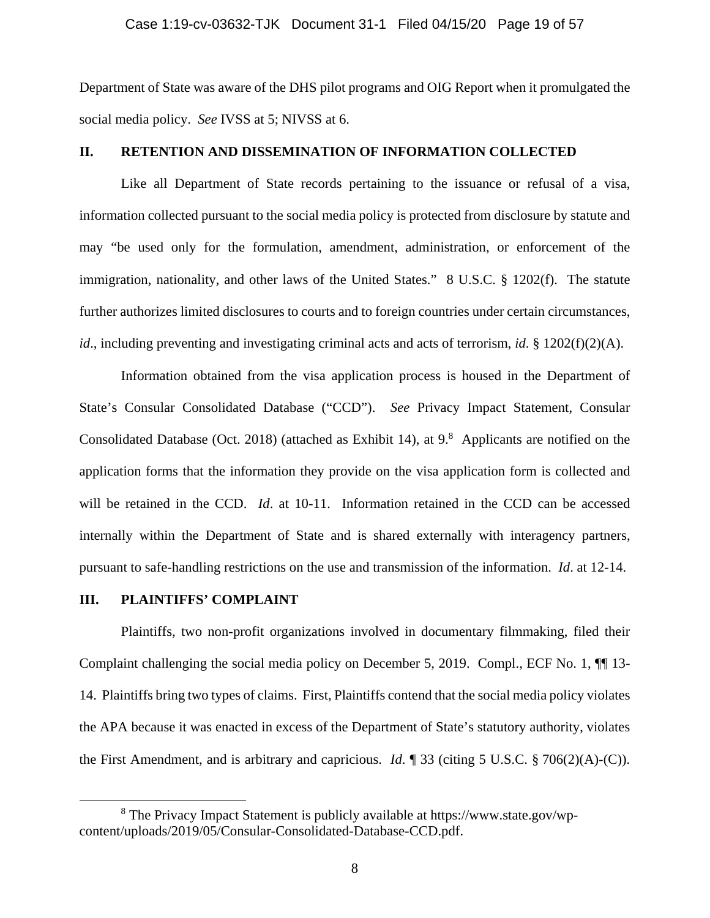Department of State was aware of the DHS pilot programs and OIG Report when it promulgated the social media policy. *See* IVSS at 5; NIVSS at 6.

## **II. RETENTION AND DISSEMINATION OF INFORMATION COLLECTED**

 Like all Department of State records pertaining to the issuance or refusal of a visa, information collected pursuant to the social media policy is protected from disclosure by statute and may "be used only for the formulation, amendment, administration, or enforcement of the immigration, nationality, and other laws of the United States." 8 U.S.C. § 1202(f). The statute further authorizes limited disclosures to courts and to foreign countries under certain circumstances, *id.*, including preventing and investigating criminal acts and acts of terrorism, *id*. § 1202(f)(2)(A).

Information obtained from the visa application process is housed in the Department of State's Consular Consolidated Database ("CCD"). *See* Privacy Impact Statement, Consular Consolidated Database (Oct. 2018) (attached as Exhibit 14), at  $9.8$  Applicants are notified on the application forms that the information they provide on the visa application form is collected and will be retained in the CCD. *Id*. at 10-11. Information retained in the CCD can be accessed internally within the Department of State and is shared externally with interagency partners, pursuant to safe-handling restrictions on the use and transmission of the information. *Id*. at 12-14.

# **III. PLAINTIFFS' COMPLAINT**

 Plaintiffs, two non-profit organizations involved in documentary filmmaking, filed their Complaint challenging the social media policy on December 5, 2019. Compl., ECF No. 1, ¶¶ 13- 14. Plaintiffs bring two types of claims. First, Plaintiffs contend that the social media policy violates the APA because it was enacted in excess of the Department of State's statutory authority, violates the First Amendment, and is arbitrary and capricious. *Id*. ¶ 33 (citing 5 U.S.C. § 706(2)(A)-(C)).

 <sup>8</sup> The Privacy Impact Statement is publicly available at https://www.state.gov/wpcontent/uploads/2019/05/Consular-Consolidated-Database-CCD.pdf.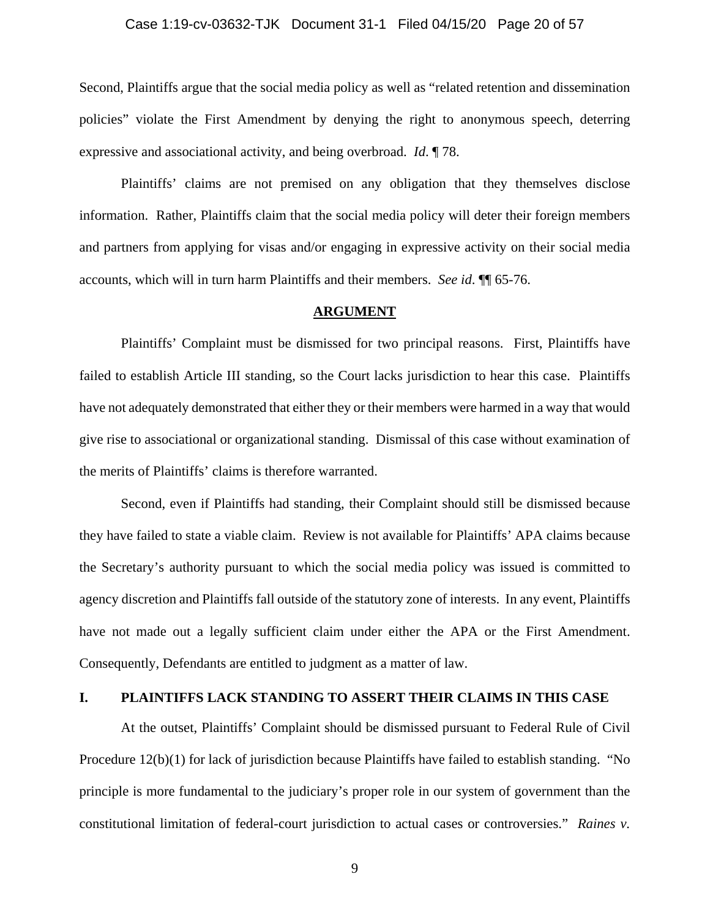#### Case 1:19-cv-03632-TJK Document 31-1 Filed 04/15/20 Page 20 of 57

Second, Plaintiffs argue that the social media policy as well as "related retention and dissemination policies" violate the First Amendment by denying the right to anonymous speech, deterring expressive and associational activity, and being overbroad. *Id*. ¶ 78.

 Plaintiffs' claims are not premised on any obligation that they themselves disclose information. Rather, Plaintiffs claim that the social media policy will deter their foreign members and partners from applying for visas and/or engaging in expressive activity on their social media accounts, which will in turn harm Plaintiffs and their members. *See id*. ¶¶ 65-76.

## **ARGUMENT**

 Plaintiffs' Complaint must be dismissed for two principal reasons. First, Plaintiffs have failed to establish Article III standing, so the Court lacks jurisdiction to hear this case. Plaintiffs have not adequately demonstrated that either they or their members were harmed in a way that would give rise to associational or organizational standing. Dismissal of this case without examination of the merits of Plaintiffs' claims is therefore warranted.

 Second, even if Plaintiffs had standing, their Complaint should still be dismissed because they have failed to state a viable claim. Review is not available for Plaintiffs' APA claims because the Secretary's authority pursuant to which the social media policy was issued is committed to agency discretion and Plaintiffs fall outside of the statutory zone of interests. In any event, Plaintiffs have not made out a legally sufficient claim under either the APA or the First Amendment. Consequently, Defendants are entitled to judgment as a matter of law.

# **I. PLAINTIFFS LACK STANDING TO ASSERT THEIR CLAIMS IN THIS CASE**

At the outset, Plaintiffs' Complaint should be dismissed pursuant to Federal Rule of Civil Procedure 12(b)(1) for lack of jurisdiction because Plaintiffs have failed to establish standing. "No principle is more fundamental to the judiciary's proper role in our system of government than the constitutional limitation of federal-court jurisdiction to actual cases or controversies." *Raines v.*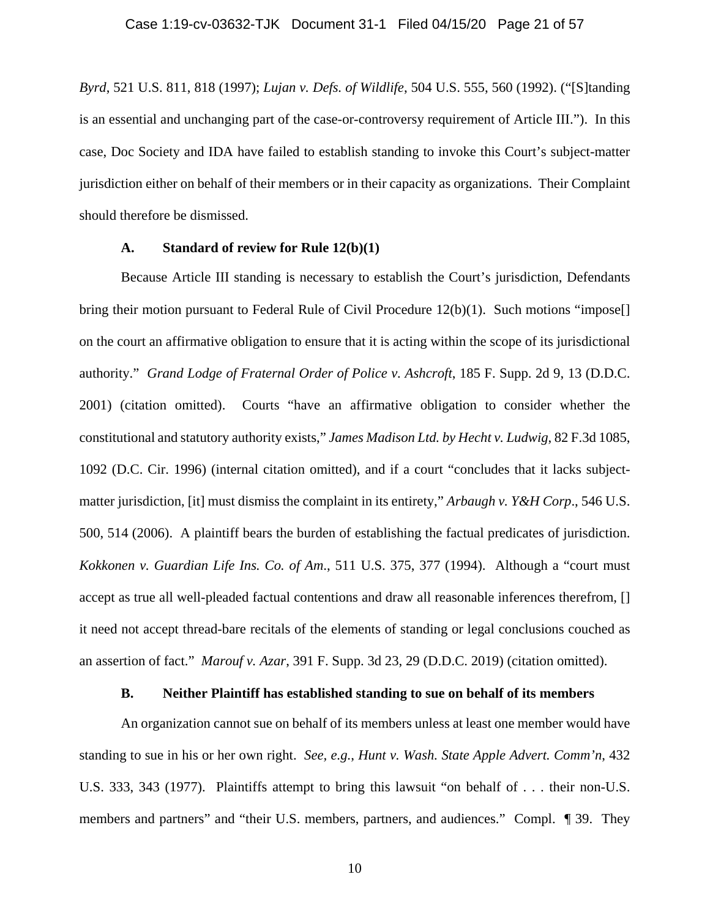*Byrd*, 521 U.S. 811, 818 (1997); *Lujan v. Defs. of Wildlife*, 504 U.S. 555, 560 (1992). ("[S]tanding is an essential and unchanging part of the case-or-controversy requirement of Article III."). In this case, Doc Society and IDA have failed to establish standing to invoke this Court's subject-matter jurisdiction either on behalf of their members or in their capacity as organizations. Their Complaint should therefore be dismissed.

## **A. Standard of review for Rule 12(b)(1)**

 Because Article III standing is necessary to establish the Court's jurisdiction, Defendants bring their motion pursuant to Federal Rule of Civil Procedure 12(b)(1). Such motions "impose<sup>[]</sup> on the court an affirmative obligation to ensure that it is acting within the scope of its jurisdictional authority." *Grand Lodge of Fraternal Order of Police v. Ashcroft*, 185 F. Supp. 2d 9, 13 (D.D.C. 2001) (citation omitted). Courts "have an affirmative obligation to consider whether the constitutional and statutory authority exists," *James Madison Ltd. by Hecht v. Ludwig*, 82 F.3d 1085, 1092 (D.C. Cir. 1996) (internal citation omitted), and if a court "concludes that it lacks subjectmatter jurisdiction, [it] must dismiss the complaint in its entirety," *Arbaugh v. Y&H Corp*., 546 U.S. 500, 514 (2006). A plaintiff bears the burden of establishing the factual predicates of jurisdiction. *Kokkonen v. Guardian Life Ins. Co. of Am*., 511 U.S. 375, 377 (1994). Although a "court must accept as true all well-pleaded factual contentions and draw all reasonable inferences therefrom, [] it need not accept thread-bare recitals of the elements of standing or legal conclusions couched as an assertion of fact." *Marouf v. Azar*, 391 F. Supp. 3d 23, 29 (D.D.C. 2019) (citation omitted).

## **B. Neither Plaintiff has established standing to sue on behalf of its members**

An organization cannot sue on behalf of its members unless at least one member would have standing to sue in his or her own right. *See, e.g.*, *Hunt v. Wash. State Apple Advert. Comm'n*, 432 U.S. 333, 343 (1977). Plaintiffs attempt to bring this lawsuit "on behalf of . . . their non-U.S. members and partners" and "their U.S. members, partners, and audiences." Compl. ¶ 39. They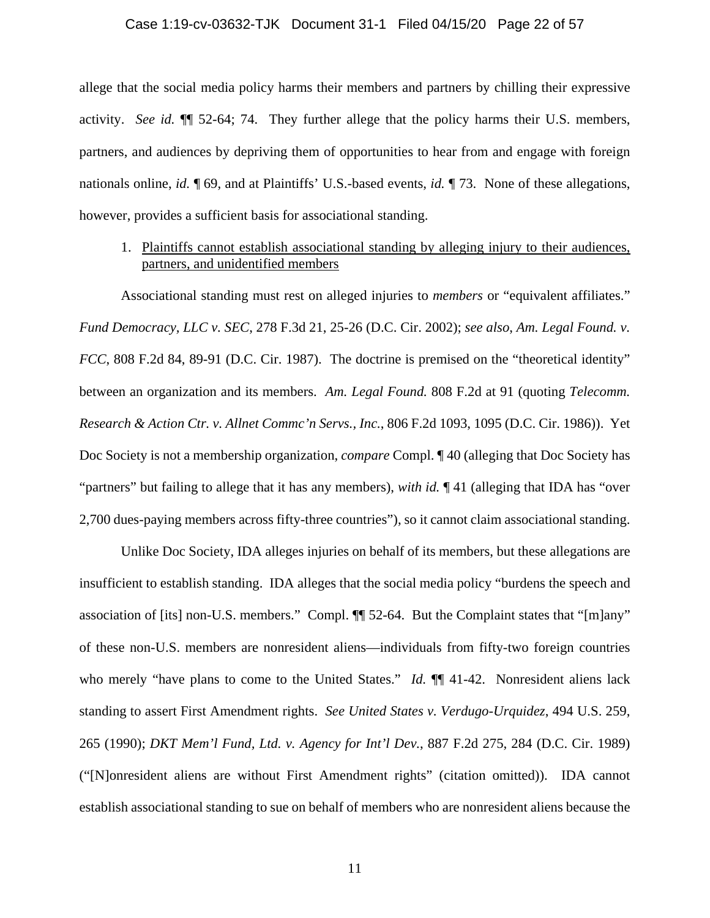#### Case 1:19-cv-03632-TJK Document 31-1 Filed 04/15/20 Page 22 of 57

allege that the social media policy harms their members and partners by chilling their expressive activity. *See id.* ¶¶ 52-64; 74. They further allege that the policy harms their U.S. members, partners, and audiences by depriving them of opportunities to hear from and engage with foreign nationals online, *id.* ¶ 69, and at Plaintiffs' U.S.-based events, *id.* ¶ 73. None of these allegations, however, provides a sufficient basis for associational standing.

# 1. Plaintiffs cannot establish associational standing by alleging injury to their audiences, partners, and unidentified members

Associational standing must rest on alleged injuries to *members* or "equivalent affiliates." *Fund Democracy, LLC v. SEC*, 278 F.3d 21, 25-26 (D.C. Cir. 2002); *see also*, *Am. Legal Found. v. FCC*, 808 F.2d 84, 89-91 (D.C. Cir. 1987). The doctrine is premised on the "theoretical identity" between an organization and its members. *Am. Legal Found.* 808 F.2d at 91 (quoting *Telecomm. Research & Action Ctr. v. Allnet Commc'n Servs., Inc.*, 806 F.2d 1093, 1095 (D.C. Cir. 1986)). Yet Doc Society is not a membership organization, *compare* Compl. ¶ 40 (alleging that Doc Society has "partners" but failing to allege that it has any members), *with id.* ¶ 41 (alleging that IDA has "over 2,700 dues-paying members across fifty-three countries"), so it cannot claim associational standing.

Unlike Doc Society, IDA alleges injuries on behalf of its members, but these allegations are insufficient to establish standing. IDA alleges that the social media policy "burdens the speech and association of [its] non-U.S. members." Compl. ¶¶ 52-64. But the Complaint states that "[m]any" of these non-U.S. members are nonresident aliens—individuals from fifty-two foreign countries who merely "have plans to come to the United States." *Id.*  $\P$  41-42. Nonresident aliens lack standing to assert First Amendment rights. *See United States v. Verdugo-Urquidez*, 494 U.S. 259, 265 (1990); *DKT Mem'l Fund, Ltd. v. Agency for Int'l Dev.*, 887 F.2d 275, 284 (D.C. Cir. 1989) ("[N]onresident aliens are without First Amendment rights" (citation omitted)). IDA cannot establish associational standing to sue on behalf of members who are nonresident aliens because the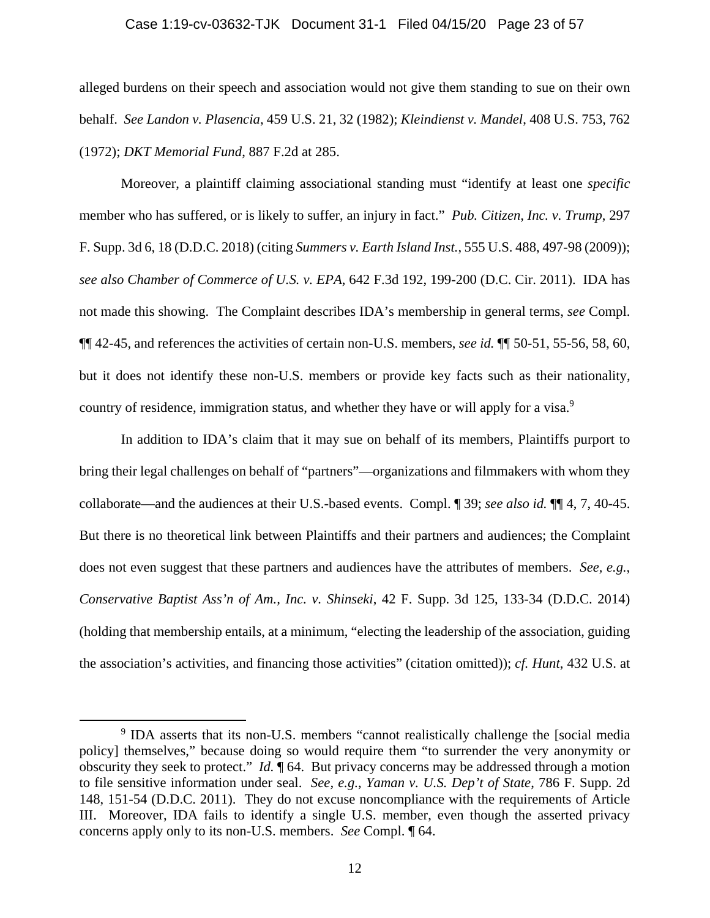#### Case 1:19-cv-03632-TJK Document 31-1 Filed 04/15/20 Page 23 of 57

alleged burdens on their speech and association would not give them standing to sue on their own behalf. *See Landon v. Plasencia*, 459 U.S. 21, 32 (1982); *Kleindienst v. Mandel*, 408 U.S. 753, 762 (1972); *DKT Memorial Fund*, 887 F.2d at 285.

Moreover, a plaintiff claiming associational standing must "identify at least one *specific* member who has suffered, or is likely to suffer, an injury in fact." *Pub. Citizen, Inc. v. Trump*, 297 F. Supp. 3d 6, 18 (D.D.C. 2018) (citing *Summers v. Earth Island Inst.*, 555 U.S. 488, 497-98 (2009)); *see also Chamber of Commerce of U.S. v. EPA*, 642 F.3d 192, 199-200 (D.C. Cir. 2011). IDA has not made this showing. The Complaint describes IDA's membership in general terms, *see* Compl. ¶¶ 42-45, and references the activities of certain non-U.S. members, *see id.* ¶¶ 50-51, 55-56, 58, 60, but it does not identify these non-U.S. members or provide key facts such as their nationality, country of residence, immigration status, and whether they have or will apply for a visa.<sup>9</sup>

In addition to IDA's claim that it may sue on behalf of its members, Plaintiffs purport to bring their legal challenges on behalf of "partners"—organizations and filmmakers with whom they collaborate—and the audiences at their U.S.-based events. Compl. ¶ 39; *see also id.* ¶¶ 4, 7, 40-45. But there is no theoretical link between Plaintiffs and their partners and audiences; the Complaint does not even suggest that these partners and audiences have the attributes of members. *See, e.g.*, *Conservative Baptist Ass'n of Am., Inc. v. Shinseki*, 42 F. Supp. 3d 125, 133-34 (D.D.C. 2014) (holding that membership entails, at a minimum, "electing the leadership of the association, guiding the association's activities, and financing those activities" (citation omitted)); *cf. Hunt*, 432 U.S. at

 <sup>9</sup> <sup>9</sup> IDA asserts that its non-U.S. members "cannot realistically challenge the [social media policy] themselves," because doing so would require them "to surrender the very anonymity or obscurity they seek to protect." *Id.* ¶ 64. But privacy concerns may be addressed through a motion to file sensitive information under seal. *See, e.g.*, *Yaman v. U.S. Dep't of State*, 786 F. Supp. 2d 148, 151-54 (D.D.C. 2011). They do not excuse noncompliance with the requirements of Article III. Moreover, IDA fails to identify a single U.S. member, even though the asserted privacy concerns apply only to its non-U.S. members. *See* Compl. ¶ 64.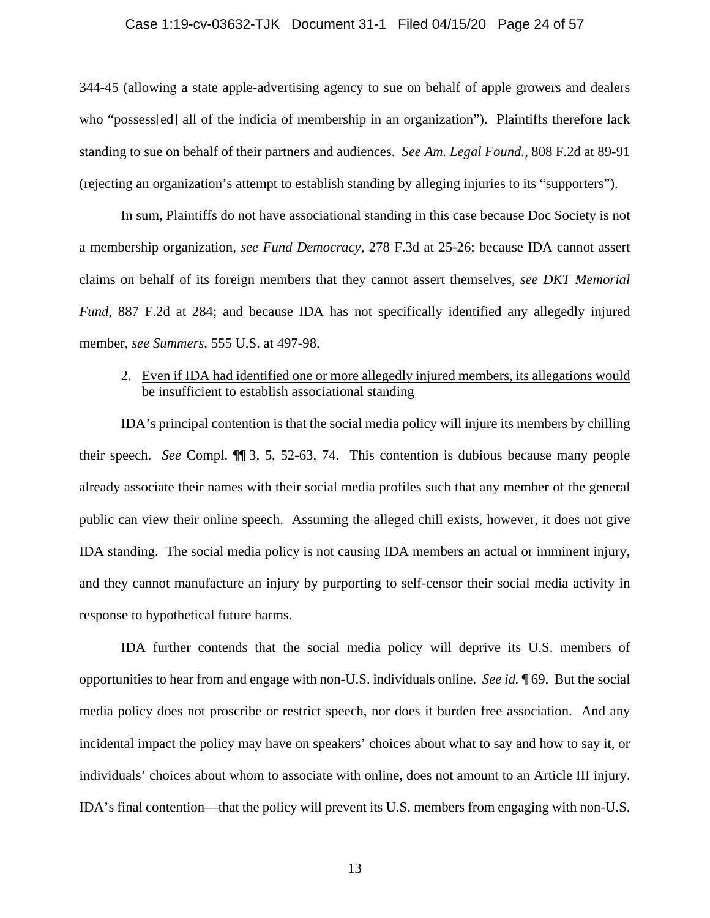#### Case 1:19-cv-03632-TJK Document 31-1 Filed 04/15/20 Page 24 of 57

344-45 (allowing a state apple-advertising agency to sue on behalf of apple growers and dealers who "possess[ed] all of the indicia of membership in an organization"). Plaintiffs therefore lack standing to sue on behalf of their partners and audiences. *See Am. Legal Found.*, 808 F.2d at 89-91 (rejecting an organization's attempt to establish standing by alleging injuries to its "supporters").

In sum, Plaintiffs do not have associational standing in this case because Doc Society is not a membership organization, *see Fund Democracy*, 278 F.3d at 25-26; because IDA cannot assert claims on behalf of its foreign members that they cannot assert themselves, *see DKT Memorial Fund*, 887 F.2d at 284; and because IDA has not specifically identified any allegedly injured member, *see Summers*, 555 U.S. at 497-98.

# 2. Even if IDA had identified one or more allegedly injured members, its allegations would be insufficient to establish associational standing

IDA's principal contention is that the social media policy will injure its members by chilling their speech. *See* Compl. ¶¶ 3, 5, 52-63, 74. This contention is dubious because many people already associate their names with their social media profiles such that any member of the general public can view their online speech. Assuming the alleged chill exists, however, it does not give IDA standing. The social media policy is not causing IDA members an actual or imminent injury, and they cannot manufacture an injury by purporting to self-censor their social media activity in response to hypothetical future harms.

IDA further contends that the social media policy will deprive its U.S. members of opportunities to hear from and engage with non-U.S. individuals online. *See id.* ¶ 69. But the social media policy does not proscribe or restrict speech, nor does it burden free association. And any incidental impact the policy may have on speakers' choices about what to say and how to say it, or individuals' choices about whom to associate with online, does not amount to an Article III injury. IDA's final contention—that the policy will prevent its U.S. members from engaging with non-U.S.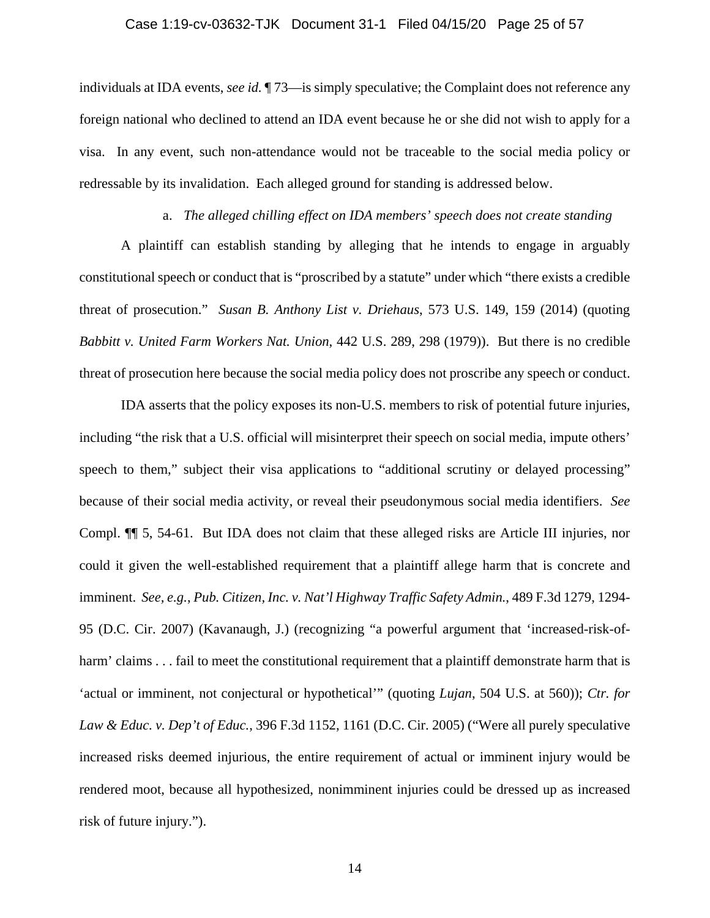individuals at IDA events, *see id.* ¶ 73—is simply speculative; the Complaint does not reference any foreign national who declined to attend an IDA event because he or she did not wish to apply for a visa. In any event, such non-attendance would not be traceable to the social media policy or redressable by its invalidation. Each alleged ground for standing is addressed below.

## a. *The alleged chilling effect on IDA members' speech does not create standing*

A plaintiff can establish standing by alleging that he intends to engage in arguably constitutional speech or conduct that is "proscribed by a statute" under which "there exists a credible threat of prosecution." *Susan B. Anthony List v. Driehaus*, 573 U.S. 149, 159 (2014) (quoting *Babbitt v. United Farm Workers Nat. Union*, 442 U.S. 289, 298 (1979)). But there is no credible threat of prosecution here because the social media policy does not proscribe any speech or conduct.

IDA asserts that the policy exposes its non-U.S. members to risk of potential future injuries, including "the risk that a U.S. official will misinterpret their speech on social media, impute others' speech to them," subject their visa applications to "additional scrutiny or delayed processing" because of their social media activity, or reveal their pseudonymous social media identifiers. *See*  Compl. ¶¶ 5, 54-61. But IDA does not claim that these alleged risks are Article III injuries, nor could it given the well-established requirement that a plaintiff allege harm that is concrete and imminent. *See, e.g.*, *Pub. Citizen, Inc. v. Nat'l Highway Traffic Safety Admin.*, 489 F.3d 1279, 1294- 95 (D.C. Cir. 2007) (Kavanaugh, J.) (recognizing "a powerful argument that 'increased-risk-ofharm' claims . . . fail to meet the constitutional requirement that a plaintiff demonstrate harm that is 'actual or imminent, not conjectural or hypothetical'" (quoting *Lujan*, 504 U.S. at 560)); *Ctr. for Law & Educ. v. Dep't of Educ.*, 396 F.3d 1152, 1161 (D.C. Cir. 2005) ("Were all purely speculative increased risks deemed injurious, the entire requirement of actual or imminent injury would be rendered moot, because all hypothesized, nonimminent injuries could be dressed up as increased risk of future injury.").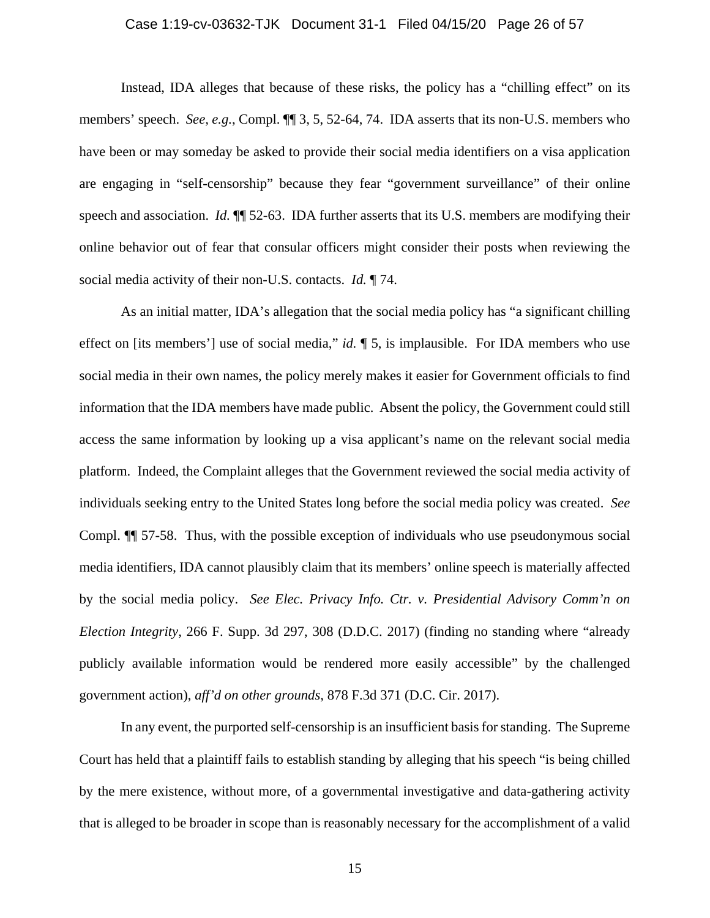## Case 1:19-cv-03632-TJK Document 31-1 Filed 04/15/20 Page 26 of 57

Instead, IDA alleges that because of these risks, the policy has a "chilling effect" on its members' speech. *See, e.g.*, Compl. ¶¶ 3, 5, 52-64, 74. IDA asserts that its non-U.S. members who have been or may someday be asked to provide their social media identifiers on a visa application are engaging in "self-censorship" because they fear "government surveillance" of their online speech and association. *Id.* ¶¶ 52-63. IDA further asserts that its U.S. members are modifying their online behavior out of fear that consular officers might consider their posts when reviewing the social media activity of their non-U.S. contacts. *Id.* ¶ 74.

As an initial matter, IDA's allegation that the social media policy has "a significant chilling effect on [its members'] use of social media," *id.* ¶ 5, is implausible. For IDA members who use social media in their own names, the policy merely makes it easier for Government officials to find information that the IDA members have made public. Absent the policy, the Government could still access the same information by looking up a visa applicant's name on the relevant social media platform. Indeed, the Complaint alleges that the Government reviewed the social media activity of individuals seeking entry to the United States long before the social media policy was created. *See*  Compl. ¶¶ 57-58. Thus, with the possible exception of individuals who use pseudonymous social media identifiers, IDA cannot plausibly claim that its members' online speech is materially affected by the social media policy. *See Elec. Privacy Info. Ctr. v. Presidential Advisory Comm'n on Election Integrity*, 266 F. Supp. 3d 297, 308 (D.D.C. 2017) (finding no standing where "already publicly available information would be rendered more easily accessible" by the challenged government action), *aff'd on other grounds,* 878 F.3d 371 (D.C. Cir. 2017).

In any event, the purported self-censorship is an insufficient basis for standing. The Supreme Court has held that a plaintiff fails to establish standing by alleging that his speech "is being chilled by the mere existence, without more, of a governmental investigative and data-gathering activity that is alleged to be broader in scope than is reasonably necessary for the accomplishment of a valid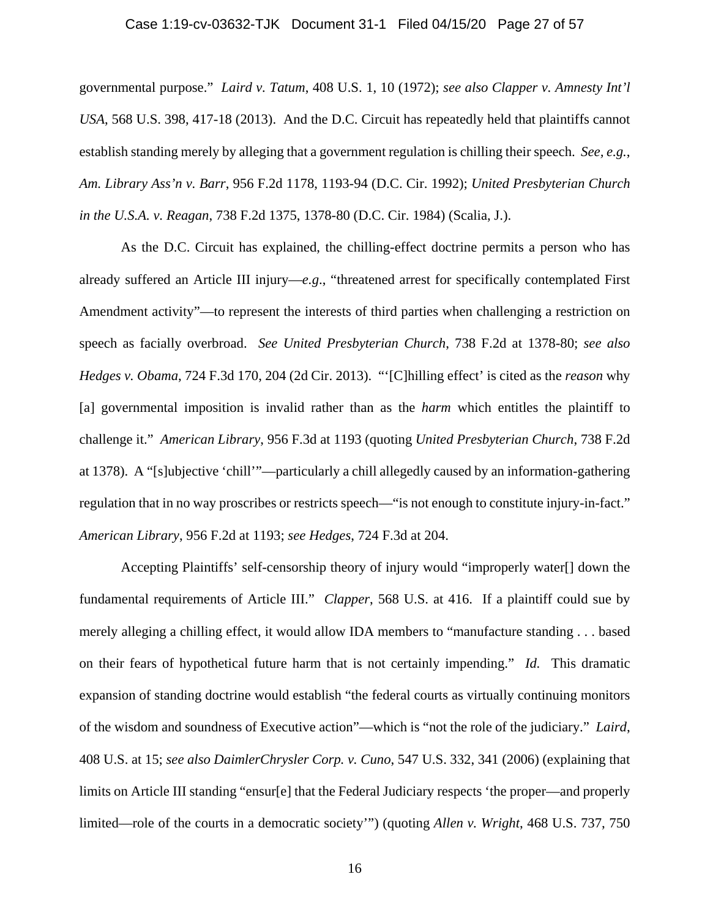## Case 1:19-cv-03632-TJK Document 31-1 Filed 04/15/20 Page 27 of 57

governmental purpose." *Laird v. Tatum*, 408 U.S. 1, 10 (1972); *see also Clapper v. Amnesty Int'l USA*, 568 U.S. 398, 417-18 (2013). And the D.C. Circuit has repeatedly held that plaintiffs cannot establish standing merely by alleging that a government regulation is chilling their speech. *See, e.g.*, *Am. Library Ass'n v. Barr*, 956 F.2d 1178, 1193-94 (D.C. Cir. 1992); *United Presbyterian Church in the U.S.A. v. Reagan*, 738 F.2d 1375, 1378-80 (D.C. Cir. 1984) (Scalia, J.).

As the D.C. Circuit has explained, the chilling-effect doctrine permits a person who has already suffered an Article III injury—*e.g*., "threatened arrest for specifically contemplated First Amendment activity"—to represent the interests of third parties when challenging a restriction on speech as facially overbroad. *See United Presbyterian Church*, 738 F.2d at 1378-80; *see also Hedges v. Obama*, 724 F.3d 170, 204 (2d Cir. 2013). "'[C]hilling effect' is cited as the *reason* why [a] governmental imposition is invalid rather than as the *harm* which entitles the plaintiff to challenge it." *American Library*, 956 F.3d at 1193 (quoting *United Presbyterian Church*, 738 F.2d at 1378). A "[s]ubjective 'chill'"—particularly a chill allegedly caused by an information-gathering regulation that in no way proscribes or restricts speech—"is not enough to constitute injury-in-fact." *American Library*, 956 F.2d at 1193; *see Hedges*, 724 F.3d at 204.

Accepting Plaintiffs' self-censorship theory of injury would "improperly water[] down the fundamental requirements of Article III." *Clapper*, 568 U.S. at 416. If a plaintiff could sue by merely alleging a chilling effect, it would allow IDA members to "manufacture standing . . . based on their fears of hypothetical future harm that is not certainly impending." *Id.* This dramatic expansion of standing doctrine would establish "the federal courts as virtually continuing monitors of the wisdom and soundness of Executive action"—which is "not the role of the judiciary." *Laird*, 408 U.S. at 15; *see also DaimlerChrysler Corp. v. Cuno*, 547 U.S. 332, 341 (2006) (explaining that limits on Article III standing "ensur[e] that the Federal Judiciary respects 'the proper—and properly limited—role of the courts in a democratic society'") (quoting *Allen v. Wright*, 468 U.S. 737, 750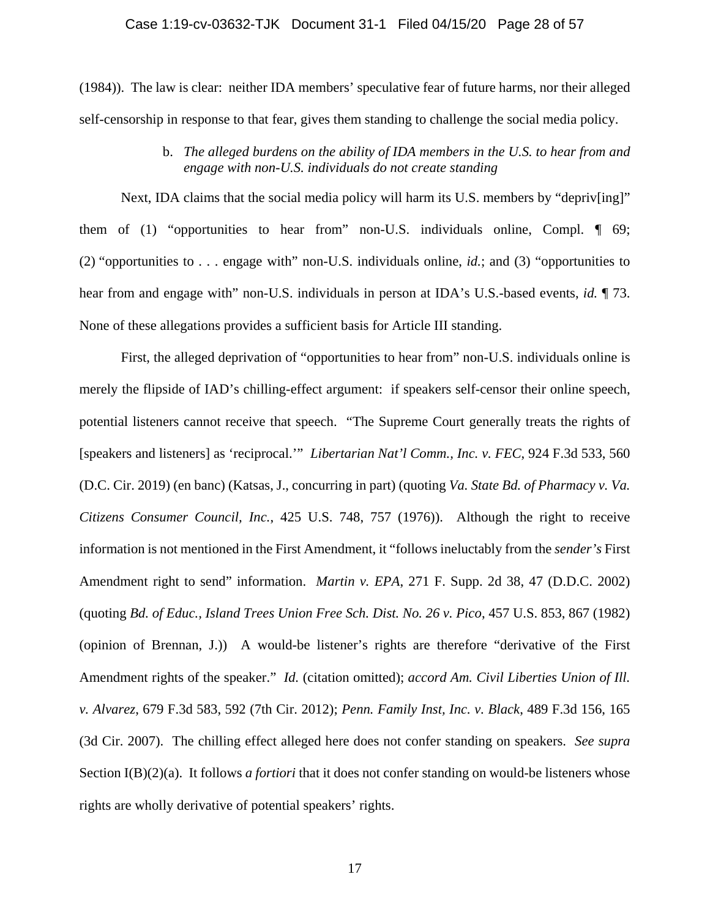(1984)). The law is clear: neither IDA members' speculative fear of future harms, nor their alleged self-censorship in response to that fear, gives them standing to challenge the social media policy.

> b. *The alleged burdens on the ability of IDA members in the U.S. to hear from and engage with non-U.S. individuals do not create standing*

Next, IDA claims that the social media policy will harm its U.S. members by "depriv[ing]" them of (1) "opportunities to hear from" non-U.S. individuals online, Compl.  $\P$  69; (2) "opportunities to . . . engage with" non-U.S. individuals online, *id.*; and (3) "opportunities to hear from and engage with" non-U.S. individuals in person at IDA's U.S.-based events, *id.* ¶ 73. None of these allegations provides a sufficient basis for Article III standing.

First, the alleged deprivation of "opportunities to hear from" non-U.S. individuals online is merely the flipside of IAD's chilling-effect argument: if speakers self-censor their online speech, potential listeners cannot receive that speech. "The Supreme Court generally treats the rights of [speakers and listeners] as 'reciprocal.'" *Libertarian Nat'l Comm., Inc. v. FEC*, 924 F.3d 533, 560 (D.C. Cir. 2019) (en banc) (Katsas, J., concurring in part) (quoting *Va. State Bd. of Pharmacy v. Va. Citizens Consumer Council, Inc.*, 425 U.S. 748, 757 (1976)). Although the right to receive information is not mentioned in the First Amendment, it "follows ineluctably from the *sender's* First Amendment right to send" information. *Martin v. EPA*, 271 F. Supp. 2d 38, 47 (D.D.C. 2002) (quoting *Bd. of Educ., Island Trees Union Free Sch. Dist. No. 26 v. Pico*, 457 U.S. 853, 867 (1982) (opinion of Brennan, J.)) A would-be listener's rights are therefore "derivative of the First Amendment rights of the speaker." *Id.* (citation omitted); *accord Am. Civil Liberties Union of Ill. v. Alvarez*, 679 F.3d 583, 592 (7th Cir. 2012); *Penn. Family Inst, Inc. v. Black*, 489 F.3d 156, 165 (3d Cir. 2007). The chilling effect alleged here does not confer standing on speakers. *See supra*  Section I(B)(2)(a). It follows *a fortiori* that it does not confer standing on would-be listeners whose rights are wholly derivative of potential speakers' rights.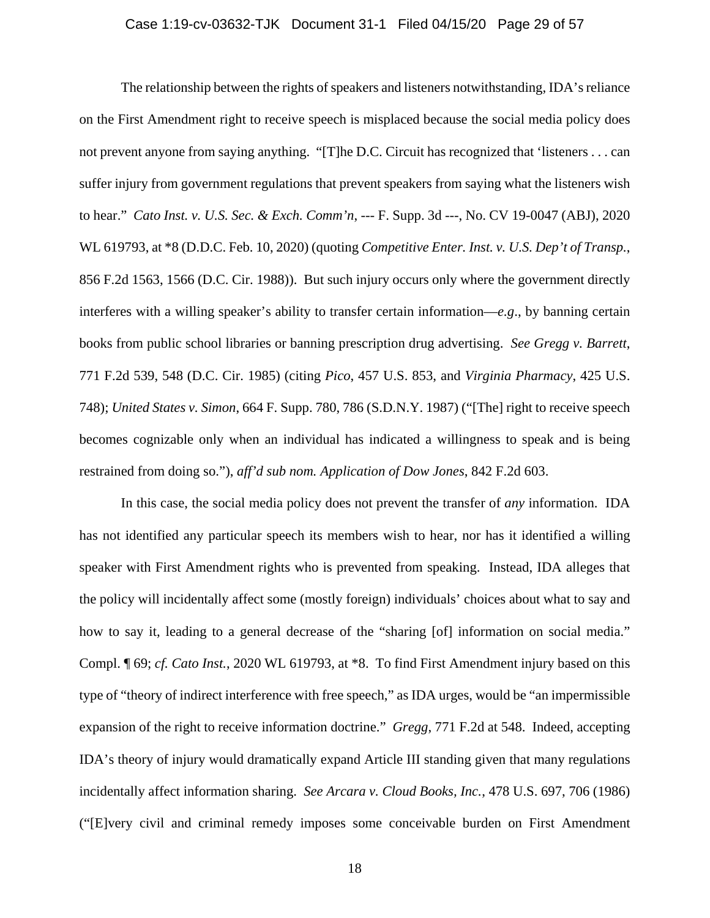## Case 1:19-cv-03632-TJK Document 31-1 Filed 04/15/20 Page 29 of 57

The relationship between the rights of speakers and listeners notwithstanding, IDA's reliance on the First Amendment right to receive speech is misplaced because the social media policy does not prevent anyone from saying anything. "[T]he D.C. Circuit has recognized that 'listeners . . . can suffer injury from government regulations that prevent speakers from saying what the listeners wish to hear." *Cato Inst. v. U.S. Sec. & Exch. Comm'n*, --- F. Supp. 3d ---, No. CV 19-0047 (ABJ), 2020 WL 619793, at \*8 (D.D.C. Feb. 10, 2020) (quoting *Competitive Enter. Inst. v. U.S. Dep't of Transp.*, 856 F.2d 1563, 1566 (D.C. Cir. 1988)). But such injury occurs only where the government directly interferes with a willing speaker's ability to transfer certain information—*e.g*., by banning certain books from public school libraries or banning prescription drug advertising. *See Gregg v. Barrett*, 771 F.2d 539, 548 (D.C. Cir. 1985) (citing *Pico*, 457 U.S. 853, and *Virginia Pharmacy*, 425 U.S. 748); *United States v. Simon*, 664 F. Supp. 780, 786 (S.D.N.Y. 1987) ("[The] right to receive speech becomes cognizable only when an individual has indicated a willingness to speak and is being restrained from doing so."), *aff'd sub nom. Application of Dow Jones*, 842 F.2d 603.

In this case, the social media policy does not prevent the transfer of *any* information. IDA has not identified any particular speech its members wish to hear, nor has it identified a willing speaker with First Amendment rights who is prevented from speaking. Instead, IDA alleges that the policy will incidentally affect some (mostly foreign) individuals' choices about what to say and how to say it, leading to a general decrease of the "sharing [of] information on social media." Compl. ¶ 69; *cf. Cato Inst.*, 2020 WL 619793, at \*8. To find First Amendment injury based on this type of "theory of indirect interference with free speech," as IDA urges, would be "an impermissible expansion of the right to receive information doctrine." *Gregg*, 771 F.2d at 548. Indeed, accepting IDA's theory of injury would dramatically expand Article III standing given that many regulations incidentally affect information sharing. *See Arcara v. Cloud Books, Inc.*, 478 U.S. 697, 706 (1986) ("[E]very civil and criminal remedy imposes some conceivable burden on First Amendment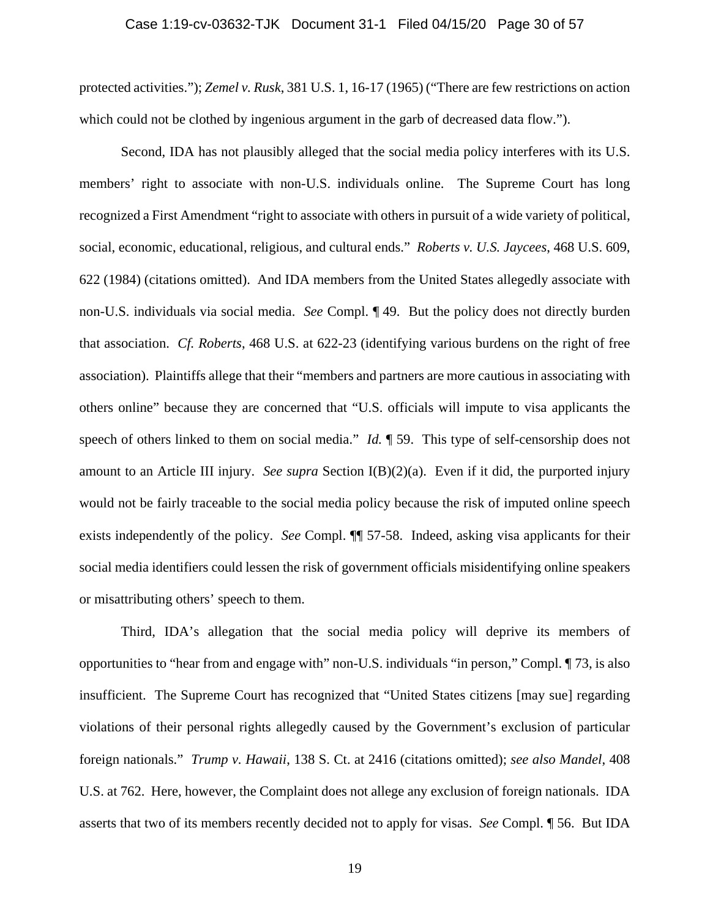#### Case 1:19-cv-03632-TJK Document 31-1 Filed 04/15/20 Page 30 of 57

protected activities."); *Zemel v. Rusk*, 381 U.S. 1, 16-17 (1965) ("There are few restrictions on action which could not be clothed by ingenious argument in the garb of decreased data flow.").

Second, IDA has not plausibly alleged that the social media policy interferes with its U.S. members' right to associate with non-U.S. individuals online. The Supreme Court has long recognized a First Amendment "right to associate with others in pursuit of a wide variety of political, social, economic, educational, religious, and cultural ends." *Roberts v. U.S. Jaycees*, 468 U.S. 609, 622 (1984) (citations omitted). And IDA members from the United States allegedly associate with non-U.S. individuals via social media. *See* Compl. ¶ 49. But the policy does not directly burden that association. *Cf. Roberts*, 468 U.S. at 622-23 (identifying various burdens on the right of free association). Plaintiffs allege that their "members and partners are more cautious in associating with others online" because they are concerned that "U.S. officials will impute to visa applicants the speech of others linked to them on social media." *Id.* 159. This type of self-censorship does not amount to an Article III injury. *See supra* Section I(B)(2)(a). Even if it did, the purported injury would not be fairly traceable to the social media policy because the risk of imputed online speech exists independently of the policy. *See* Compl. ¶¶ 57-58. Indeed, asking visa applicants for their social media identifiers could lessen the risk of government officials misidentifying online speakers or misattributing others' speech to them.

Third, IDA's allegation that the social media policy will deprive its members of opportunities to "hear from and engage with" non-U.S. individuals "in person," Compl. ¶ 73, is also insufficient. The Supreme Court has recognized that "United States citizens [may sue] regarding violations of their personal rights allegedly caused by the Government's exclusion of particular foreign nationals." *Trump v. Hawaii*, 138 S. Ct. at 2416 (citations omitted); *see also Mandel*, 408 U.S. at 762. Here, however, the Complaint does not allege any exclusion of foreign nationals. IDA asserts that two of its members recently decided not to apply for visas. *See* Compl. ¶ 56. But IDA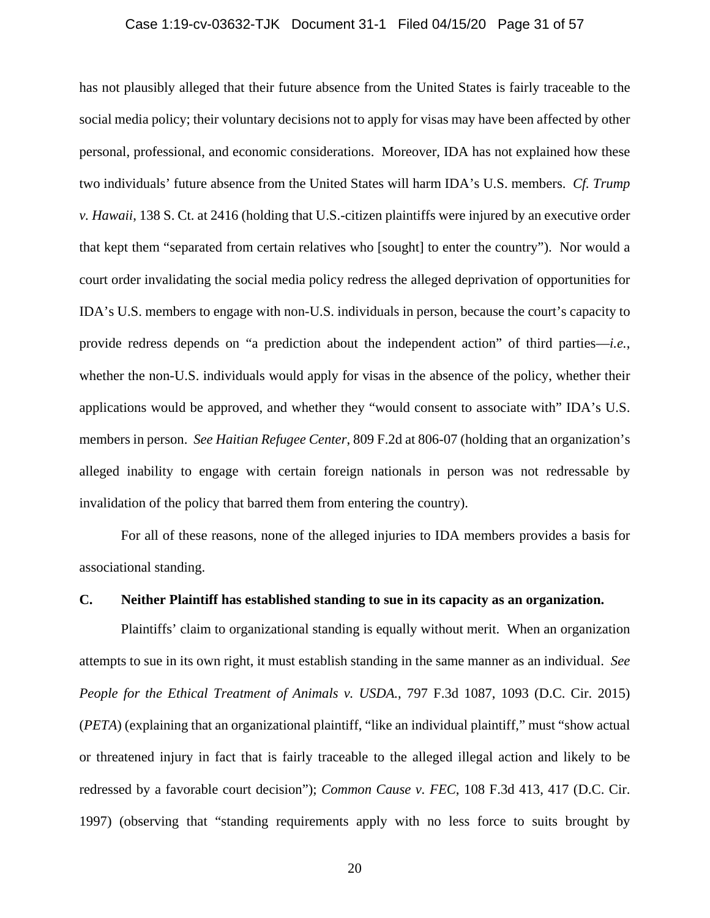#### Case 1:19-cv-03632-TJK Document 31-1 Filed 04/15/20 Page 31 of 57

has not plausibly alleged that their future absence from the United States is fairly traceable to the social media policy; their voluntary decisions not to apply for visas may have been affected by other personal, professional, and economic considerations. Moreover, IDA has not explained how these two individuals' future absence from the United States will harm IDA's U.S. members. *Cf. Trump v. Hawaii*, 138 S. Ct. at 2416 (holding that U.S.-citizen plaintiffs were injured by an executive order that kept them "separated from certain relatives who [sought] to enter the country"). Nor would a court order invalidating the social media policy redress the alleged deprivation of opportunities for IDA's U.S. members to engage with non-U.S. individuals in person, because the court's capacity to provide redress depends on "a prediction about the independent action" of third parties—*i.e.*, whether the non-U.S. individuals would apply for visas in the absence of the policy, whether their applications would be approved, and whether they "would consent to associate with" IDA's U.S. members in person. *See Haitian Refugee Center*, 809 F.2d at 806-07 (holding that an organization's alleged inability to engage with certain foreign nationals in person was not redressable by invalidation of the policy that barred them from entering the country).

For all of these reasons, none of the alleged injuries to IDA members provides a basis for associational standing.

# **C. Neither Plaintiff has established standing to sue in its capacity as an organization.**

Plaintiffs' claim to organizational standing is equally without merit. When an organization attempts to sue in its own right, it must establish standing in the same manner as an individual. *See People for the Ethical Treatment of Animals v. USDA.*, 797 F.3d 1087, 1093 (D.C. Cir. 2015) (*PETA*) (explaining that an organizational plaintiff, "like an individual plaintiff," must "show actual or threatened injury in fact that is fairly traceable to the alleged illegal action and likely to be redressed by a favorable court decision"); *Common Cause v. FEC*, 108 F.3d 413, 417 (D.C. Cir. 1997) (observing that "standing requirements apply with no less force to suits brought by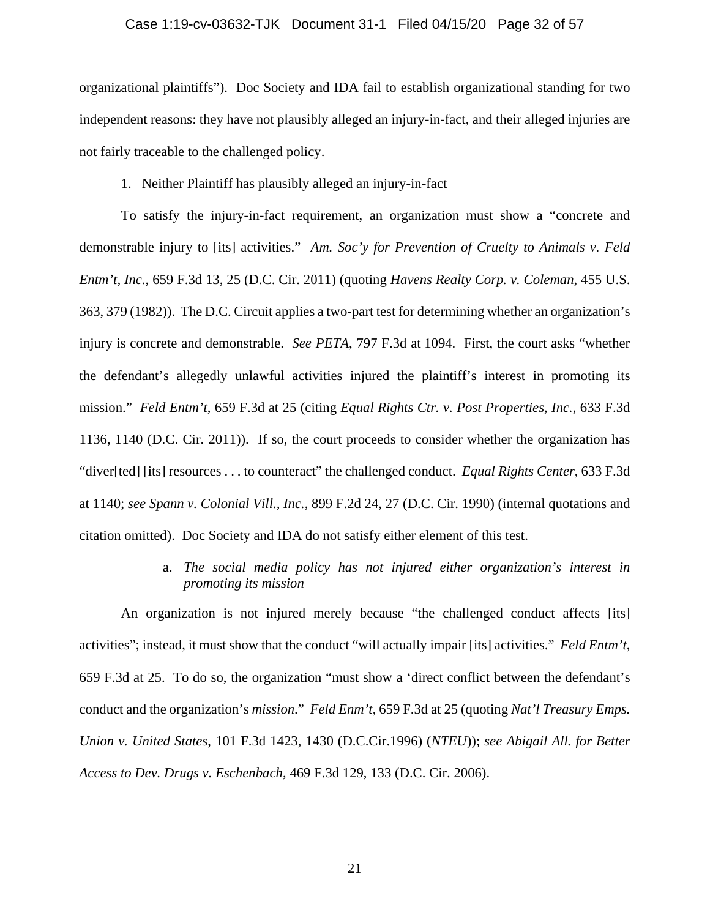#### Case 1:19-cv-03632-TJK Document 31-1 Filed 04/15/20 Page 32 of 57

organizational plaintiffs"). Doc Society and IDA fail to establish organizational standing for two independent reasons: they have not plausibly alleged an injury-in-fact, and their alleged injuries are not fairly traceable to the challenged policy.

#### 1. Neither Plaintiff has plausibly alleged an injury-in-fact

To satisfy the injury-in-fact requirement, an organization must show a "concrete and demonstrable injury to [its] activities." *Am. Soc'y for Prevention of Cruelty to Animals v. Feld Entm't, Inc.*, 659 F.3d 13, 25 (D.C. Cir. 2011) (quoting *Havens Realty Corp. v. Coleman*, 455 U.S. 363, 379 (1982)). The D.C. Circuit applies a two-part test for determining whether an organization's injury is concrete and demonstrable. *See PETA*, 797 F.3d at 1094. First, the court asks "whether the defendant's allegedly unlawful activities injured the plaintiff's interest in promoting its mission." *Feld Entm't*, 659 F.3d at 25 (citing *Equal Rights Ctr. v. Post Properties, Inc.*, 633 F.3d 1136, 1140 (D.C. Cir. 2011)). If so, the court proceeds to consider whether the organization has "diver[ted] [its] resources . . . to counteract" the challenged conduct. *Equal Rights Center*, 633 F.3d at 1140; *see Spann v. Colonial Vill., Inc.*, 899 F.2d 24, 27 (D.C. Cir. 1990) (internal quotations and citation omitted). Doc Society and IDA do not satisfy either element of this test.

# a. *The social media policy has not injured either organization's interest in promoting its mission*

An organization is not injured merely because "the challenged conduct affects [its] activities"; instead, it must show that the conduct "will actually impair [its] activities." *Feld Entm't*, 659 F.3d at 25. To do so, the organization "must show a 'direct conflict between the defendant's conduct and the organization's *mission*." *Feld Enm't*, 659 F.3d at 25 (quoting *Nat'l Treasury Emps. Union v. United States*, 101 F.3d 1423, 1430 (D.C.Cir.1996) (*NTEU*)); *see Abigail All. for Better Access to Dev. Drugs v. Eschenbach*, 469 F.3d 129, 133 (D.C. Cir. 2006).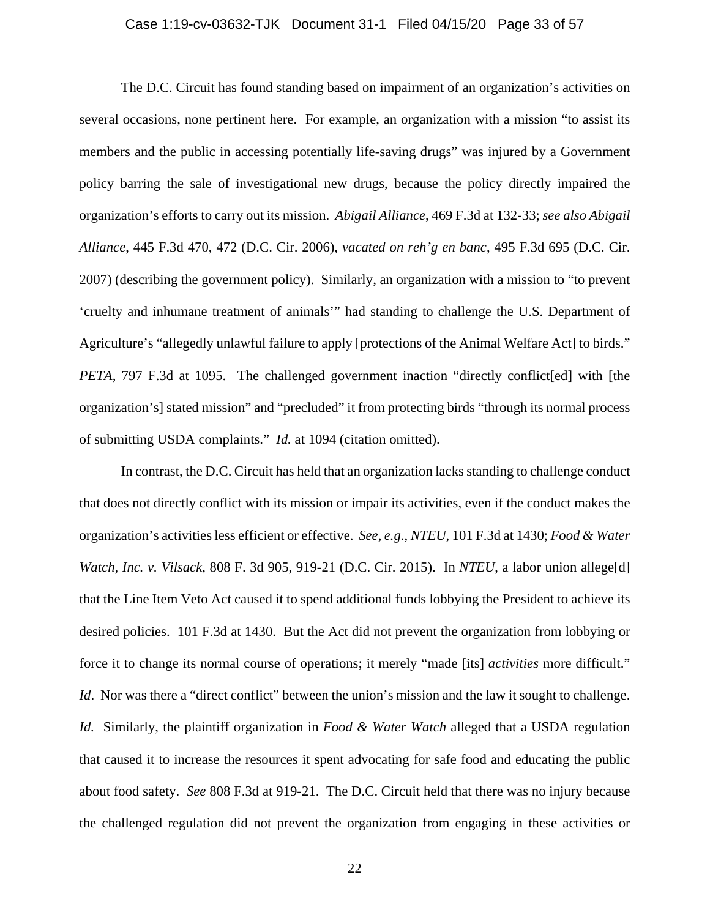#### Case 1:19-cv-03632-TJK Document 31-1 Filed 04/15/20 Page 33 of 57

The D.C. Circuit has found standing based on impairment of an organization's activities on several occasions, none pertinent here. For example, an organization with a mission "to assist its members and the public in accessing potentially life-saving drugs" was injured by a Government policy barring the sale of investigational new drugs, because the policy directly impaired the organization's efforts to carry out its mission. *Abigail Alliance*, 469 F.3d at 132-33; *see also Abigail Alliance*, 445 F.3d 470, 472 (D.C. Cir. 2006), *vacated on reh'g en banc*, 495 F.3d 695 (D.C. Cir. 2007) (describing the government policy). Similarly, an organization with a mission to "to prevent 'cruelty and inhumane treatment of animals'" had standing to challenge the U.S. Department of Agriculture's "allegedly unlawful failure to apply [protections of the Animal Welfare Act] to birds." *PETA*, 797 F.3d at 1095. The challenged government inaction "directly conflict[ed] with [the organization's] stated mission" and "precluded" it from protecting birds "through its normal process of submitting USDA complaints." *Id.* at 1094 (citation omitted).

In contrast, the D.C. Circuit has held that an organization lacks standing to challenge conduct that does not directly conflict with its mission or impair its activities, even if the conduct makes the organization's activities less efficient or effective. *See, e.g.*, *NTEU*, 101 F.3d at 1430; *Food & Water Watch, Inc. v. Vilsack*, 808 F. 3d 905, 919-21 (D.C. Cir. 2015). In *NTEU*, a labor union allege[d] that the Line Item Veto Act caused it to spend additional funds lobbying the President to achieve its desired policies. 101 F.3d at 1430. But the Act did not prevent the organization from lobbying or force it to change its normal course of operations; it merely "made [its] *activities* more difficult." *Id.* Nor was there a "direct conflict" between the union's mission and the law it sought to challenge. *Id.* Similarly, the plaintiff organization in *Food & Water Watch* alleged that a USDA regulation that caused it to increase the resources it spent advocating for safe food and educating the public about food safety. *See* 808 F.3d at 919-21. The D.C. Circuit held that there was no injury because the challenged regulation did not prevent the organization from engaging in these activities or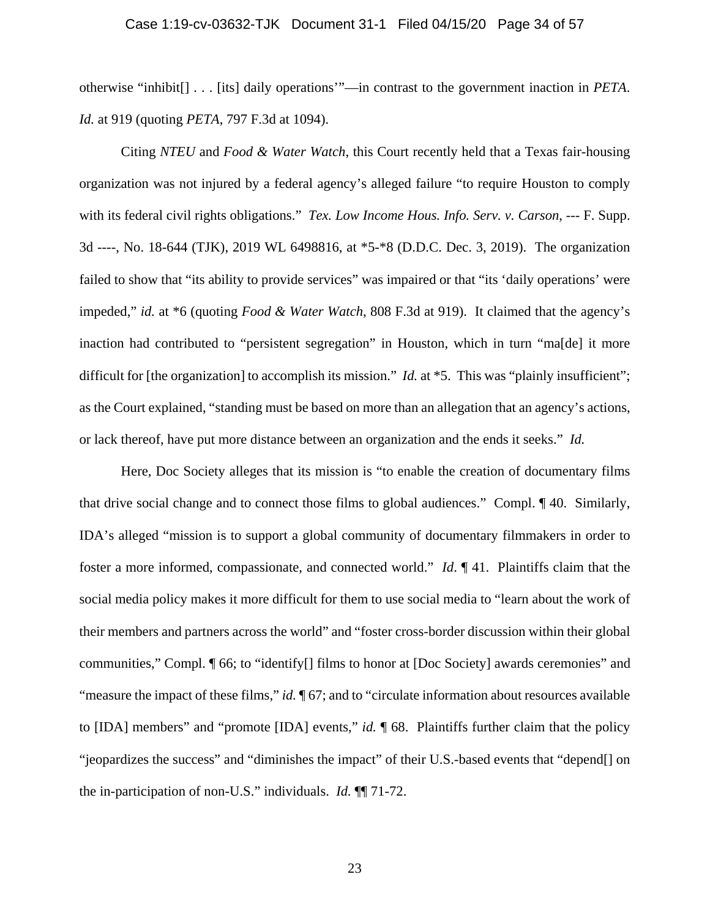#### Case 1:19-cv-03632-TJK Document 31-1 Filed 04/15/20 Page 34 of 57

otherwise "inhibit[] . . . [its] daily operations'"—in contrast to the government inaction in *PETA*. *Id.* at 919 (quoting *PETA*, 797 F.3d at 1094).

Citing *NTEU* and *Food & Water Watch*, this Court recently held that a Texas fair-housing organization was not injured by a federal agency's alleged failure "to require Houston to comply with its federal civil rights obligations." *Tex. Low Income Hous. Info. Serv. v. Carson*, --- F. Supp. 3d ----, No. 18-644 (TJK), 2019 WL 6498816, at \*5-\*8 (D.D.C. Dec. 3, 2019). The organization failed to show that "its ability to provide services" was impaired or that "its 'daily operations' were impeded," *id.* at \*6 (quoting *Food & Water Watch*, 808 F.3d at 919). It claimed that the agency's inaction had contributed to "persistent segregation" in Houston, which in turn "ma[de] it more difficult for [the organization] to accomplish its mission." *Id.* at \*5. This was "plainly insufficient"; as the Court explained, "standing must be based on more than an allegation that an agency's actions, or lack thereof, have put more distance between an organization and the ends it seeks." *Id.*

Here, Doc Society alleges that its mission is "to enable the creation of documentary films that drive social change and to connect those films to global audiences." Compl. ¶ 40. Similarly, IDA's alleged "mission is to support a global community of documentary filmmakers in order to foster a more informed, compassionate, and connected world." *Id*. ¶ 41. Plaintiffs claim that the social media policy makes it more difficult for them to use social media to "learn about the work of their members and partners across the world" and "foster cross-border discussion within their global communities," Compl. ¶ 66; to "identify[] films to honor at [Doc Society] awards ceremonies" and "measure the impact of these films," *id.* ¶ 67; and to "circulate information about resources available to [IDA] members" and "promote [IDA] events," *id.* ¶ 68. Plaintiffs further claim that the policy "jeopardizes the success" and "diminishes the impact" of their U.S.-based events that "depend[] on the in-participation of non-U.S." individuals. *Id.* ¶¶ 71-72.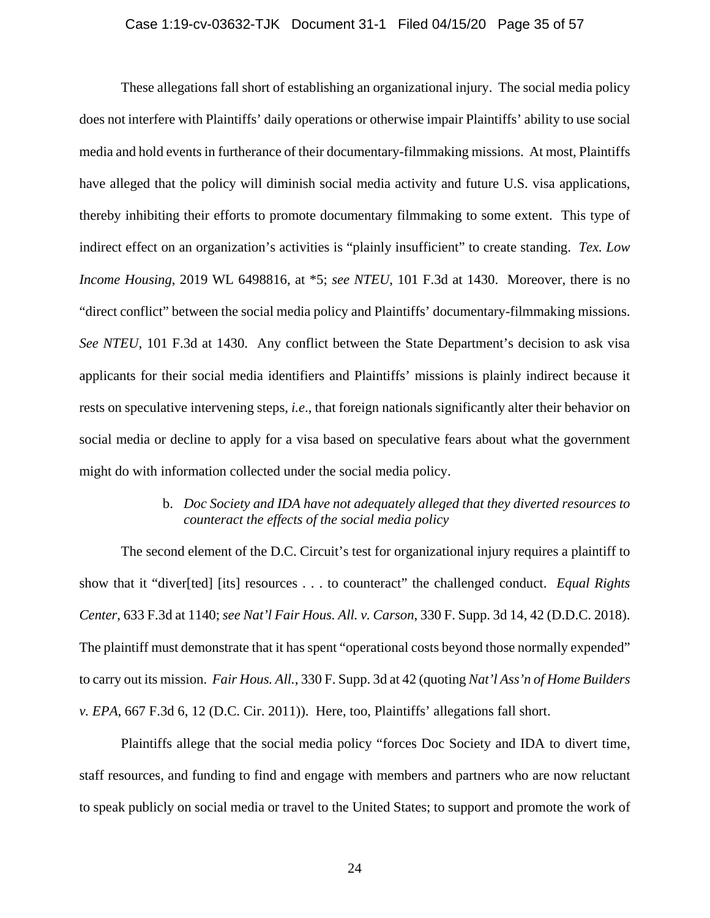#### Case 1:19-cv-03632-TJK Document 31-1 Filed 04/15/20 Page 35 of 57

These allegations fall short of establishing an organizational injury. The social media policy does not interfere with Plaintiffs' daily operations or otherwise impair Plaintiffs' ability to use social media and hold events in furtherance of their documentary-filmmaking missions. At most, Plaintiffs have alleged that the policy will diminish social media activity and future U.S. visa applications, thereby inhibiting their efforts to promote documentary filmmaking to some extent. This type of indirect effect on an organization's activities is "plainly insufficient" to create standing. *Tex. Low Income Housing*, 2019 WL 6498816, at \*5; *see NTEU*, 101 F.3d at 1430. Moreover, there is no "direct conflict" between the social media policy and Plaintiffs' documentary-filmmaking missions. *See NTEU*, 101 F.3d at 1430. Any conflict between the State Department's decision to ask visa applicants for their social media identifiers and Plaintiffs' missions is plainly indirect because it rests on speculative intervening steps, *i.e*., that foreign nationals significantly alter their behavior on social media or decline to apply for a visa based on speculative fears about what the government might do with information collected under the social media policy.

# b. *Doc Society and IDA have not adequately alleged that they diverted resources to counteract the effects of the social media policy*

The second element of the D.C. Circuit's test for organizational injury requires a plaintiff to show that it "diver[ted] [its] resources . . . to counteract" the challenged conduct. *Equal Rights Center*, 633 F.3d at 1140; *see Nat'l Fair Hous. All. v. Carson*, 330 F. Supp. 3d 14, 42 (D.D.C. 2018). The plaintiff must demonstrate that it has spent "operational costs beyond those normally expended" to carry out its mission. *Fair Hous. All.*, 330 F. Supp. 3d at 42 (quoting *Nat'l Ass'n of Home Builders v. EPA*, 667 F.3d 6, 12 (D.C. Cir. 2011)). Here, too, Plaintiffs' allegations fall short.

Plaintiffs allege that the social media policy "forces Doc Society and IDA to divert time, staff resources, and funding to find and engage with members and partners who are now reluctant to speak publicly on social media or travel to the United States; to support and promote the work of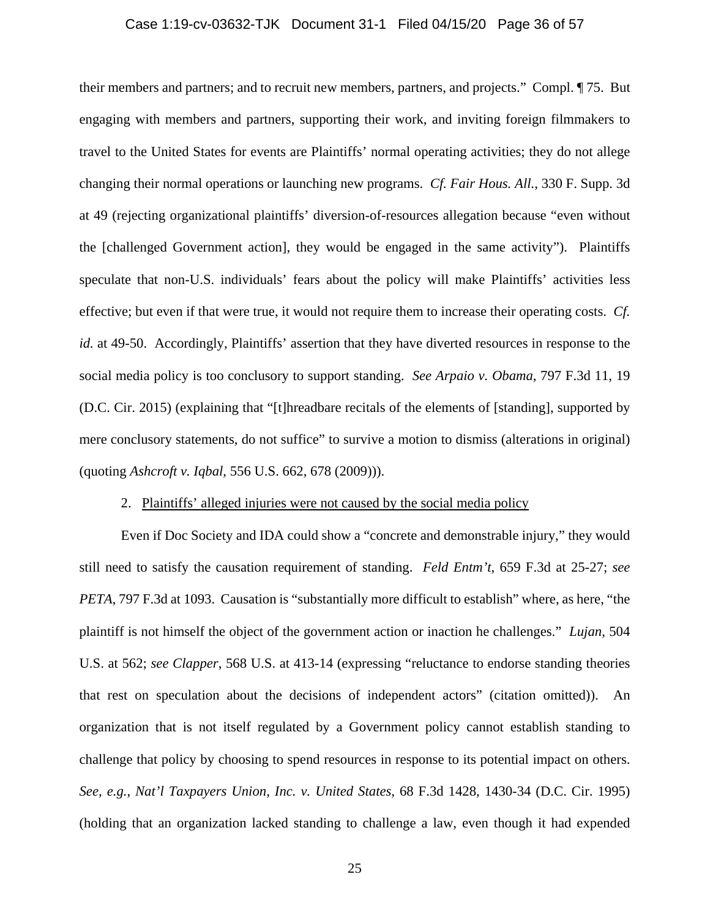## Case 1:19-cv-03632-TJK Document 31-1 Filed 04/15/20 Page 36 of 57

their members and partners; and to recruit new members, partners, and projects." Compl. ¶ 75. But engaging with members and partners, supporting their work, and inviting foreign filmmakers to travel to the United States for events are Plaintiffs' normal operating activities; they do not allege changing their normal operations or launching new programs. *Cf. Fair Hous. All.*, 330 F. Supp. 3d at 49 (rejecting organizational plaintiffs' diversion-of-resources allegation because "even without the [challenged Government action], they would be engaged in the same activity"). Plaintiffs speculate that non-U.S. individuals' fears about the policy will make Plaintiffs' activities less effective; but even if that were true, it would not require them to increase their operating costs. *Cf. id.* at 49-50. Accordingly, Plaintiffs' assertion that they have diverted resources in response to the social media policy is too conclusory to support standing. *See Arpaio v. Obama*, 797 F.3d 11, 19 (D.C. Cir. 2015) (explaining that "[t]hreadbare recitals of the elements of [standing], supported by mere conclusory statements, do not suffice" to survive a motion to dismiss (alterations in original) (quoting *Ashcroft v. Iqbal*, 556 U.S. 662, 678 (2009))).

# 2. Plaintiffs' alleged injuries were not caused by the social media policy

Even if Doc Society and IDA could show a "concrete and demonstrable injury," they would still need to satisfy the causation requirement of standing. *Feld Entm't*, 659 F.3d at 25-27; *see PETA*, 797 F.3d at 1093. Causation is "substantially more difficult to establish" where, as here, "the plaintiff is not himself the object of the government action or inaction he challenges." *Lujan*, 504 U.S. at 562; *see Clapper*, 568 U.S. at 413-14 (expressing "reluctance to endorse standing theories that rest on speculation about the decisions of independent actors" (citation omitted)). An organization that is not itself regulated by a Government policy cannot establish standing to challenge that policy by choosing to spend resources in response to its potential impact on others. *See, e.g.*, *Nat'l Taxpayers Union, Inc. v. United States*, 68 F.3d 1428, 1430-34 (D.C. Cir. 1995) (holding that an organization lacked standing to challenge a law, even though it had expended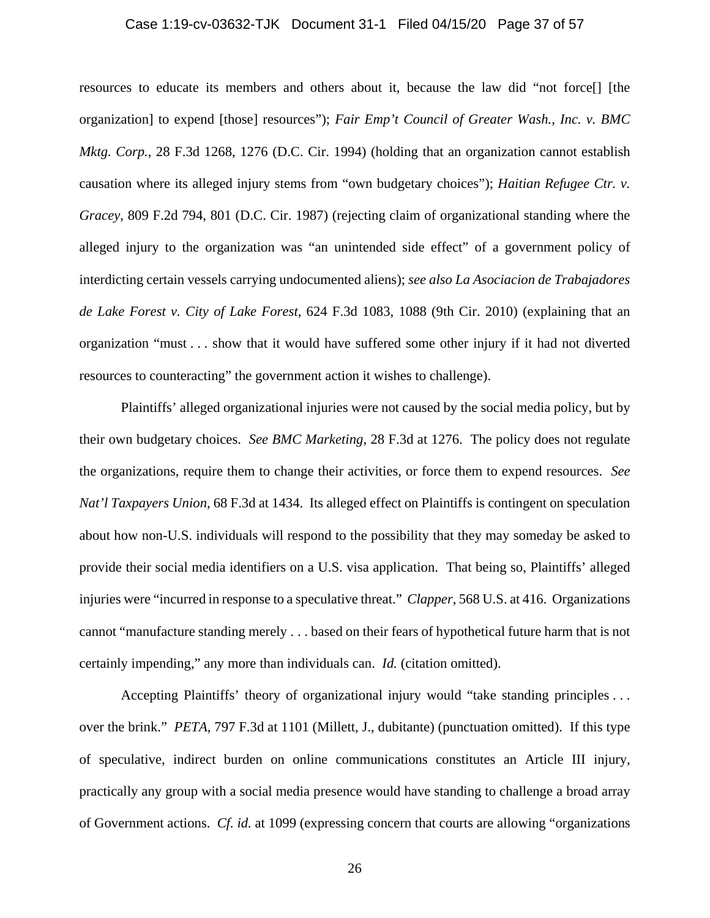## Case 1:19-cv-03632-TJK Document 31-1 Filed 04/15/20 Page 37 of 57

resources to educate its members and others about it, because the law did "not force[] [the organization] to expend [those] resources"); *Fair Emp't Council of Greater Wash., Inc. v. BMC Mktg. Corp.*, 28 F.3d 1268, 1276 (D.C. Cir. 1994) (holding that an organization cannot establish causation where its alleged injury stems from "own budgetary choices"); *Haitian Refugee Ctr. v. Gracey*, 809 F.2d 794, 801 (D.C. Cir. 1987) (rejecting claim of organizational standing where the alleged injury to the organization was "an unintended side effect" of a government policy of interdicting certain vessels carrying undocumented aliens); *see also La Asociacion de Trabajadores de Lake Forest v. City of Lake Forest*, 624 F.3d 1083, 1088 (9th Cir. 2010) (explaining that an organization "must . . . show that it would have suffered some other injury if it had not diverted resources to counteracting" the government action it wishes to challenge).

Plaintiffs' alleged organizational injuries were not caused by the social media policy, but by their own budgetary choices. *See BMC Marketing*, 28 F.3d at 1276. The policy does not regulate the organizations, require them to change their activities, or force them to expend resources. *See Nat'l Taxpayers Union*, 68 F.3d at 1434. Its alleged effect on Plaintiffs is contingent on speculation about how non-U.S. individuals will respond to the possibility that they may someday be asked to provide their social media identifiers on a U.S. visa application. That being so, Plaintiffs' alleged injuries were "incurred in response to a speculative threat." *Clapper*, 568 U.S. at 416. Organizations cannot "manufacture standing merely . . . based on their fears of hypothetical future harm that is not certainly impending," any more than individuals can. *Id.* (citation omitted).

Accepting Plaintiffs' theory of organizational injury would "take standing principles . . . over the brink." *PETA*, 797 F.3d at 1101 (Millett, J., dubitante) (punctuation omitted). If this type of speculative, indirect burden on online communications constitutes an Article III injury, practically any group with a social media presence would have standing to challenge a broad array of Government actions. *Cf. id.* at 1099 (expressing concern that courts are allowing "organizations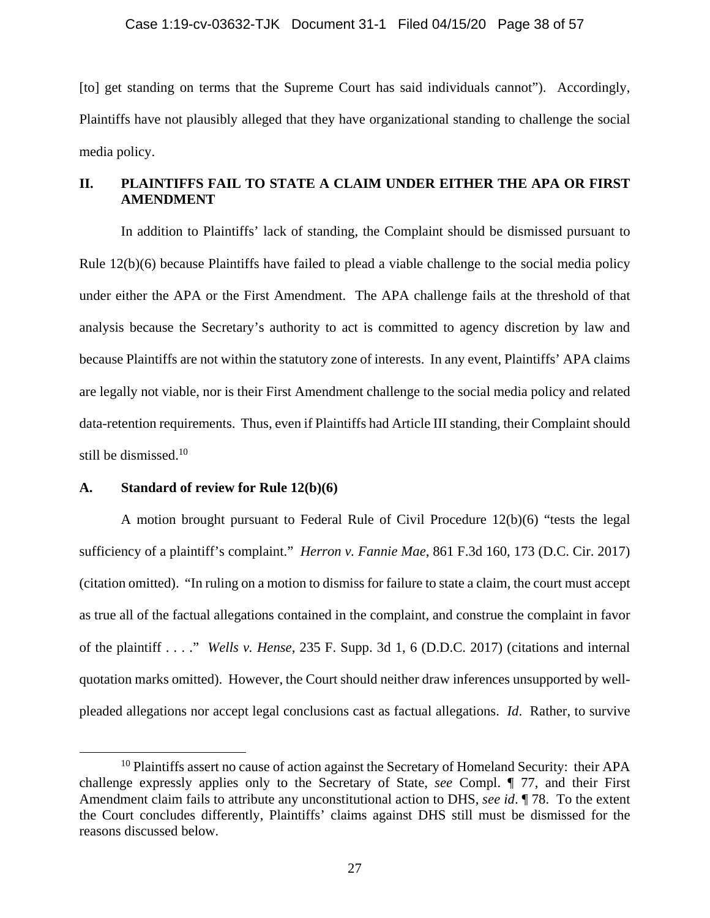[to] get standing on terms that the Supreme Court has said individuals cannot"). Accordingly, Plaintiffs have not plausibly alleged that they have organizational standing to challenge the social media policy.

# **II. PLAINTIFFS FAIL TO STATE A CLAIM UNDER EITHER THE APA OR FIRST AMENDMENT**

In addition to Plaintiffs' lack of standing, the Complaint should be dismissed pursuant to Rule 12(b)(6) because Plaintiffs have failed to plead a viable challenge to the social media policy under either the APA or the First Amendment. The APA challenge fails at the threshold of that analysis because the Secretary's authority to act is committed to agency discretion by law and because Plaintiffs are not within the statutory zone of interests. In any event, Plaintiffs' APA claims are legally not viable, nor is their First Amendment challenge to the social media policy and related data-retention requirements. Thus, even if Plaintiffs had Article III standing, their Complaint should still be dismissed.10

## **A. Standard of review for Rule 12(b)(6)**

A motion brought pursuant to Federal Rule of Civil Procedure 12(b)(6) "tests the legal sufficiency of a plaintiff's complaint." *Herron v. Fannie Mae*, 861 F.3d 160, 173 (D.C. Cir. 2017) (citation omitted). "In ruling on a motion to dismiss for failure to state a claim, the court must accept as true all of the factual allegations contained in the complaint, and construe the complaint in favor of the plaintiff . . . ." *Wells v. Hense*, 235 F. Supp. 3d 1, 6 (D.D.C. 2017) (citations and internal quotation marks omitted). However, the Court should neither draw inferences unsupported by wellpleaded allegations nor accept legal conclusions cast as factual allegations. *Id*. Rather, to survive

 $10$  Plaintiffs assert no cause of action against the Secretary of Homeland Security: their APA challenge expressly applies only to the Secretary of State, *see* Compl. ¶ 77, and their First Amendment claim fails to attribute any unconstitutional action to DHS, *see id*. ¶ 78. To the extent the Court concludes differently, Plaintiffs' claims against DHS still must be dismissed for the reasons discussed below.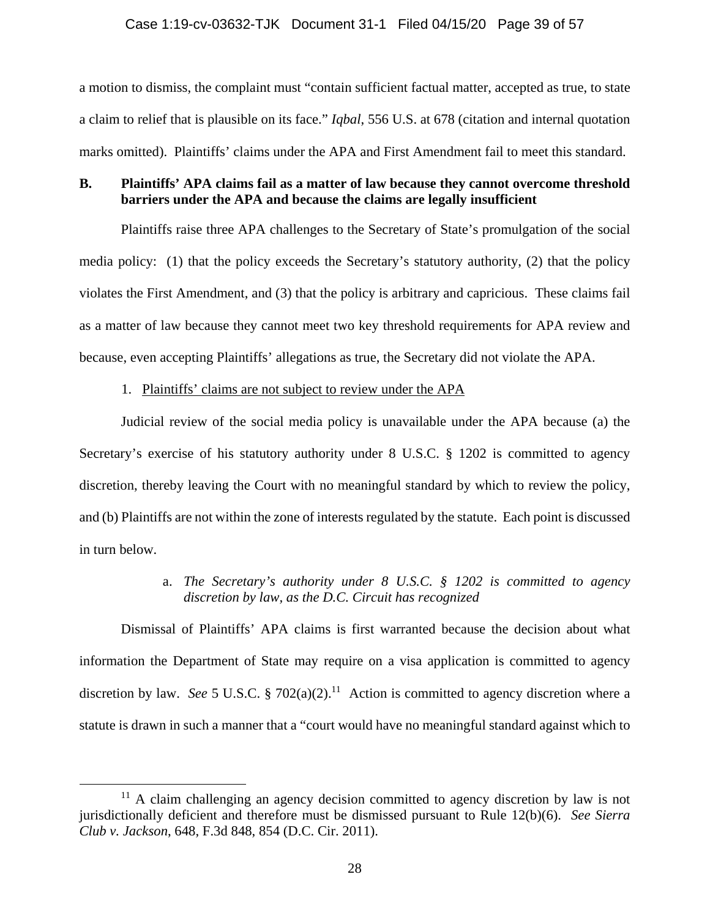a motion to dismiss, the complaint must "contain sufficient factual matter, accepted as true, to state a claim to relief that is plausible on its face." *Iqbal*, 556 U.S. at 678 (citation and internal quotation marks omitted). Plaintiffs' claims under the APA and First Amendment fail to meet this standard.

# **B. Plaintiffs' APA claims fail as a matter of law because they cannot overcome threshold barriers under the APA and because the claims are legally insufficient**

 Plaintiffs raise three APA challenges to the Secretary of State's promulgation of the social media policy: (1) that the policy exceeds the Secretary's statutory authority, (2) that the policy violates the First Amendment, and (3) that the policy is arbitrary and capricious. These claims fail as a matter of law because they cannot meet two key threshold requirements for APA review and because, even accepting Plaintiffs' allegations as true, the Secretary did not violate the APA.

# 1. Plaintiffs' claims are not subject to review under the APA

Judicial review of the social media policy is unavailable under the APA because (a) the Secretary's exercise of his statutory authority under 8 U.S.C. § 1202 is committed to agency discretion, thereby leaving the Court with no meaningful standard by which to review the policy, and (b) Plaintiffs are not within the zone of interests regulated by the statute. Each point is discussed in turn below.

# a. *The Secretary's authority under 8 U.S.C. § 1202 is committed to agency discretion by law, as the D.C. Circuit has recognized*

Dismissal of Plaintiffs' APA claims is first warranted because the decision about what information the Department of State may require on a visa application is committed to agency discretion by law. *See* 5 U.S.C. § 702(a)(2).<sup>11</sup> Action is committed to agency discretion where a statute is drawn in such a manner that a "court would have no meaningful standard against which to

 $11$  A claim challenging an agency decision committed to agency discretion by law is not jurisdictionally deficient and therefore must be dismissed pursuant to Rule 12(b)(6). *See Sierra Club v. Jackson*, 648, F.3d 848, 854 (D.C. Cir. 2011).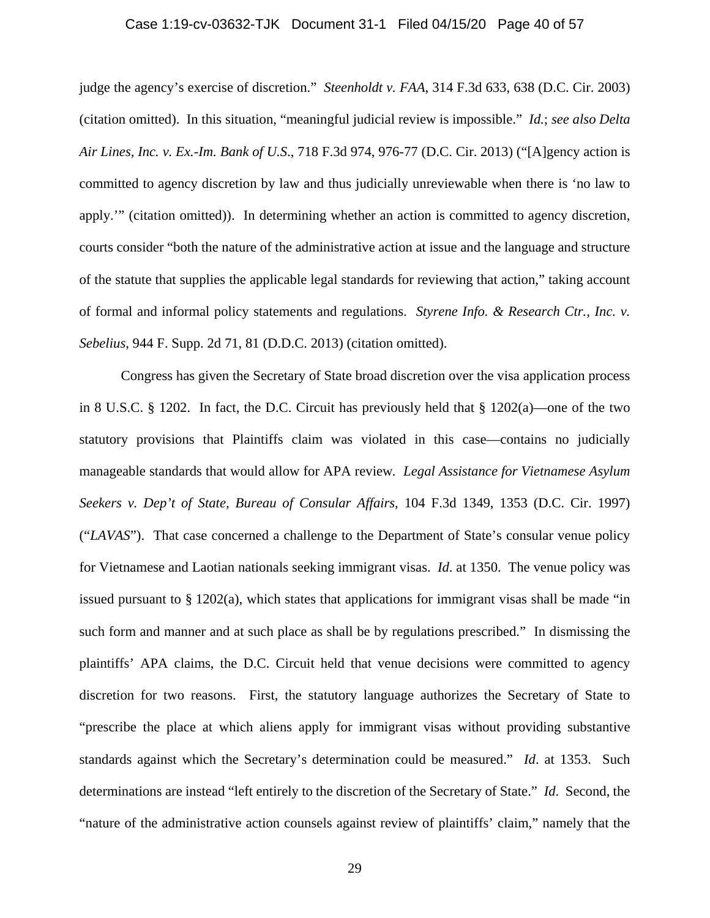## Case 1:19-cv-03632-TJK Document 31-1 Filed 04/15/20 Page 40 of 57

judge the agency's exercise of discretion." *Steenholdt v. FAA*, 314 F.3d 633, 638 (D.C. Cir. 2003) (citation omitted). In this situation, "meaningful judicial review is impossible." *Id.*; *see also Delta Air Lines, Inc. v. Ex.-Im. Bank of U.S*., 718 F.3d 974, 976-77 (D.C. Cir. 2013) ("[A]gency action is committed to agency discretion by law and thus judicially unreviewable when there is 'no law to apply.'" (citation omitted)). In determining whether an action is committed to agency discretion, courts consider "both the nature of the administrative action at issue and the language and structure of the statute that supplies the applicable legal standards for reviewing that action," taking account of formal and informal policy statements and regulations. *Styrene Info. & Research Ctr., Inc. v. Sebelius*, 944 F. Supp. 2d 71, 81 (D.D.C. 2013) (citation omitted).

Congress has given the Secretary of State broad discretion over the visa application process in 8 U.S.C. § 1202. In fact, the D.C. Circuit has previously held that § 1202(a)—one of the two statutory provisions that Plaintiffs claim was violated in this case—contains no judicially manageable standards that would allow for APA review*. Legal Assistance for Vietnamese Asylum Seekers v. Dep't of State, Bureau of Consular Affairs*, 104 F.3d 1349, 1353 (D.C. Cir. 1997) ("*LAVAS*"). That case concerned a challenge to the Department of State's consular venue policy for Vietnamese and Laotian nationals seeking immigrant visas. *Id*. at 1350. The venue policy was issued pursuant to § 1202(a), which states that applications for immigrant visas shall be made "in such form and manner and at such place as shall be by regulations prescribed." In dismissing the plaintiffs' APA claims, the D.C. Circuit held that venue decisions were committed to agency discretion for two reasons. First, the statutory language authorizes the Secretary of State to "prescribe the place at which aliens apply for immigrant visas without providing substantive standards against which the Secretary's determination could be measured." *Id*. at 1353. Such determinations are instead "left entirely to the discretion of the Secretary of State." *Id*. Second, the "nature of the administrative action counsels against review of plaintiffs' claim," namely that the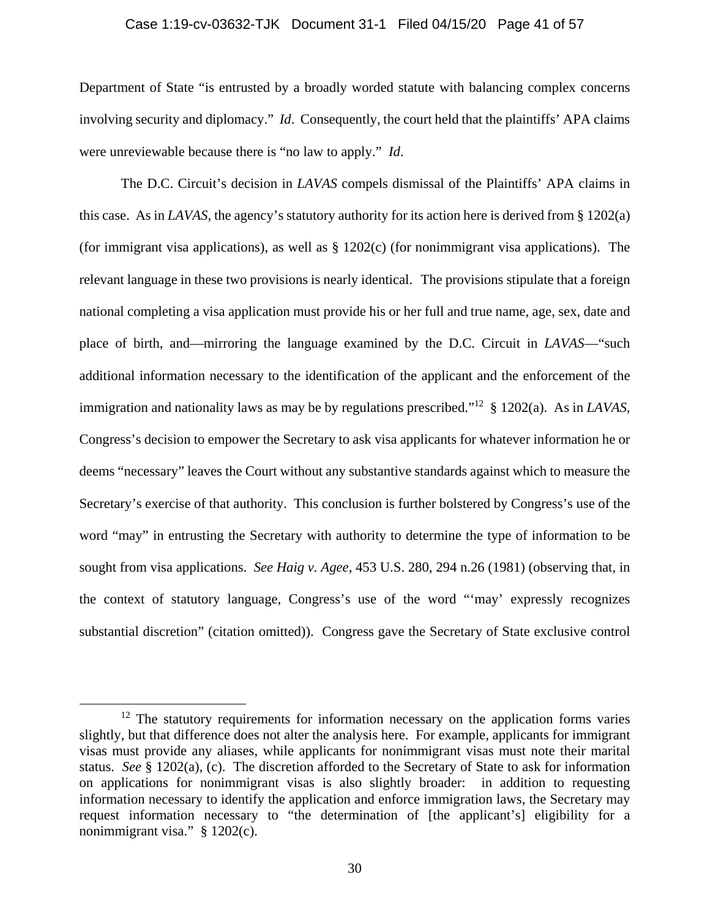#### Case 1:19-cv-03632-TJK Document 31-1 Filed 04/15/20 Page 41 of 57

Department of State "is entrusted by a broadly worded statute with balancing complex concerns involving security and diplomacy." *Id*. Consequently, the court held that the plaintiffs' APA claims were unreviewable because there is "no law to apply." *Id*.

 The D.C. Circuit's decision in *LAVAS* compels dismissal of the Plaintiffs' APA claims in this case. As in *LAVAS*, the agency's statutory authority for its action here is derived from § 1202(a) (for immigrant visa applications), as well as § 1202(c) (for nonimmigrant visa applications). The relevant language in these two provisions is nearly identical. The provisions stipulate that a foreign national completing a visa application must provide his or her full and true name, age, sex, date and place of birth, and—mirroring the language examined by the D.C. Circuit in *LAVAS*—"such additional information necessary to the identification of the applicant and the enforcement of the immigration and nationality laws as may be by regulations prescribed."12 § 1202(a). As in *LAVAS*, Congress's decision to empower the Secretary to ask visa applicants for whatever information he or deems "necessary" leaves the Court without any substantive standards against which to measure the Secretary's exercise of that authority. This conclusion is further bolstered by Congress's use of the word "may" in entrusting the Secretary with authority to determine the type of information to be sought from visa applications. *See Haig v. Agee*, 453 U.S. 280, 294 n.26 (1981) (observing that, in the context of statutory language, Congress's use of the word "'may' expressly recognizes substantial discretion" (citation omitted)). Congress gave the Secretary of State exclusive control

 $12$  The statutory requirements for information necessary on the application forms varies slightly, but that difference does not alter the analysis here. For example, applicants for immigrant visas must provide any aliases, while applicants for nonimmigrant visas must note their marital status. *See* § 1202(a), (c). The discretion afforded to the Secretary of State to ask for information on applications for nonimmigrant visas is also slightly broader: in addition to requesting information necessary to identify the application and enforce immigration laws, the Secretary may request information necessary to "the determination of [the applicant's] eligibility for a nonimmigrant visa." § 1202(c).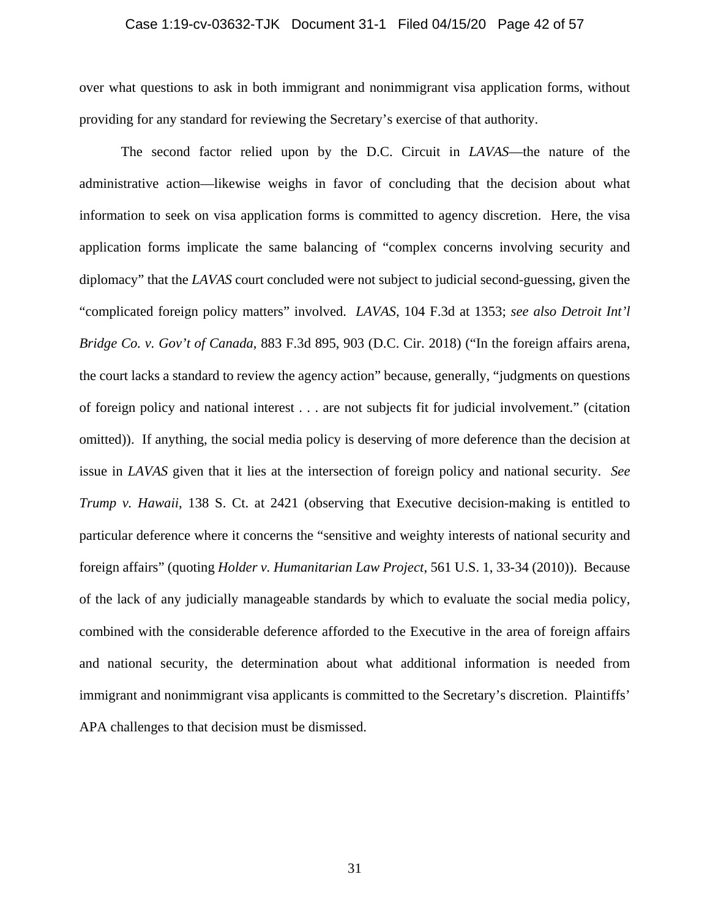## Case 1:19-cv-03632-TJK Document 31-1 Filed 04/15/20 Page 42 of 57

over what questions to ask in both immigrant and nonimmigrant visa application forms, without providing for any standard for reviewing the Secretary's exercise of that authority.

 The second factor relied upon by the D.C. Circuit in *LAVAS*—the nature of the administrative action—likewise weighs in favor of concluding that the decision about what information to seek on visa application forms is committed to agency discretion. Here, the visa application forms implicate the same balancing of "complex concerns involving security and diplomacy" that the *LAVAS* court concluded were not subject to judicial second-guessing, given the "complicated foreign policy matters" involved. *LAVAS*, 104 F.3d at 1353; *see also Detroit Int'l Bridge Co. v. Gov't of Canada*, 883 F.3d 895, 903 (D.C. Cir. 2018) ("In the foreign affairs arena, the court lacks a standard to review the agency action" because, generally, "judgments on questions of foreign policy and national interest . . . are not subjects fit for judicial involvement." (citation omitted)). If anything, the social media policy is deserving of more deference than the decision at issue in *LAVAS* given that it lies at the intersection of foreign policy and national security. *See Trump v. Hawaii*, 138 S. Ct. at 2421 (observing that Executive decision-making is entitled to particular deference where it concerns the "sensitive and weighty interests of national security and foreign affairs" (quoting *Holder v. Humanitarian Law Project*, 561 U.S. 1, 33-34 (2010)). Because of the lack of any judicially manageable standards by which to evaluate the social media policy, combined with the considerable deference afforded to the Executive in the area of foreign affairs and national security, the determination about what additional information is needed from immigrant and nonimmigrant visa applicants is committed to the Secretary's discretion. Plaintiffs' APA challenges to that decision must be dismissed.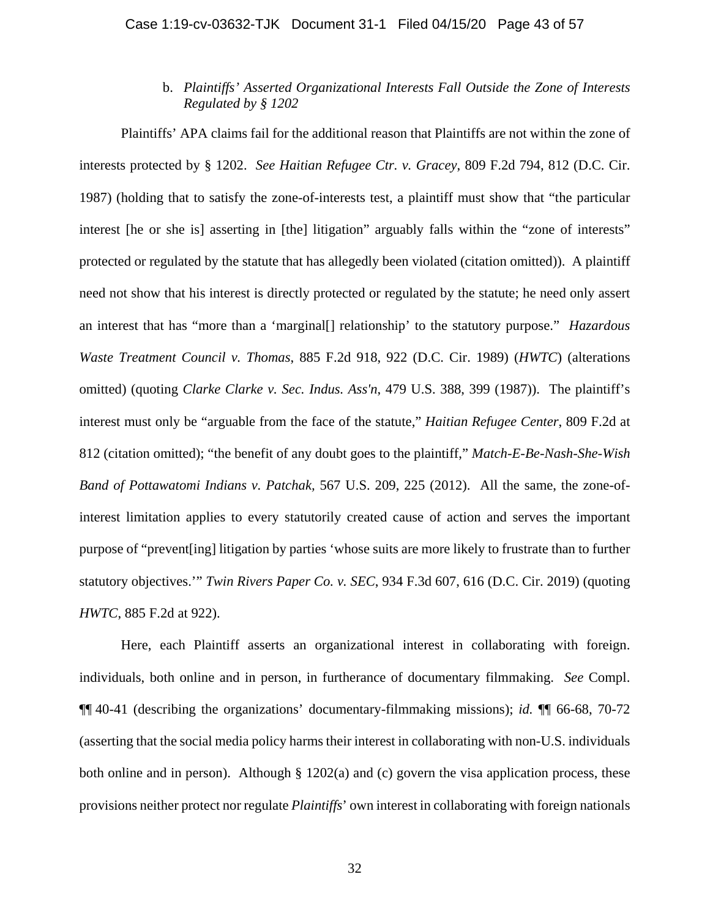# b. *Plaintiffs' Asserted Organizational Interests Fall Outside the Zone of Interests Regulated by § 1202*

Plaintiffs' APA claims fail for the additional reason that Plaintiffs are not within the zone of interests protected by § 1202. *See Haitian Refugee Ctr. v. Gracey*, 809 F.2d 794, 812 (D.C. Cir. 1987) (holding that to satisfy the zone-of-interests test, a plaintiff must show that "the particular interest [he or she is] asserting in [the] litigation" arguably falls within the "zone of interests" protected or regulated by the statute that has allegedly been violated (citation omitted)). A plaintiff need not show that his interest is directly protected or regulated by the statute; he need only assert an interest that has "more than a 'marginal[] relationship' to the statutory purpose." *Hazardous Waste Treatment Council v. Thomas*, 885 F.2d 918, 922 (D.C. Cir. 1989) (*HWTC*) (alterations omitted) (quoting *Clarke Clarke v. Sec. Indus. Ass'n*, 479 U.S. 388, 399 (1987)). The plaintiff's interest must only be "arguable from the face of the statute," *Haitian Refugee Center*, 809 F.2d at 812 (citation omitted); "the benefit of any doubt goes to the plaintiff," *Match-E-Be-Nash-She-Wish Band of Pottawatomi Indians v. Patchak,* 567 U.S. 209, 225 (2012). All the same, the zone-ofinterest limitation applies to every statutorily created cause of action and serves the important purpose of "prevent[ing] litigation by parties 'whose suits are more likely to frustrate than to further statutory objectives.'" *Twin Rivers Paper Co. v. SEC*, 934 F.3d 607, 616 (D.C. Cir. 2019) (quoting *HWTC*, 885 F.2d at 922).

Here, each Plaintiff asserts an organizational interest in collaborating with foreign. individuals, both online and in person, in furtherance of documentary filmmaking. *See* Compl. ¶¶ 40-41 (describing the organizations' documentary-filmmaking missions); *id.* ¶¶ 66-68, 70-72 (asserting that the social media policy harms their interest in collaborating with non-U.S. individuals both online and in person). Although § 1202(a) and (c) govern the visa application process, these provisions neither protect nor regulate *Plaintiffs*' own interest in collaborating with foreign nationals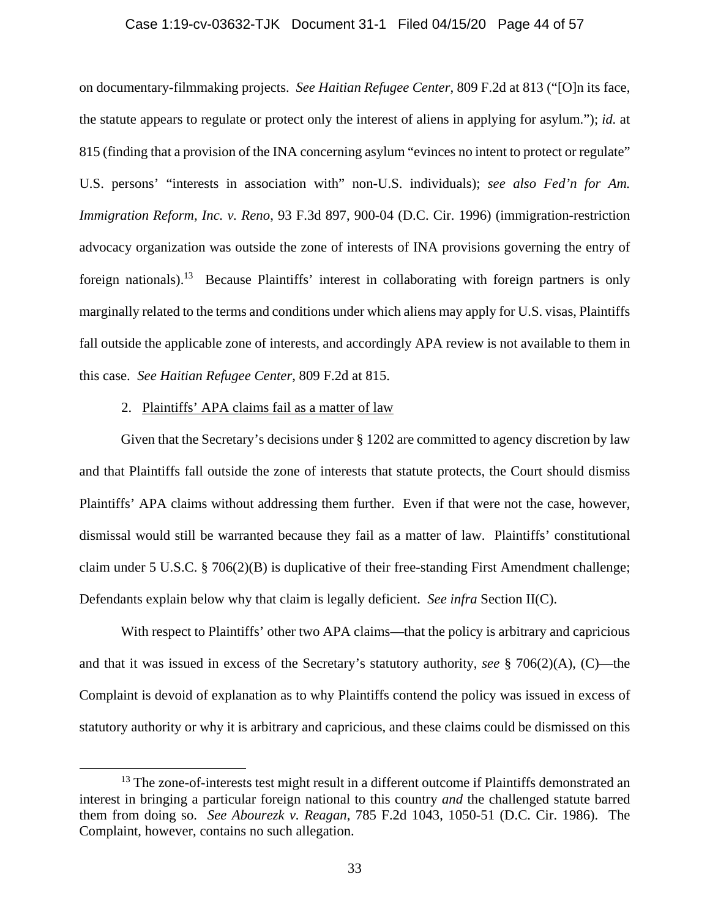#### Case 1:19-cv-03632-TJK Document 31-1 Filed 04/15/20 Page 44 of 57

on documentary-filmmaking projects. *See Haitian Refugee Center*, 809 F.2d at 813 ("[O]n its face, the statute appears to regulate or protect only the interest of aliens in applying for asylum."); *id.* at 815 (finding that a provision of the INA concerning asylum "evinces no intent to protect or regulate" U.S. persons' "interests in association with" non-U.S. individuals); *see also Fed'n for Am. Immigration Reform, Inc. v. Reno*, 93 F.3d 897, 900-04 (D.C. Cir. 1996) (immigration-restriction advocacy organization was outside the zone of interests of INA provisions governing the entry of foreign nationals).<sup>13</sup> Because Plaintiffs' interest in collaborating with foreign partners is only marginally related to the terms and conditions under which aliens may apply for U.S. visas, Plaintiffs fall outside the applicable zone of interests, and accordingly APA review is not available to them in this case. *See Haitian Refugee Center*, 809 F.2d at 815.

## 2. Plaintiffs' APA claims fail as a matter of law

Given that the Secretary's decisions under § 1202 are committed to agency discretion by law and that Plaintiffs fall outside the zone of interests that statute protects, the Court should dismiss Plaintiffs' APA claims without addressing them further. Even if that were not the case, however, dismissal would still be warranted because they fail as a matter of law. Plaintiffs' constitutional claim under 5 U.S.C. § 706(2)(B) is duplicative of their free-standing First Amendment challenge; Defendants explain below why that claim is legally deficient. *See infra* Section II(C).

With respect to Plaintiffs' other two APA claims—that the policy is arbitrary and capricious and that it was issued in excess of the Secretary's statutory authority, *see* § 706(2)(A), (C)—the Complaint is devoid of explanation as to why Plaintiffs contend the policy was issued in excess of statutory authority or why it is arbitrary and capricious, and these claims could be dismissed on this

 $13$  The zone-of-interests test might result in a different outcome if Plaintiffs demonstrated an interest in bringing a particular foreign national to this country *and* the challenged statute barred them from doing so. *See Abourezk v. Reagan*, 785 F.2d 1043, 1050-51 (D.C. Cir. 1986). The Complaint, however, contains no such allegation.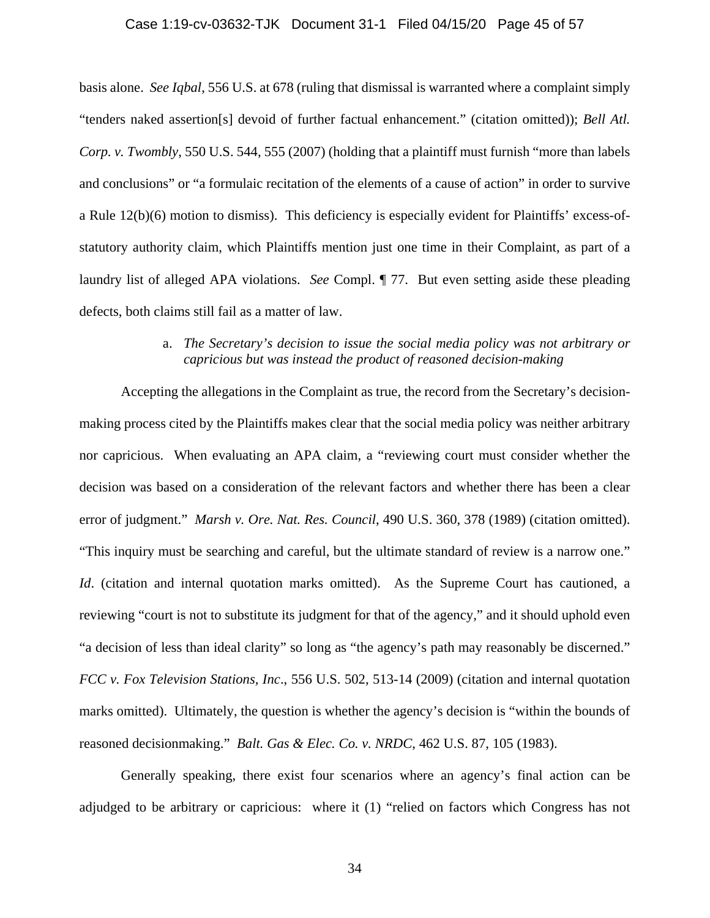#### Case 1:19-cv-03632-TJK Document 31-1 Filed 04/15/20 Page 45 of 57

basis alone. *See Iqbal*, 556 U.S. at 678 (ruling that dismissal is warranted where a complaint simply "tenders naked assertion[s] devoid of further factual enhancement." (citation omitted)); *Bell Atl. Corp. v. Twombly*, 550 U.S. 544, 555 (2007) (holding that a plaintiff must furnish "more than labels and conclusions" or "a formulaic recitation of the elements of a cause of action" in order to survive a Rule 12(b)(6) motion to dismiss). This deficiency is especially evident for Plaintiffs' excess-ofstatutory authority claim, which Plaintiffs mention just one time in their Complaint, as part of a laundry list of alleged APA violations. *See* Compl. ¶ 77. But even setting aside these pleading defects, both claims still fail as a matter of law.

# a. *The Secretary's decision to issue the social media policy was not arbitrary or capricious but was instead the product of reasoned decision-making*

Accepting the allegations in the Complaint as true, the record from the Secretary's decisionmaking process cited by the Plaintiffs makes clear that the social media policy was neither arbitrary nor capricious. When evaluating an APA claim, a "reviewing court must consider whether the decision was based on a consideration of the relevant factors and whether there has been a clear error of judgment." *Marsh v. Ore. Nat. Res. Council*, 490 U.S. 360, 378 (1989) (citation omitted). "This inquiry must be searching and careful, but the ultimate standard of review is a narrow one." *Id.* (citation and internal quotation marks omitted). As the Supreme Court has cautioned, a reviewing "court is not to substitute its judgment for that of the agency," and it should uphold even "a decision of less than ideal clarity" so long as "the agency's path may reasonably be discerned." *FCC v. Fox Television Stations, Inc*., 556 U.S. 502, 513-14 (2009) (citation and internal quotation marks omitted). Ultimately, the question is whether the agency's decision is "within the bounds of reasoned decisionmaking." *Balt. Gas & Elec. Co. v. NRDC*, 462 U.S. 87, 105 (1983).

Generally speaking, there exist four scenarios where an agency's final action can be adjudged to be arbitrary or capricious: where it (1) "relied on factors which Congress has not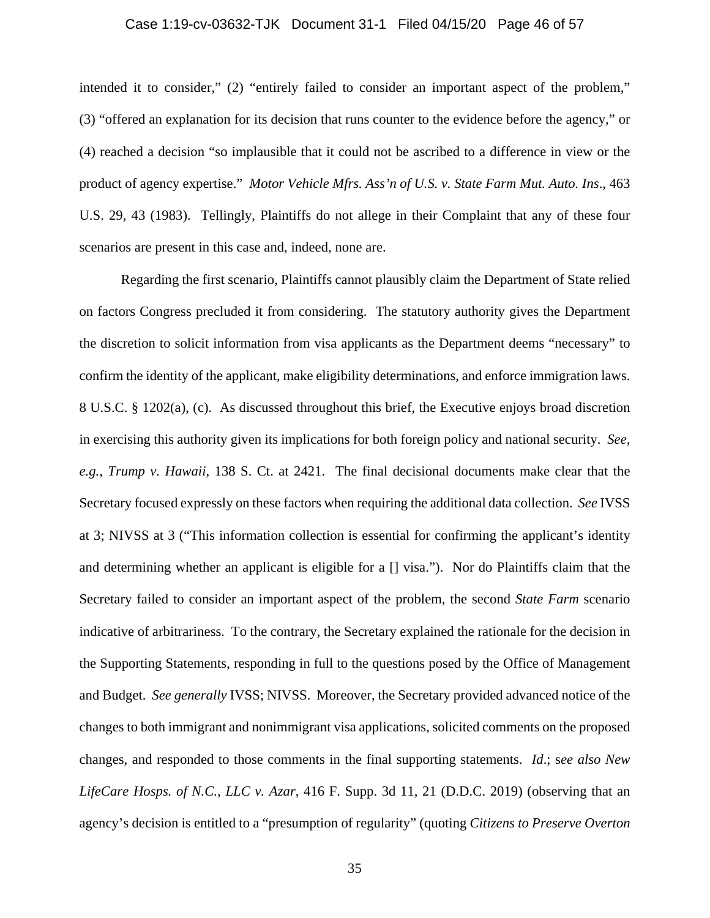## Case 1:19-cv-03632-TJK Document 31-1 Filed 04/15/20 Page 46 of 57

intended it to consider," (2) "entirely failed to consider an important aspect of the problem," (3) "offered an explanation for its decision that runs counter to the evidence before the agency," or (4) reached a decision "so implausible that it could not be ascribed to a difference in view or the product of agency expertise." *Motor Vehicle Mfrs. Ass'n of U.S. v. State Farm Mut. Auto. Ins*., 463 U.S. 29, 43 (1983). Tellingly, Plaintiffs do not allege in their Complaint that any of these four scenarios are present in this case and, indeed, none are.

Regarding the first scenario, Plaintiffs cannot plausibly claim the Department of State relied on factors Congress precluded it from considering. The statutory authority gives the Department the discretion to solicit information from visa applicants as the Department deems "necessary" to confirm the identity of the applicant, make eligibility determinations, and enforce immigration laws. 8 U.S.C. § 1202(a), (c). As discussed throughout this brief, the Executive enjoys broad discretion in exercising this authority given its implications for both foreign policy and national security. *See, e.g.*, *Trump v. Hawaii*, 138 S. Ct. at 2421. The final decisional documents make clear that the Secretary focused expressly on these factors when requiring the additional data collection. *See* IVSS at 3; NIVSS at 3 ("This information collection is essential for confirming the applicant's identity and determining whether an applicant is eligible for a [] visa."). Nor do Plaintiffs claim that the Secretary failed to consider an important aspect of the problem, the second *State Farm* scenario indicative of arbitrariness. To the contrary, the Secretary explained the rationale for the decision in the Supporting Statements, responding in full to the questions posed by the Office of Management and Budget. *See generally* IVSS; NIVSS. Moreover, the Secretary provided advanced notice of the changes to both immigrant and nonimmigrant visa applications, solicited comments on the proposed changes, and responded to those comments in the final supporting statements. *Id*.; s*ee also New LifeCare Hosps. of N.C., LLC v. Azar*, 416 F. Supp. 3d 11, 21 (D.D.C. 2019) (observing that an agency's decision is entitled to a "presumption of regularity" (quoting *Citizens to Preserve Overton*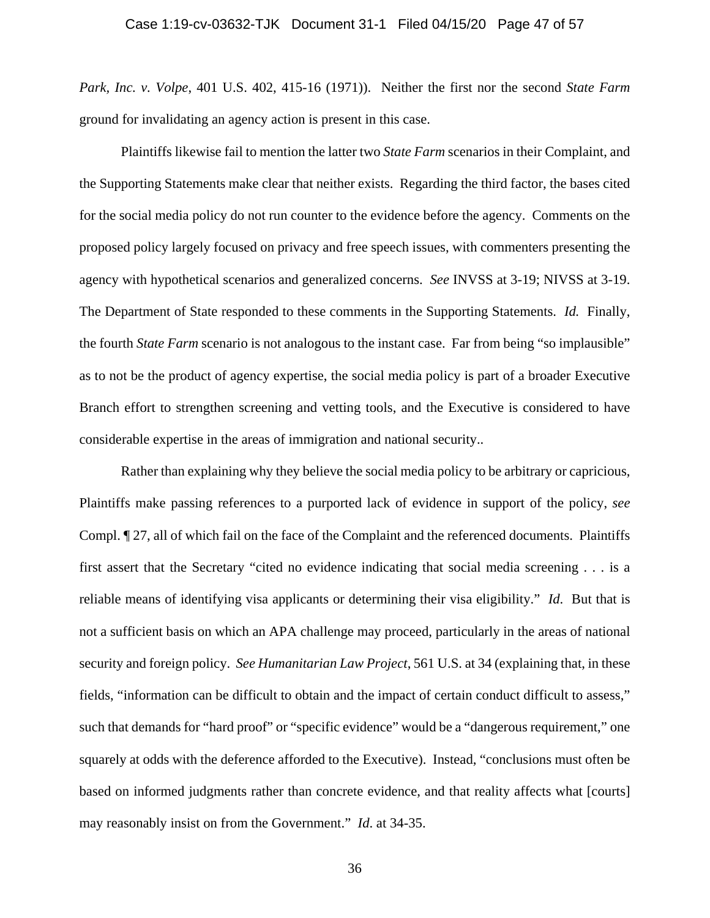*Park, Inc. v. Volpe*, 401 U.S. 402, 415-16 (1971)). Neither the first nor the second *State Farm* ground for invalidating an agency action is present in this case.

Plaintiffs likewise fail to mention the latter two *State Farm* scenarios in their Complaint, and the Supporting Statements make clear that neither exists. Regarding the third factor, the bases cited for the social media policy do not run counter to the evidence before the agency. Comments on the proposed policy largely focused on privacy and free speech issues, with commenters presenting the agency with hypothetical scenarios and generalized concerns. *See* INVSS at 3-19; NIVSS at 3-19. The Department of State responded to these comments in the Supporting Statements. *Id.* Finally, the fourth *State Farm* scenario is not analogous to the instant case. Far from being "so implausible" as to not be the product of agency expertise, the social media policy is part of a broader Executive Branch effort to strengthen screening and vetting tools, and the Executive is considered to have considerable expertise in the areas of immigration and national security..

Rather than explaining why they believe the social media policy to be arbitrary or capricious, Plaintiffs make passing references to a purported lack of evidence in support of the policy, *see* Compl. ¶ 27, all of which fail on the face of the Complaint and the referenced documents. Plaintiffs first assert that the Secretary "cited no evidence indicating that social media screening . . . is a reliable means of identifying visa applicants or determining their visa eligibility." *Id*. But that is not a sufficient basis on which an APA challenge may proceed, particularly in the areas of national security and foreign policy. *See Humanitarian Law Project*, 561 U.S. at 34 (explaining that, in these fields, "information can be difficult to obtain and the impact of certain conduct difficult to assess," such that demands for "hard proof" or "specific evidence" would be a "dangerous requirement," one squarely at odds with the deference afforded to the Executive). Instead, "conclusions must often be based on informed judgments rather than concrete evidence, and that reality affects what [courts] may reasonably insist on from the Government." *Id*. at 34-35.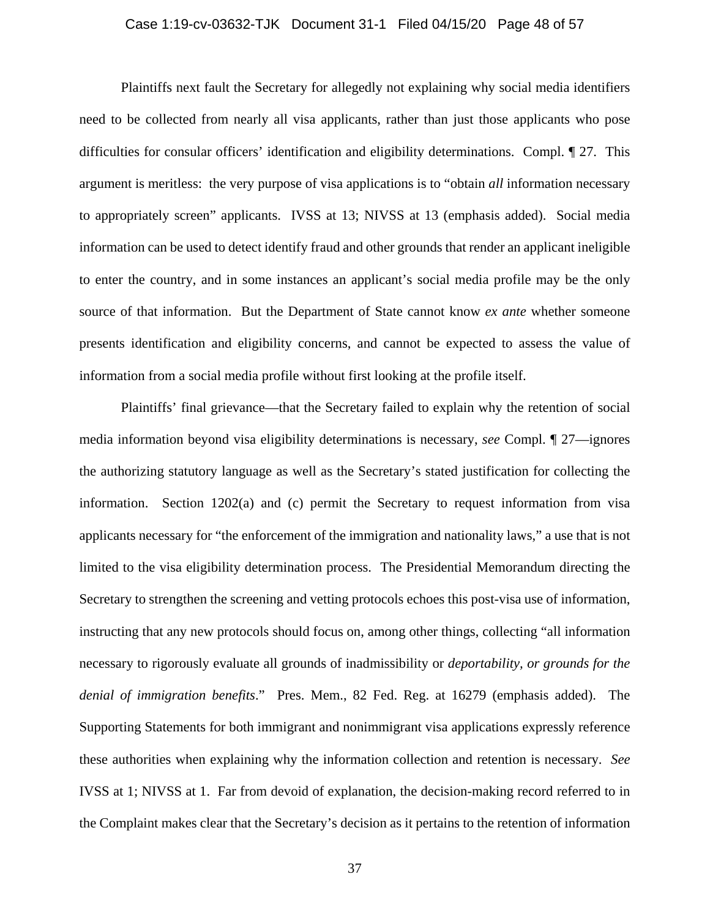## Case 1:19-cv-03632-TJK Document 31-1 Filed 04/15/20 Page 48 of 57

 Plaintiffs next fault the Secretary for allegedly not explaining why social media identifiers need to be collected from nearly all visa applicants, rather than just those applicants who pose difficulties for consular officers' identification and eligibility determinations. Compl. ¶ 27. This argument is meritless: the very purpose of visa applications is to "obtain *all* information necessary to appropriately screen" applicants. IVSS at 13; NIVSS at 13 (emphasis added). Social media information can be used to detect identify fraud and other grounds that render an applicant ineligible to enter the country, and in some instances an applicant's social media profile may be the only source of that information. But the Department of State cannot know *ex ante* whether someone presents identification and eligibility concerns, and cannot be expected to assess the value of information from a social media profile without first looking at the profile itself.

 Plaintiffs' final grievance—that the Secretary failed to explain why the retention of social media information beyond visa eligibility determinations is necessary, *see* Compl. ¶ 27—ignores the authorizing statutory language as well as the Secretary's stated justification for collecting the information. Section 1202(a) and (c) permit the Secretary to request information from visa applicants necessary for "the enforcement of the immigration and nationality laws," a use that is not limited to the visa eligibility determination process. The Presidential Memorandum directing the Secretary to strengthen the screening and vetting protocols echoes this post-visa use of information, instructing that any new protocols should focus on, among other things, collecting "all information necessary to rigorously evaluate all grounds of inadmissibility or *deportability, or grounds for the denial of immigration benefits*." Pres. Mem., 82 Fed. Reg. at 16279 (emphasis added). The Supporting Statements for both immigrant and nonimmigrant visa applications expressly reference these authorities when explaining why the information collection and retention is necessary. *See* IVSS at 1; NIVSS at 1. Far from devoid of explanation, the decision-making record referred to in the Complaint makes clear that the Secretary's decision as it pertains to the retention of information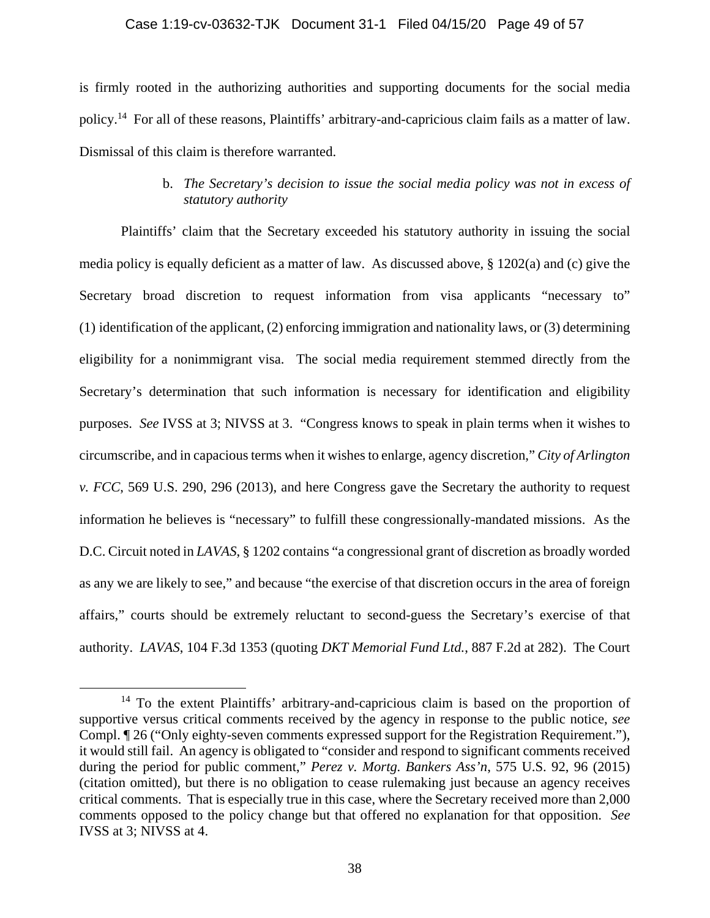#### Case 1:19-cv-03632-TJK Document 31-1 Filed 04/15/20 Page 49 of 57

is firmly rooted in the authorizing authorities and supporting documents for the social media policy.14 For all of these reasons, Plaintiffs' arbitrary-and-capricious claim fails as a matter of law. Dismissal of this claim is therefore warranted.

# b. *The Secretary's decision to issue the social media policy was not in excess of statutory authority*

 Plaintiffs' claim that the Secretary exceeded his statutory authority in issuing the social media policy is equally deficient as a matter of law. As discussed above,  $\S$  1202(a) and (c) give the Secretary broad discretion to request information from visa applicants "necessary to" (1) identification of the applicant, (2) enforcing immigration and nationality laws, or (3) determining eligibility for a nonimmigrant visa. The social media requirement stemmed directly from the Secretary's determination that such information is necessary for identification and eligibility purposes. *See* IVSS at 3; NIVSS at 3. "Congress knows to speak in plain terms when it wishes to circumscribe, and in capacious terms when it wishes to enlarge, agency discretion," *City of Arlington v. FCC*, 569 U.S. 290, 296 (2013), and here Congress gave the Secretary the authority to request information he believes is "necessary" to fulfill these congressionally-mandated missions. As the D.C. Circuit noted in *LAVAS*, § 1202 contains "a congressional grant of discretion as broadly worded as any we are likely to see," and because "the exercise of that discretion occurs in the area of foreign affairs," courts should be extremely reluctant to second-guess the Secretary's exercise of that authority. *LAVAS*, 104 F.3d 1353 (quoting *DKT Memorial Fund Ltd.*, 887 F.2d at 282). The Court

<sup>&</sup>lt;sup>14</sup> To the extent Plaintiffs' arbitrary-and-capricious claim is based on the proportion of supportive versus critical comments received by the agency in response to the public notice, *see* Compl. ¶ 26 ("Only eighty-seven comments expressed support for the Registration Requirement."), it would still fail. An agency is obligated to "consider and respond to significant comments received during the period for public comment," *Perez v. Mortg. Bankers Ass'n*, 575 U.S. 92, 96 (2015) (citation omitted), but there is no obligation to cease rulemaking just because an agency receives critical comments. That is especially true in this case, where the Secretary received more than 2,000 comments opposed to the policy change but that offered no explanation for that opposition. *See* IVSS at 3; NIVSS at 4.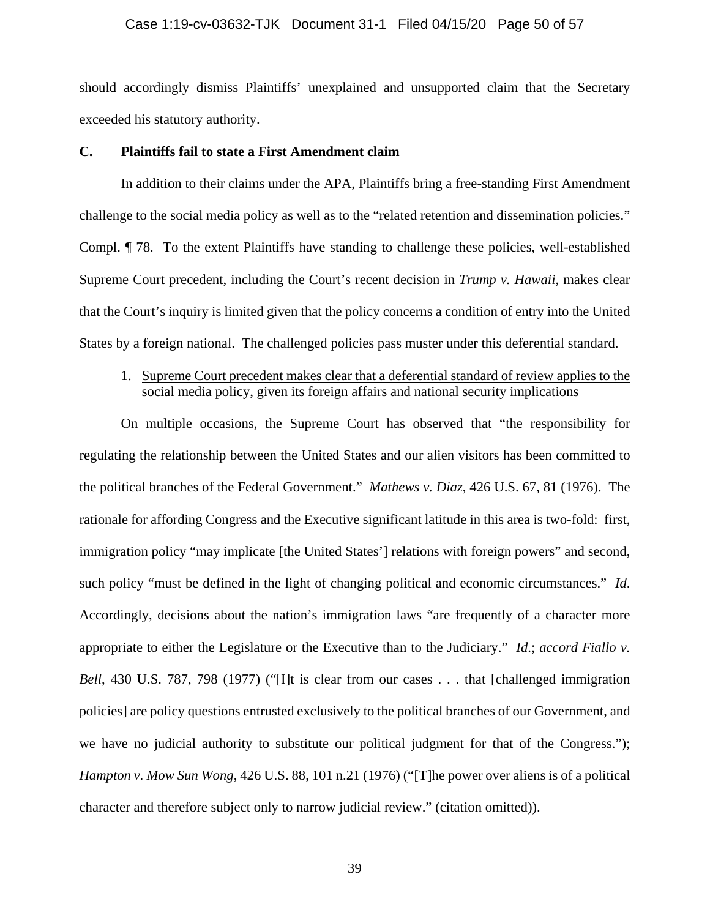#### Case 1:19-cv-03632-TJK Document 31-1 Filed 04/15/20 Page 50 of 57

should accordingly dismiss Plaintiffs' unexplained and unsupported claim that the Secretary exceeded his statutory authority.

#### **C. Plaintiffs fail to state a First Amendment claim**

 In addition to their claims under the APA, Plaintiffs bring a free-standing First Amendment challenge to the social media policy as well as to the "related retention and dissemination policies." Compl. ¶ 78. To the extent Plaintiffs have standing to challenge these policies, well-established Supreme Court precedent, including the Court's recent decision in *Trump v. Hawaii*, makes clear that the Court's inquiry is limited given that the policy concerns a condition of entry into the United States by a foreign national. The challenged policies pass muster under this deferential standard.

# 1. Supreme Court precedent makes clear that a deferential standard of review applies to the social media policy, given its foreign affairs and national security implications

On multiple occasions, the Supreme Court has observed that "the responsibility for regulating the relationship between the United States and our alien visitors has been committed to the political branches of the Federal Government." *Mathews v. Diaz*, 426 U.S. 67, 81 (1976). The rationale for affording Congress and the Executive significant latitude in this area is two-fold: first, immigration policy "may implicate [the United States'] relations with foreign powers" and second, such policy "must be defined in the light of changing political and economic circumstances." *Id*. Accordingly, decisions about the nation's immigration laws "are frequently of a character more appropriate to either the Legislature or the Executive than to the Judiciary." *Id*.; *accord Fiallo v. Bell*, 430 U.S. 787, 798 (1977) ("[I]t is clear from our cases . . . that [challenged immigration policies] are policy questions entrusted exclusively to the political branches of our Government, and we have no judicial authority to substitute our political judgment for that of the Congress."); *Hampton v. Mow Sun Wong*, 426 U.S. 88, 101 n.21 (1976) ("[T]he power over aliens is of a political character and therefore subject only to narrow judicial review." (citation omitted)).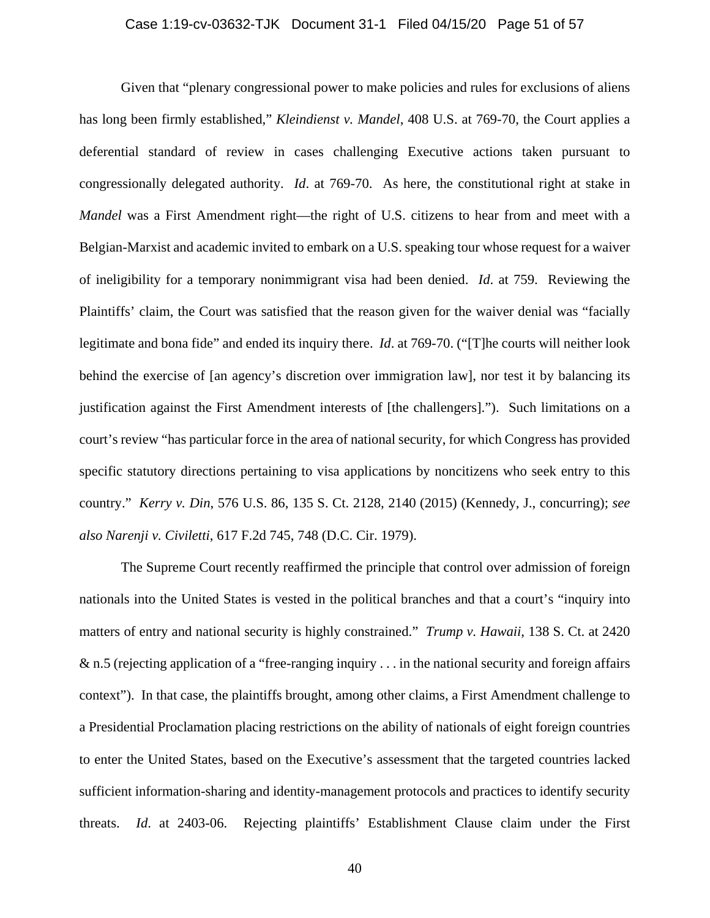Given that "plenary congressional power to make policies and rules for exclusions of aliens has long been firmly established," *Kleindienst v. Mandel*, 408 U.S. at 769-70, the Court applies a deferential standard of review in cases challenging Executive actions taken pursuant to congressionally delegated authority. *Id*. at 769-70. As here, the constitutional right at stake in *Mandel* was a First Amendment right—the right of U.S. citizens to hear from and meet with a Belgian-Marxist and academic invited to embark on a U.S. speaking tour whose request for a waiver of ineligibility for a temporary nonimmigrant visa had been denied. *Id*. at 759. Reviewing the Plaintiffs' claim, the Court was satisfied that the reason given for the waiver denial was "facially legitimate and bona fide" and ended its inquiry there. *Id*. at 769-70. ("[T]he courts will neither look behind the exercise of [an agency's discretion over immigration law], nor test it by balancing its justification against the First Amendment interests of [the challengers]."). Such limitations on a court's review "has particular force in the area of national security, for which Congress has provided specific statutory directions pertaining to visa applications by noncitizens who seek entry to this country." *Kerry v. Din*, 576 U.S. 86, 135 S. Ct. 2128, 2140 (2015) (Kennedy, J., concurring); *see also Narenji v. Civiletti*, 617 F.2d 745, 748 (D.C. Cir. 1979).

 The Supreme Court recently reaffirmed the principle that control over admission of foreign nationals into the United States is vested in the political branches and that a court's "inquiry into matters of entry and national security is highly constrained." *Trump v. Hawaii*, 138 S. Ct. at 2420 & n.5 (rejecting application of a "free-ranging inquiry . . . in the national security and foreign affairs context"). In that case, the plaintiffs brought, among other claims, a First Amendment challenge to a Presidential Proclamation placing restrictions on the ability of nationals of eight foreign countries to enter the United States, based on the Executive's assessment that the targeted countries lacked sufficient information-sharing and identity-management protocols and practices to identify security threats. *Id*. at 2403-06. Rejecting plaintiffs' Establishment Clause claim under the First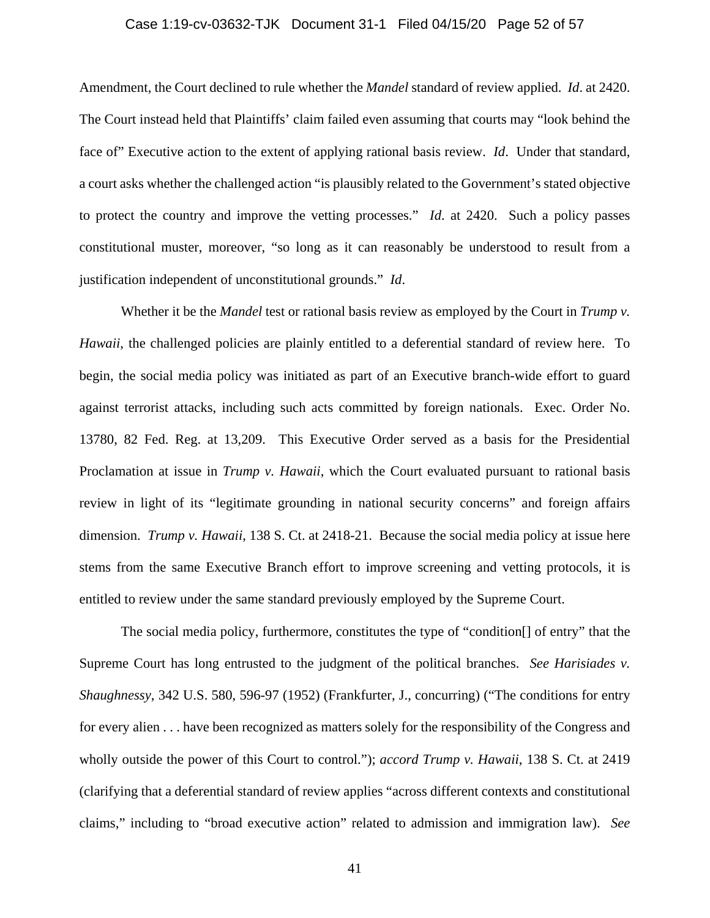## Case 1:19-cv-03632-TJK Document 31-1 Filed 04/15/20 Page 52 of 57

Amendment, the Court declined to rule whether the *Mandel* standard of review applied. *Id*. at 2420. The Court instead held that Plaintiffs' claim failed even assuming that courts may "look behind the face of" Executive action to the extent of applying rational basis review. *Id*. Under that standard, a court asks whether the challenged action "is plausibly related to the Government's stated objective to protect the country and improve the vetting processes." *Id*. at 2420. Such a policy passes constitutional muster, moreover, "so long as it can reasonably be understood to result from a justification independent of unconstitutional grounds." *Id*.

 Whether it be the *Mandel* test or rational basis review as employed by the Court in *Trump v. Hawaii*, the challenged policies are plainly entitled to a deferential standard of review here. To begin, the social media policy was initiated as part of an Executive branch-wide effort to guard against terrorist attacks, including such acts committed by foreign nationals. Exec. Order No. 13780, 82 Fed. Reg. at 13,209. This Executive Order served as a basis for the Presidential Proclamation at issue in *Trump v. Hawaii*, which the Court evaluated pursuant to rational basis review in light of its "legitimate grounding in national security concerns" and foreign affairs dimension. *Trump v. Hawaii*, 138 S. Ct. at 2418-21. Because the social media policy at issue here stems from the same Executive Branch effort to improve screening and vetting protocols, it is entitled to review under the same standard previously employed by the Supreme Court.

 The social media policy, furthermore, constitutes the type of "condition[] of entry" that the Supreme Court has long entrusted to the judgment of the political branches. *See Harisiades v. Shaughnessy*, 342 U.S. 580, 596-97 (1952) (Frankfurter, J., concurring) ("The conditions for entry for every alien . . . have been recognized as matters solely for the responsibility of the Congress and wholly outside the power of this Court to control."); *accord Trump v. Hawaii*, 138 S. Ct. at 2419 (clarifying that a deferential standard of review applies "across different contexts and constitutional claims," including to "broad executive action" related to admission and immigration law). *See*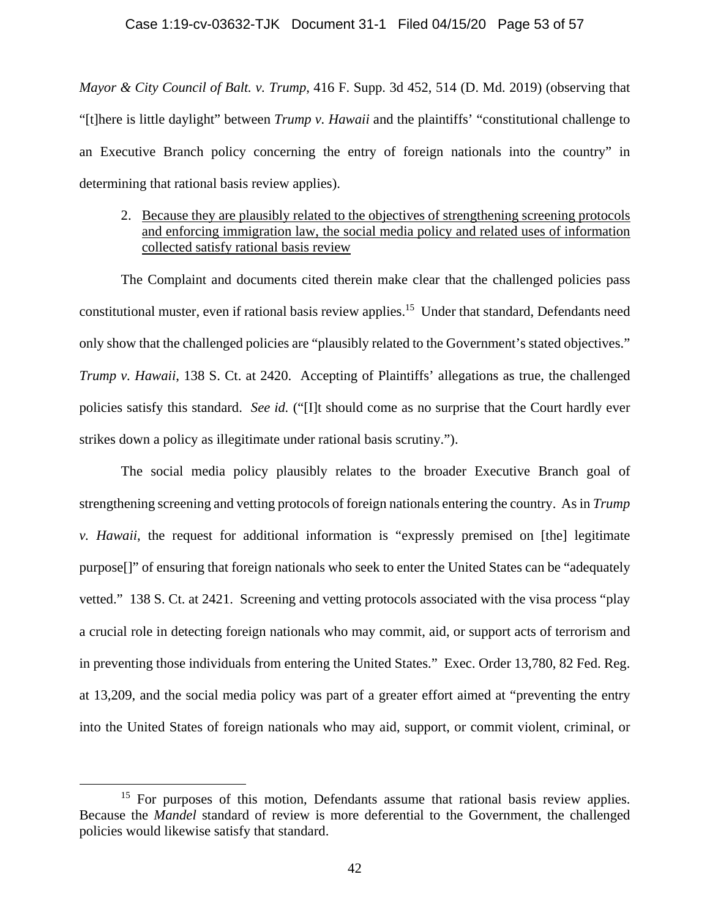#### Case 1:19-cv-03632-TJK Document 31-1 Filed 04/15/20 Page 53 of 57

*Mayor & City Council of Balt. v. Trump*, 416 F. Supp. 3d 452, 514 (D. Md. 2019) (observing that "[t]here is little daylight" between *Trump v. Hawaii* and the plaintiffs' "constitutional challenge to an Executive Branch policy concerning the entry of foreign nationals into the country" in determining that rational basis review applies).

# 2. Because they are plausibly related to the objectives of strengthening screening protocols and enforcing immigration law, the social media policy and related uses of information collected satisfy rational basis review

The Complaint and documents cited therein make clear that the challenged policies pass constitutional muster, even if rational basis review applies.<sup>15</sup> Under that standard, Defendants need only show that the challenged policies are "plausibly related to the Government's stated objectives." *Trump v. Hawaii*, 138 S. Ct. at 2420. Accepting of Plaintiffs' allegations as true, the challenged policies satisfy this standard. *See id.* ("[I]t should come as no surprise that the Court hardly ever strikes down a policy as illegitimate under rational basis scrutiny.").

 The social media policy plausibly relates to the broader Executive Branch goal of strengthening screening and vetting protocols of foreign nationals entering the country. As in *Trump v. Hawaii*, the request for additional information is "expressly premised on [the] legitimate purpose[]" of ensuring that foreign nationals who seek to enter the United States can be "adequately vetted." 138 S. Ct. at 2421. Screening and vetting protocols associated with the visa process "play a crucial role in detecting foreign nationals who may commit, aid, or support acts of terrorism and in preventing those individuals from entering the United States." Exec. Order 13,780, 82 Fed. Reg. at 13,209, and the social media policy was part of a greater effort aimed at "preventing the entry into the United States of foreign nationals who may aid, support, or commit violent, criminal, or

<sup>&</sup>lt;sup>15</sup> For purposes of this motion, Defendants assume that rational basis review applies. Because the *Mandel* standard of review is more deferential to the Government, the challenged policies would likewise satisfy that standard.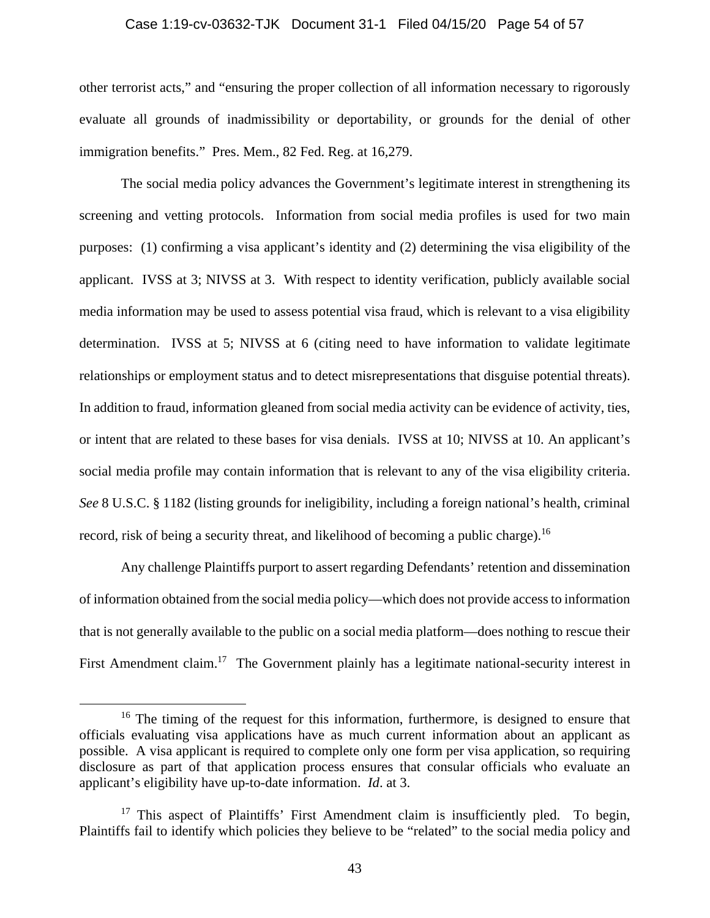#### Case 1:19-cv-03632-TJK Document 31-1 Filed 04/15/20 Page 54 of 57

other terrorist acts," and "ensuring the proper collection of all information necessary to rigorously evaluate all grounds of inadmissibility or deportability, or grounds for the denial of other immigration benefits." Pres. Mem., 82 Fed. Reg. at 16,279.

 The social media policy advances the Government's legitimate interest in strengthening its screening and vetting protocols. Information from social media profiles is used for two main purposes: (1) confirming a visa applicant's identity and (2) determining the visa eligibility of the applicant. IVSS at 3; NIVSS at 3. With respect to identity verification, publicly available social media information may be used to assess potential visa fraud, which is relevant to a visa eligibility determination. IVSS at 5; NIVSS at 6 (citing need to have information to validate legitimate relationships or employment status and to detect misrepresentations that disguise potential threats). In addition to fraud, information gleaned from social media activity can be evidence of activity, ties, or intent that are related to these bases for visa denials. IVSS at 10; NIVSS at 10. An applicant's social media profile may contain information that is relevant to any of the visa eligibility criteria. *See* 8 U.S.C. § 1182 (listing grounds for ineligibility, including a foreign national's health, criminal record, risk of being a security threat, and likelihood of becoming a public charge).<sup>16</sup>

Any challenge Plaintiffs purport to assert regarding Defendants' retention and dissemination of information obtained from the social media policy—which does not provide access to information that is not generally available to the public on a social media platform—does nothing to rescue their First Amendment claim.<sup>17</sup> The Government plainly has a legitimate national-security interest in

 $16$  The timing of the request for this information, furthermore, is designed to ensure that officials evaluating visa applications have as much current information about an applicant as possible. A visa applicant is required to complete only one form per visa application, so requiring disclosure as part of that application process ensures that consular officials who evaluate an applicant's eligibility have up-to-date information. *Id*. at 3.

<sup>&</sup>lt;sup>17</sup> This aspect of Plaintiffs' First Amendment claim is insufficiently pled. To begin, Plaintiffs fail to identify which policies they believe to be "related" to the social media policy and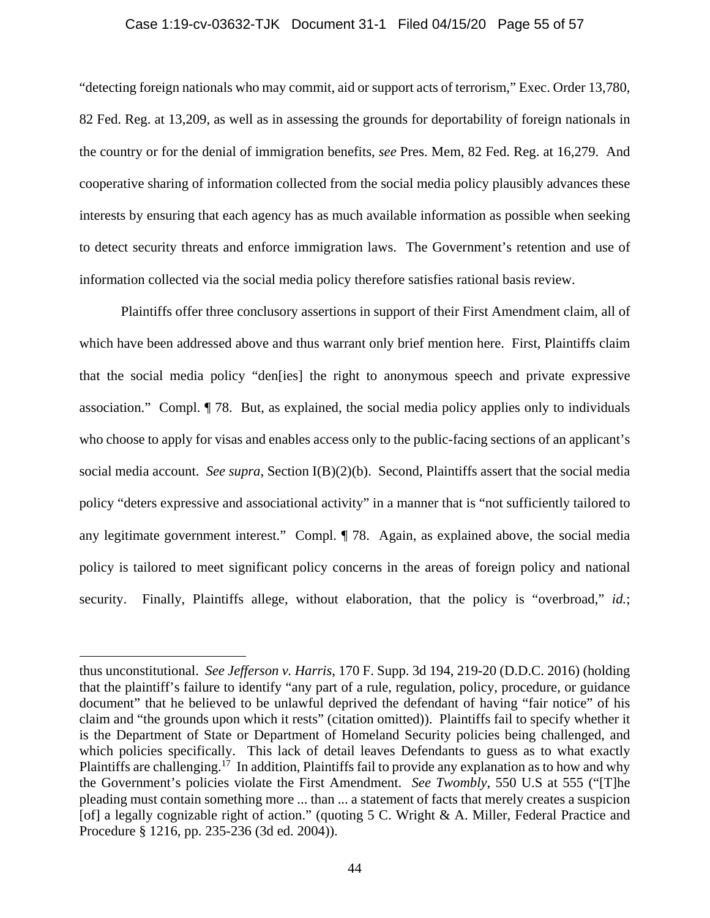#### Case 1:19-cv-03632-TJK Document 31-1 Filed 04/15/20 Page 55 of 57

"detecting foreign nationals who may commit, aid or support acts of terrorism," Exec. Order 13,780, 82 Fed. Reg. at 13,209, as well as in assessing the grounds for deportability of foreign nationals in the country or for the denial of immigration benefits, *see* Pres. Mem, 82 Fed. Reg. at 16,279. And cooperative sharing of information collected from the social media policy plausibly advances these interests by ensuring that each agency has as much available information as possible when seeking to detect security threats and enforce immigration laws. The Government's retention and use of information collected via the social media policy therefore satisfies rational basis review.

 Plaintiffs offer three conclusory assertions in support of their First Amendment claim, all of which have been addressed above and thus warrant only brief mention here. First, Plaintiffs claim that the social media policy "den[ies] the right to anonymous speech and private expressive association." Compl. ¶ 78. But, as explained, the social media policy applies only to individuals who choose to apply for visas and enables access only to the public-facing sections of an applicant's social media account. *See supra*, Section I(B)(2)(b). Second, Plaintiffs assert that the social media policy "deters expressive and associational activity" in a manner that is "not sufficiently tailored to any legitimate government interest." Compl. ¶ 78. Again, as explained above, the social media policy is tailored to meet significant policy concerns in the areas of foreign policy and national security. Finally, Plaintiffs allege, without elaboration, that the policy is "overbroad," *id.*;

 $\overline{a}$ 

thus unconstitutional. *See Jefferson v. Harris*, 170 F. Supp. 3d 194, 219-20 (D.D.C. 2016) (holding that the plaintiff's failure to identify "any part of a rule, regulation, policy, procedure, or guidance document" that he believed to be unlawful deprived the defendant of having "fair notice" of his claim and "the grounds upon which it rests" (citation omitted)). Plaintiffs fail to specify whether it is the Department of State or Department of Homeland Security policies being challenged, and which policies specifically. This lack of detail leaves Defendants to guess as to what exactly Plaintiffs are challenging.<sup>17</sup> In addition, Plaintiffs fail to provide any explanation as to how and why the Government's policies violate the First Amendment. *See Twombly*, 550 U.S at 555 ("[T]he pleading must contain something more ... than ... a statement of facts that merely creates a suspicion [of] a legally cognizable right of action." (quoting 5 C. Wright & A. Miller, Federal Practice and Procedure § 1216, pp. 235-236 (3d ed. 2004)).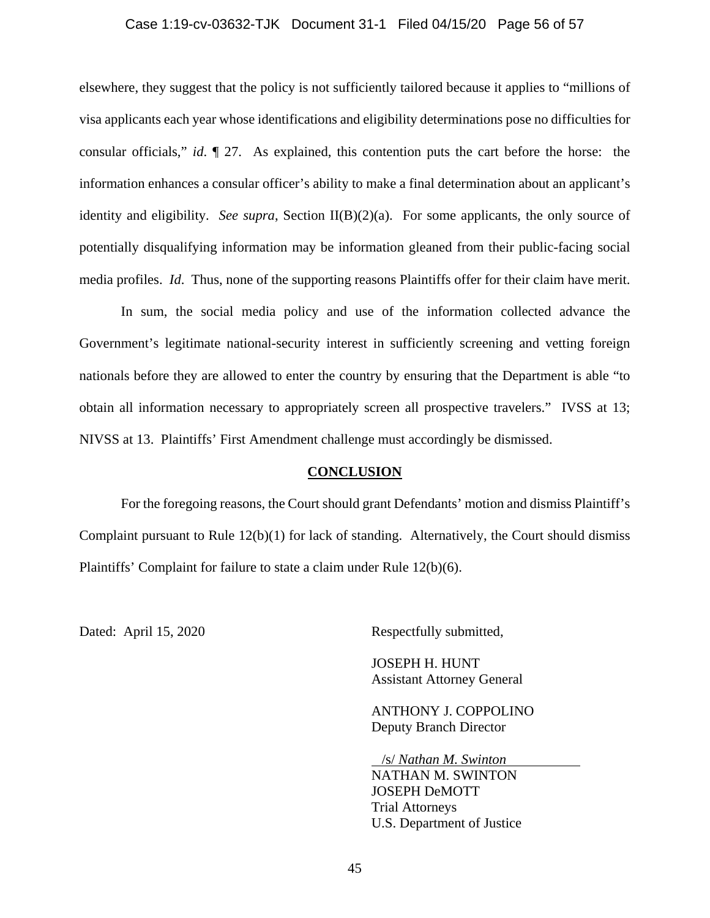#### Case 1:19-cv-03632-TJK Document 31-1 Filed 04/15/20 Page 56 of 57

elsewhere, they suggest that the policy is not sufficiently tailored because it applies to "millions of visa applicants each year whose identifications and eligibility determinations pose no difficulties for consular officials," *id*. ¶ 27. As explained, this contention puts the cart before the horse: the information enhances a consular officer's ability to make a final determination about an applicant's identity and eligibility. *See supra*, Section II(B)(2)(a). For some applicants, the only source of potentially disqualifying information may be information gleaned from their public-facing social media profiles. *Id*. Thus, none of the supporting reasons Plaintiffs offer for their claim have merit.

 In sum, the social media policy and use of the information collected advance the Government's legitimate national-security interest in sufficiently screening and vetting foreign nationals before they are allowed to enter the country by ensuring that the Department is able "to obtain all information necessary to appropriately screen all prospective travelers." IVSS at 13; NIVSS at 13. Plaintiffs' First Amendment challenge must accordingly be dismissed.

## **CONCLUSION**

 For the foregoing reasons, the Court should grant Defendants' motion and dismiss Plaintiff's Complaint pursuant to Rule 12(b)(1) for lack of standing. Alternatively, the Court should dismiss Plaintiffs' Complaint for failure to state a claim under Rule 12(b)(6).

Dated: April 15, 2020 Respectfully submitted,

 JOSEPH H. HUNT Assistant Attorney General

 ANTHONY J. COPPOLINO Deputy Branch Director

 /s/ *Nathan M. Swinton*  NATHAN M. SWINTON JOSEPH DeMOTT Trial Attorneys U.S. Department of Justice